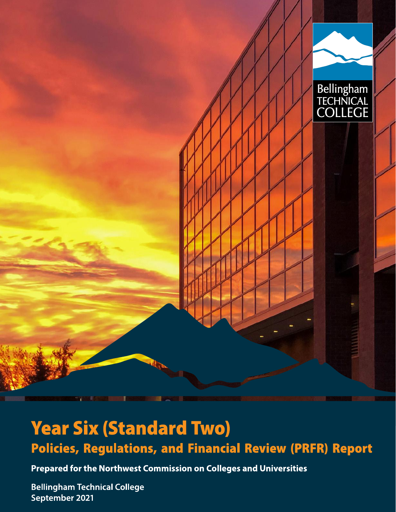

# -  Policies, Regulations, and Financial Review (PRFR) Report **Year Six (Standard Two)<br>Policies, Regulations, and Financial Review (PRI<br>Prepared for the Northwest Commission on Colleges and Universities<br>Bellingham Technical College<br>September 2021**

Bellingham Technical College September 2021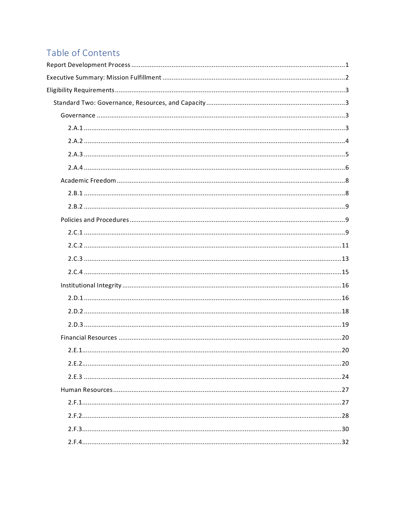# Table of Contents

| 2.E.1.<br>.20 |
|---------------|
|               |
|               |
|               |
|               |
|               |
|               |
|               |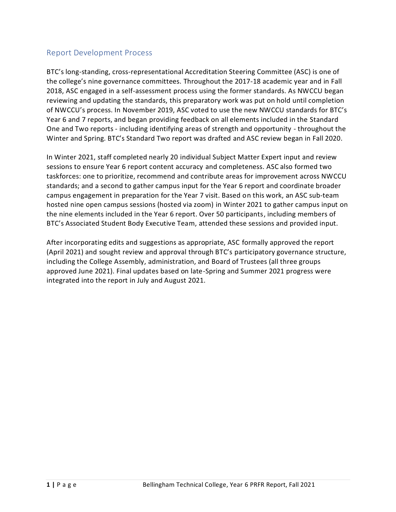# <span id="page-3-0"></span>Report Development Process

BTC's long-standing, cross-representational Accreditation Steering Committee (ASC) is one of the college's nine governance committees. Throughout the 2017-18 academic year and in Fall 2018, ASC engaged in a self-assessment process using the former standards. As NWCCU began reviewing and updating the standards, this preparatory work was put on hold until completion of NWCCU's process. In November 2019, ASC voted to use the new NWCCU standards for BTC's Year 6 and 7 reports, and began providing feedback on all elements included in the Standard One and Two reports - including identifying areas of strength and opportunity - throughout the Winter and Spring. BTC's Standard Two report was drafted and ASC review began in Fall 2020.

In Winter 2021, staff completed nearly 20 individual Subject Matter Expert input and review sessions to ensure Year 6 report content accuracy and completeness. ASC also formed two taskforces: one to prioritize, recommend and contribute areas for improvement across NWCCU standards; and a second to gather campus input for the Year 6 report and coordinate broader campus engagement in preparation for the Year 7 visit. Based on this work, an ASC sub-team hosted nine open campus sessions (hosted via zoom) in Winter 2021 to gather campus input on the nine elements included in the Year 6 report. Over 50 participants, including members of BTC's Associated Student Body Executive Team, attended these sessions and provided input.

After incorporating edits and suggestions as appropriate, ASC formally approved the report (April 2021) and sought review and approval through BTC's participatory governance structure, including the College Assembly, administration, and Board of Trustees (all three groups approved June 2021). Final updates based on late-Spring and Summer 2021 progress were integrated into the report in July and August 2021.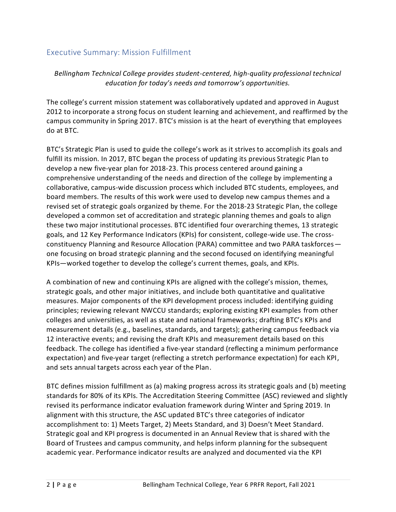# <span id="page-4-0"></span>Executive Summary: Mission Fulfillment

*Bellingham Technical College provides student-centered, high-quality professional technical education for today's needs and tomorrow's opportunities.*

The college's current mission statement was collaboratively updated and approved in August 2012 to incorporate a strong focus on student learning and achievement, and reaffirmed by the campus community in Spring 2017. BTC's mission is at the heart of everything that employees do at BTC.

BTC's Strategic Plan is used to guide the college's work as it strives to accomplish its goals and fulfill its mission. In 2017, BTC began the process of updating its previous Strategic Plan to develop a new five-year plan for 2018-23. This process centered around gaining a comprehensive understanding of the needs and direction of the college by implementing a collaborative, campus-wide discussion process which included BTC students, employees, and board members. The results of this work were used to develop new campus themes and a revised set of strategic goals organized by theme. For the 2018-23 Strategic Plan, the college developed a common set of accreditation and strategic planning themes and goals to align these two major institutional processes. BTC identified four overarching themes, 13 strategic goals, and 12 Key Performance Indicators (KPIs) for consistent, college-wide use. The crossconstituency Planning and Resource Allocation (PARA) committee and two PARA taskforces one focusing on broad strategic planning and the second focused on identifying meaningful KPIs—worked together to develop the college's current themes, goals, and KPIs.

A combination of new and continuing KPIs are aligned with the college's mission, themes, strategic goals, and other major initiatives, and include both quantitative and qualitative measures. Major components of the KPI development process included: identifying guiding principles; reviewing relevant NWCCU standards; exploring existing KPI examples from other colleges and universities, as well as state and national frameworks; drafting BTC's KPIs and measurement details (e.g., baselines, standards, and targets); gathering campus feedback via 12 interactive events; and revising the draft KPIs and measurement details based on this feedback. The college has identified a five-year standard (reflecting a minimum performance expectation) and five-year target (reflecting a stretch performance expectation) for each KPI, and sets annual targets across each year of the Plan.

BTC defines mission fulfillment as (a) making progress across its strategic goals and (b) meeting standards for 80% of its KPIs. The Accreditation Steering Committee (ASC) reviewed and slightly revised its performance indicator evaluation framework during Winter and Spring 2019. In alignment with this structure, the ASC updated BTC's three categories of indicator accomplishment to: 1) Meets Target, 2) Meets Standard, and 3) Doesn't Meet Standard. Strategic goal and KPI progress is documented in an Annual Review that is shared with the Board of Trustees and campus community, and helps inform planning for the subsequent academic year. Performance indicator results are analyzed and documented via the KPI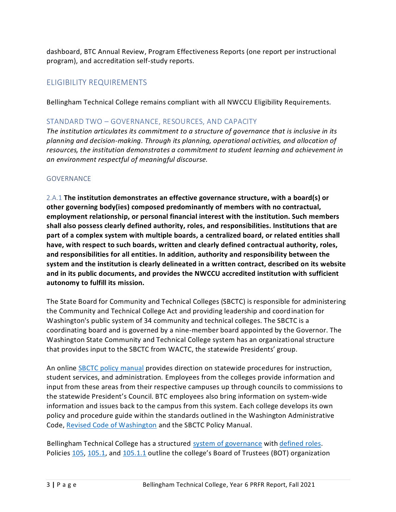dashboard, BTC Annual Review, Program Effectiveness Reports (one report per instructional program), and accreditation self-study reports.

# <span id="page-5-0"></span>ELIGIBILITY REQUIREMENTS

Bellingham Technical College remains compliant with all NWCCU Eligibility Requirements.

# <span id="page-5-1"></span>STANDARD TWO – GOVERNANCE, RESOURCES, AND CAPACITY

*The institution articulates its commitment to a structure of governance that is inclusive in its planning and decision-making. Through its planning, operational activities, and allocation of resources, the institution demonstrates a commitment to student learning and achievement in an environment respectful of meaningful discourse.*

# <span id="page-5-2"></span>GOVERNANCE

<span id="page-5-3"></span>2.A.1 **The institution demonstrates an effective governance structure, with a board(s) or other governing body(ies) composed predominantly of members with no contractual, employment relationship, or personal financial interest with the institution. Such members shall also possess clearly defined authority, roles, and responsibilities. Institutions that are part of a complex system with multiple boards, a centralized board, or related entities shall have, with respect to such boards, written and clearly defined contractual authority, roles, and responsibilities for all entities. In addition, authority and responsibility between the system and the institution is clearly delineated in a written contract, described on its website and in its public documents, and provides the NWCCU accredited institution with sufficient autonomy to fulfill its mission.**

The State Board for Community and Technical Colleges (SBCTC) is responsible for administering the Community and Technical College Act and providing leadership and coordination for Washington's public system of 34 community and technical colleges. The SBCTC is a coordinating board and is governed by a nine-member board appointed by the Governor. The Washington State Community and Technical College system has an organizational structure that provides input to the SBCTC from WACTC, the statewide Presidents' group.

An online [SBCTC policy manual](https://www.sbctc.edu/colleges-staff/policies-rules/policy-manual/default.aspx) provides direction on statewide procedures for instruction, student services, and administration. Employees from the colleges provide information and input from these areas from their respective campuses up through councils to commissions to the statewide President's Council. BTC employees also bring information on system-wide information and issues back to the campus from this system. Each college develops its own policy and procedure guide within the standards outlined in the Washington Administrative Code, [Revised Code of Washington](https://apps.leg.wa.gov/wac/default.aspx?cite=131) and the SBCTC Policy Manual.

Bellingham Technical College has a structured [system of governance](https://nwccu.box.com/s/u5xvca666f68x9zr5ts910pwq3yc8jja) with [defined roles.](https://nwccu.box.com/s/zg0y8azj3j9nlgdkmslhv8i2o4a6z34r) Policies [105,](https://nwccu.box.com/s/8czj0fu4hxfmoxgdu09zoh529be93ksm) [105.1,](https://nwccu.box.com/s/kobwggyiwv44sb2ow7wkgzvlb1bmcsqc) and [105.1.1](https://nwccu.box.com/s/x6c3l58og5v8i2i6iivxvprf76210cng) outline the college's Board of Trustees (BOT) organization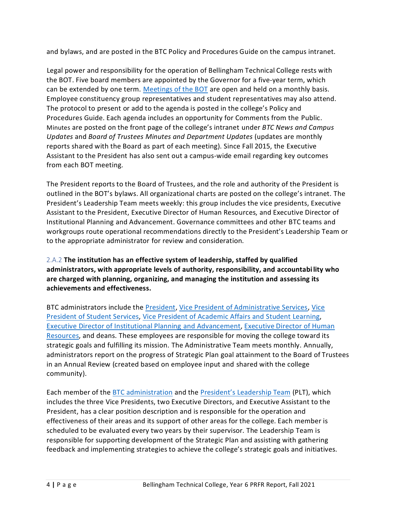and [bylaws,](https://sharepoint2013.btc.ctc.edu/sites/accreditation/Shared%20Documents/Board-of-Trustees/Bylaws/Board%20of%20Trustees%20-%20Bylaws.pdf) and are posted in the BTC Policy and Procedures Guide on the campus intranet.

Legal power and responsibility for the operation of Bellingham Technical College rests with the BOT. Five board members are appointed by the Governor for a five-year term, which can be extended by one term. [Meetings of the BOT](https://nwccu.box.com/s/ylbioydfqf3394j7btdn8n40yeo80x8q) are open and held on a monthly basis. Employee constituency group representatives and student representatives may also attend. The protocol to present or add to the agenda is posted in the college's Policy and Procedures Guide. Each agenda includes an opportunity for Comments from the Public. [Minutes](https://sharepoint2013.btc.ctc.edu/sites/accreditation/SitePages/Board.aspx?WikiPageMode=Edit&InitialTabId=Ribbon.EditingTools.CPEditTab&VisibilityContext=WSSWikiPage) are posted on the front page of the college's intranet under *BTC News and Campus Updates* and *Board of Trustees [Minutes](https://sharepoint2013.btc.ctc.edu/sites/accreditation/SitePages/Board.aspx?WikiPageMode=Edit&InitialTabId=Ribbon.EditingTools.CPEditTab&VisibilityContext=WSSWikiPage) and Department Updates* (updates are monthly reports shared with the Board as part of each meeting). Since Fall 2015, the Executive Assistant to the President has also sent out a campus-wide email regarding key outcomes from each BOT meeting.

The President reports to the [Board of Trustees,](https://sharepoint2013.btc.ctc.edu/sites/accreditation/Shared%20Documents/Board-of-Trustees/Trustee-Terms/Members.pdf) and the role and authority of the President is outlined in the BOT's [bylaws.](https://sharepoint2013.btc.ctc.edu/sites/accreditation/Shared%20Documents/Board-of-Trustees/Bylaws/Board%20of%20Trustees%20-%20Bylaws.pdf) All organizational [charts](https://sharepoint2013.btc.ctc.edu/sites/accreditation/SitePages/Human%20Resources.aspx) are posted on the college's intranet. The President's Leadership Team meets weekly: this group includes the vice presidents, Executive Assistant to the President, Executive Director of Human Resources, and Executive Director of Institutional Planning and Advancement. Governance committees and other BT[C teams](https://sharepoint2013.btc.ctc.edu/sites/accreditation/Shared%20Documents/Committees-and-Councils/Councils,%20Committees,%20and%20Taskforces%20-%202014-2015.docx) and [workgroups](https://sharepoint2013.btc.ctc.edu/sites/accreditation/Shared%20Documents/Committees-and-Councils/Councils,%20Committees,%20and%20Taskforces%20-%202014-2015.docx) route operational recommendations directly to the President's Leadership Team or to the appropriate administrator for review and consideration.

<span id="page-6-0"></span>2.A.2 **The institution has an effective system of leadership, staffed by qualified administrators, with appropriate levels of authority, responsibility, and accountabi lity who are charged with planning, organizing, and managing the institution and assessing its achievements and effectiveness.**

BTC administrators include the [President,](https://nwccu.box.com/s/xqzkgp8yg4s5g8szgcpfeod0ho9omdxt) [Vice President of Administrative Services,](https://nwccu.box.com/s/9n9wp4stpq04s2eku954thdxubdwwd1i) [Vice](https://nwccu.box.com/s/rftg96j4dhxks8ouo3jb7vpshtj3m4k5)  [President of Student Services,](https://nwccu.box.com/s/rftg96j4dhxks8ouo3jb7vpshtj3m4k5) [Vice President of Academic Affairs](https://nwccu.box.com/s/xqzkgp8yg4s5g8szgcpfeod0ho9omdxt) and Student Learning, [Executive Director of Institutional Planning](https://nwccu.box.com/s/jusrk4xqg0kikj6dml76oo1dg8aki659) and Advancement[, Executive Director of Human](https://nwccu.box.com/s/ddl98a2apyz4khxgkk9udkvm0oq068hy)  [Resources,](https://nwccu.box.com/s/ddl98a2apyz4khxgkk9udkvm0oq068hy) and deans. These employees are responsible for moving the college toward its strategic goals and fulfilling its mission. The Administrative Team meets monthly. Annually, administrators report on the progress of Strategic Plan goal attainment to the Board of Trustees in an Annual Review (created based on employee input and shared with the college community).

Each member of th[e BTC administration](https://nwccu.box.com/s/isqs71zmvg7qbw3rn7c98qpi0ev1chwd) and the President's [Leadership Team](https://nwccu.box.com/s/13y0ik9j5r6ltd5u7wml0ttponutut3u) (PLT), which includes the three Vice Presidents, two Executive Directors, and Executive Assistant to the President, has a clear position description and is responsible for the operation and effectiveness of their areas and its support of other areas for the college. Each member is scheduled to be evaluated every two years by their supervisor. The Leadership Team is responsible for supporting development of the Strategic Plan and assisting with gathering feedback and implementing strategies to achieve the college's strategic goals and initiatives.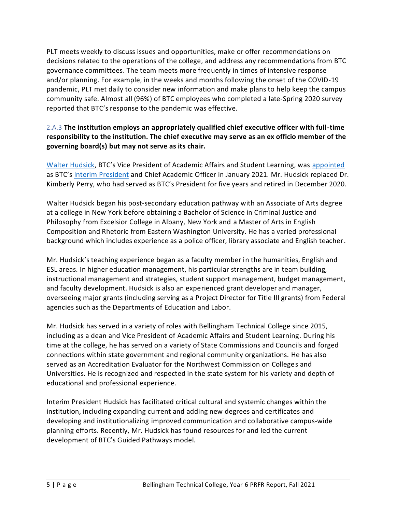PLT meets weekly to discuss issues and opportunities, make or offer recommendations on decisions related to the operations of the college, and address any recommendations from BTC governance committees. The team meets more frequently in times of intensive response and/or planning. For example, in the weeks and months following the onset of the COVID-19 pandemic, PLT met daily to consider new information and make plans to help keep the campus community safe. Almost all (96%) of BTC employees who completed a late-Spring 2020 survey reported that BTC's response to the pandemic was effective.

# <span id="page-7-0"></span>2.A.3 **The institution employs an appropriately qualified chief executive officer with full-time responsibility to the institution. The chief executive may serve as an ex officio member of the governing board(s) but may not serve as its chair.**

[Walter Hudsick](https://nwccu.box.com/s/hadpoyizlm8p9qaw0ayvnv0jxfeh5pwh), BTC's Vice President of Academic Affairs and Student Learning, was [appointed](https://nwccu.box.com/s/dyr3soinhkxei56ixgpaw1d1v6pldah9) as BTC's [Interim President](https://nwccu.box.com/s/pv6lqg5jt54klnu3jafiku2oypbjr0nm) and Chief Academic Officer in January 2021. Mr. Hudsick replaced Dr. Kimberly Perry, who had served as BTC's President for five years and retired in December 2020.

Walter Hudsick began his post-secondary education pathway with an Associate of Arts degree at a college in New York before obtaining a Bachelor of Science in Criminal Justice and Philosophy from Excelsior College in Albany, New York and a Master of Arts in English Composition and Rhetoric from Eastern Washington University. He has a varied professional background which includes experience as a police officer, library associate and English teacher.

Mr. Hudsick's teaching experience began as a faculty member in the humanities, English and ESL areas. In higher education management, his particular strengths are in team building, instructional management and strategies, student support management, budget management, and faculty development. Hudsick is also an experienced grant developer and manager, overseeing major grants (including serving as a Project Director for Title III grants) from Federal agencies such as the Departments of Education and Labor.

Mr. Hudsick has served in a variety of roles with Bellingham Technical College since 2015, including as a dean and Vice President of Academic Affairs and Student Learning. During his time at the college, he has served on a variety of State Commissions and Councils and forged connections within state government and regional community organizations. He has also served as an Accreditation Evaluator for the Northwest Commission on Colleges and Universities. He is recognized and respected in the state system for his variety and depth of educational and professional experience.

Interim President Hudsick has facilitated critical cultural and systemic changes within the institution, including expanding current and adding new degrees and certificates and developing and institutionalizing improved communication and collaborative campus-wide planning efforts. Recently, Mr. Hudsick has found resources for and led the current development of BTC's Guided Pathways model.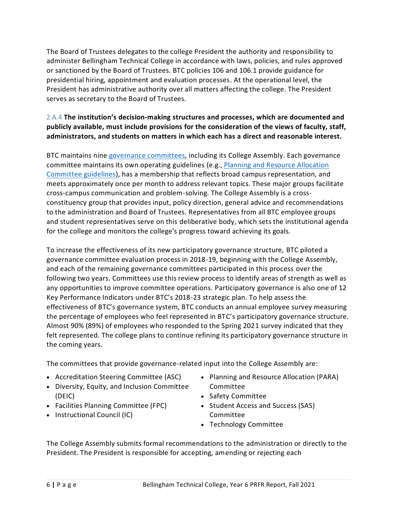The Board of Trustees delegates to the college President the authority and responsibility to administer Bellingham Technical College in accordance with laws, policies, and rules approved or sanctioned by the Board of Trustees. BTC policies 106 and 106.1 provide guidance for presidential hiring, appointment and evaluation processes. At the operational level, the President has administrative authority over all matters affecting the college. The President serves as secretary to the Board of Trustees.

# <span id="page-8-0"></span>2.A.4 **The institution's decision-making structures and processes, which are documented and publicly available, must include provisions for the consideration of the views of faculty, staff, administrators, and students on matters in which each has a direct and reasonable interest.**

BTC maintains nine [governance committees,](https://nwccu.box.com/s/u5xvca666f68x9zr5ts910pwq3yc8jja) including its College Assembly. Each governance committee maintains its own operating guidelines (e.g., [Planning and Resource Allocation](https://nwccu.box.com/s/uazhwy18i6ve14krn3x8pbo7bommf6fh)  [Committee guidelines\)](https://nwccu.box.com/s/uazhwy18i6ve14krn3x8pbo7bommf6fh), has a membership that reflects broad campus representation, and meets approximately once per month to address relevant topics. These major groups facilitate cross-campus communication and problem-solving. The College Assembly is a crossconstituency group that provides input, policy direction, general advice and recommendations to the administration and Board of Trustees. Representatives from all BTC employee groups and student representatives serve on this deliberative body, which sets the institutional agenda for the college and monitors the college's progress toward achieving its goals.

To increase the effectiveness of its new participatory governance structure, BTC piloted a governance committee evaluation process in 2018-19, beginning with the College Assembly, and each of the remaining governance committees participated in this process over the following two years. Committees use this review process to identify areas of strength as well as any opportunities to improve committee operations. Participatory governance is also one of 12 Key Performance Indicators under BTC's 2018-23 strategic plan. To help assess the effectiveness of BTC's governance system, BTC conducts an annual employee survey measuring the percentage of employees who feel represented in BTC's participatory governance structure. Almost 90% (89%) of employees who responded to the Spring 2021 survey indicated that they felt represented. The college plans to continue refining its participatory governance structure in the coming years.

The committees that provide governance-related input into the College Assembly are:

- Accreditation Steering Committee (ASC)
- Diversity, Equity, and Inclusion Committee (DEIC)
- Facilities Planning Committee (FPC)
- Instructional Council (IC)
- Planning and Resource Allocation (PARA) Committee
- Safety Committee
- Student Access and Success (SAS) Committee
- Technology Committee

The College Assembly submits formal recommendations to the administration or directly to the President. The President is responsible for accepting, amending or rejecting each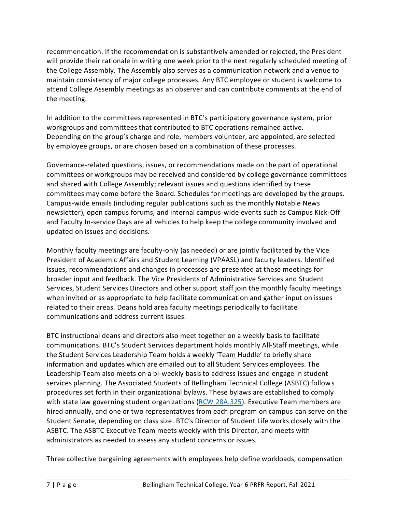recommendation. If the recommendation is substantively amended or rejected, the President will provide their rationale in writing one week prior to the next regularly scheduled meeting of the College Assembly. The Assembly also serves as a communication network and a venue to maintain consistency of major college processes. Any BTC employee or student is welcome to attend College Assembly meetings as an observer and can contribute comments at the end of the meeting.

In addition to the committees represented in BTC's participatory governance system, prior workgroups and committees that contributed to BTC operations remained active. Depending on the group's charge and role, members volunteer, are appointed, are selected by employee groups, or are chosen based on a combination of these processes.

Governance-related questions, issues, or recommendations made on the part of operational committees or workgroups may be received and considered by college governance committees and shared with College Assembly; relevant issues and questions identified by these committees may come before the Board. Schedules for meetings are developed by the groups. Campus-wide emails (including regular publications such as the monthly Notable News newsletter), open campus forums, and internal campus-wide events such as Campus Kick-Off and Faculty In-service Days are all vehicles to help keep the college community involved and updated on issues and decisions.

Monthly faculty meetings are faculty-only (as needed) or are jointly facilitated by the Vice President of Academic Affairs and Student Learning (VPAASL) and faculty leaders. Identified issues, recommendations and changes in processes are presented at these meetings for broader input and feedback. The Vice Presidents of Administrative Services and Student Services, Student Services Directors and other support staff join the monthly faculty meetings when invited or as appropriate to help facilitate communication and gather input on issues related to their areas. Deans hold area faculty meetings periodically to facilitate communications and address current issues.

BTC instructional deans and directors also meet together on a weekly basis to facilitate communications. BTC's Student Services department holds monthly All-Staff meetings, while the Student Services Leadership Team holds a weekly 'Team Huddle' to briefly share information and updates which are emailed out to all Student Services employees. The Leadership Team also meets on a bi-weekly basis to address issues and engage in student services planning. The Associated Students of Bellingham Technical College (ASBTC) follows procedures set forth in their organizational bylaws. These bylaws are established to comply with state law governing student organizations [\(RCW 28A.325\)](https://app.leg.wa.gov/RCW/default.aspx?cite=28A.325&full=true). Executive Team members are hired annually, and one or two representatives from each program on campus can serve on the Student Senate, depending on class size. BTC's Director of Student Life works closely with the ASBTC. The ASBTC Executive Team meets weekly with this Director, and meets with administrators as needed to assess any student concerns or issues.

Three collective bargaining agreements with employees help define workloads, compensation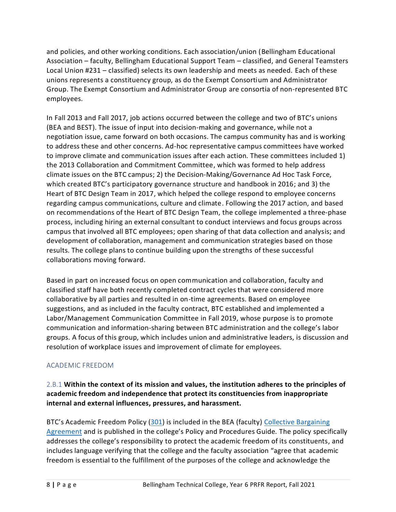and policies, and other working conditions. Each association/union [\(Bellingham Educational](https://sharepoint2013.btc.ctc.edu/sites/accreditation/Shared%20Documents/Human-Resources/Bargaining-Agreements/Collective%20Bargaining%20Agreement-Faculty%20(BEA).pdf)  [Association](https://sharepoint2013.btc.ctc.edu/sites/accreditation/Shared%20Documents/Human-Resources/Bargaining-Agreements/Collective%20Bargaining%20Agreement-Faculty%20(BEA).pdf) – faculty[, Bellingham Educational Support Team](https://sharepoint2013.btc.ctc.edu/sites/accreditation/Shared%20Documents/Human-Resources/Bargaining-Agreements/Collective%20Bargaining%20Agreement-Classified%20Staff%20(BEST).pdf) – classified, and General Teamsters Local Union #231 – classified) selects its own leadership and meets as needed. Each of these unions represents a constituency group, as do the Exempt Consortium and Administrator Group. The Exempt Consortium and Administrator Group are consortia of non-represented BTC employees.

In Fall 2013 and Fall 2017, job actions occurred between the college and two of BTC's unions (BEA and BEST). The issue of input into decision-making and governance, while not a negotiation issue, came forward on both occasions. The campus community has and is working to address these and other concerns. Ad-hoc representative campus committees have worked to improve climate and communication issues after each action. These committees included 1) the 2013 Collaboration and Commitment Committee, which was formed to help address climate issues on the BTC campus; 2) the Decision-Making/Governance Ad Hoc Task Force, which created BTC's participatory governance structure and handbook in 2016; and 3) the Heart of BTC Design Team in 2017, which helped the college respond to employee concerns regarding campus communications, culture and climate. Following the 2017 action, and based on recommendations of the Heart of BTC Design Team, the college implemented a three-phase process, including hiring an external consultant to conduct interviews and focus groups across campus that involved all BTC employees; open sharing of that data collection and analysis; and development of collaboration, management and communication strategies based on those results. The college plans to continue building upon the strengths of these successful collaborations moving forward.

Based in part on increased focus on open communication and collaboration, faculty and classified staff have both recently completed contract cycles that were considered more collaborative by all parties and resulted in on-time agreements. Based on employee suggestions, and as included in the faculty contract, BTC established and implemented a Labor/Management Communication Committee in Fall 2019, whose purpose is to promote communication and information-sharing between BTC administration and the college's labor groups. A focus of this group, which includes union and administrative leaders, is discussion and resolution of workplace issues and improvement of climate for employees.

# <span id="page-10-0"></span>ACADEMIC FREEDOM

# <span id="page-10-1"></span>2.B.1 **Within the context of its mission and values, the institution adheres to the principles of academic freedom and independence that protect its constituencies from inappropriate internal and external influences, pressures, and harassment.**

BTC's Academic Freedom Policy [\(301\)](https://nwccu.box.com/s/jwxotg5b0gsfl4zaz2ccfaedab760sj1) is included in the BEA (faculty) [Collective Bargaining](https://nwccu.box.com/s/7vl81ke2k2jbnteinpry9kvpdrd5aimv)  [Agreement](https://nwccu.box.com/s/7vl81ke2k2jbnteinpry9kvpdrd5aimv) and is published in the college's Policy and Procedures Guide. The policy specifically addresses the college's responsibility to protect the academic freedom of its constituents, and includes language verifying that the college and the faculty association "agree that academic freedom is essential to the fulfillment of the purposes of the college and acknowledge the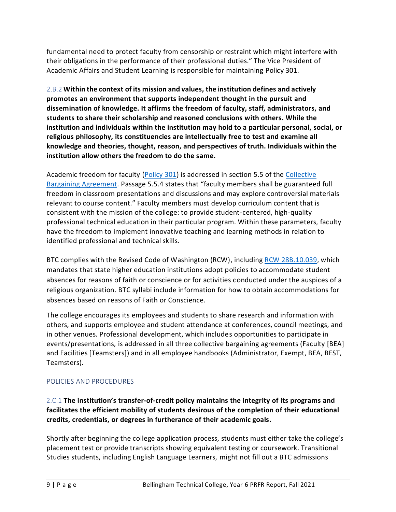fundamental need to protect faculty from censorship or restraint which might interfere with their obligations in the performance of their professional duties." The Vice President of Academic Affairs and Student Learning is responsible for maintaining Policy 301.

<span id="page-11-0"></span>2.B.2 **Within the context of its mission and values, the institution defines and actively promotes an environment that supports independent thought in the pursuit and dissemination of knowledge. It affirms the freedom of faculty, staff, administrators, and students to share their scholarship and reasoned conclusions with others. While the institution and individuals within the institution may hold to a particular personal, social, or religious philosophy, its constituencies are intellectually free to test and examine all knowledge and theories, thought, reason, and perspectives of truth. Individuals within the institution allow others the freedom to do the same.**

Academic freedom for faculty [\(Policy 301\)](https://nwccu.box.com/s/jwxotg5b0gsfl4zaz2ccfaedab760sj1) is addressed in section 5.5 of the [Collective](https://nwccu.box.com/s/7vl81ke2k2jbnteinpry9kvpdrd5aimv)  [Bargaining Agreement.](https://nwccu.box.com/s/7vl81ke2k2jbnteinpry9kvpdrd5aimv) Passage 5.5.4 states that "faculty members shall be guaranteed full freedom in classroom presentations and discussions and may explore controversial materials relevant to course content." Faculty members must develop curriculum content that is consistent with the mission of the college: to provide student-centered, high-quality professional technical education in their particular program. Within these parameters, faculty have the freedom to implement innovative teaching and learning methods in relation to identified professional and technical skills.

BTC complies with the Revised Code of Washington (RCW), including [RCW 28B.10.039,](https://apps.leg.wa.gov/rcw/dispo.aspx?cite=28B.10.039) which mandates that state higher education institutions adopt policies to accommodate student absences for reasons of faith or conscience or for activities conducted under the auspices of a religious organization. BTC syllabi include information for how to obtain accommodations for absences based on reasons of Faith or Conscience.

The college encourages its employees and students to share research and information with others, and supports employee and student attendance at conferences, council meetings, and in other venues. Professional development, which includes opportunities to participate in events/presentations, is addressed in all three collective bargaining agreements (Faculty [\[BEA\]](https://sharepoint2013.btc.ctc.edu/sites/accreditation/Shared%20Documents/Human-Resources/Bargaining-Agreements/Collective%20Bargaining%20Agreement-Faculty%20(BEA).pdf) and Facilities [\[Teamsters\]](https://sharepoint2013.btc.ctc.edu/sites/accreditation/Shared%20Documents/Human-Resources/Bargaining-Agreements/Collective%20Bargaining%20Agreement-Classified%20Staff%20(Teamster).pdf)) and in all employee handbooks [\(Administrator,](https://sharepoint2013.btc.ctc.edu/sites/accreditation/Shared%20Documents/Human-Resources/Employee-Handbooks/Employee%20Handbook-Administrators.pdf) [Exempt,](https://sharepoint2013.btc.ctc.edu/sites/accreditation/Shared%20Documents/Human-Resources/Employee-Handbooks/Employee%20Handbook-Exempt.pdf) [BEA,](https://sharepoint2013.btc.ctc.edu/sites/accreditation/Shared%20Documents/Human-Resources/Employee-Handbooks/Employee%20Handbook-Faculty.pdf) [BEST,](https://sharepoint2013.btc.ctc.edu/sites/accreditation/Shared%20Documents/Human-Resources/Employee-Handbooks/Employee%20Handbook-Classified%20Staff%20(BEST).pdf) [Teamsters\)](https://sharepoint2013.btc.ctc.edu/sites/accreditation/Shared%20Documents/Human-Resources/Employee-Handbooks/Employee%20Handbook-Classified%20Staff%20(Teamster).pdf).

# <span id="page-11-1"></span>POLICIES AND PROCEDURES

<span id="page-11-2"></span>2.C.1 **The institution's transfer-of-credit policy maintains the integrity of its programs and facilitates the efficient mobility of students desirous of the completion of their educational credits, credentials, or degrees in furtherance of their academic goals.**

Shortly after beginning the college application process, students must either take the college's placement test or provide transcripts showing equivalent testing or coursework. Transitional Studies students, including English Language Learners, might not fill out a BTC admissions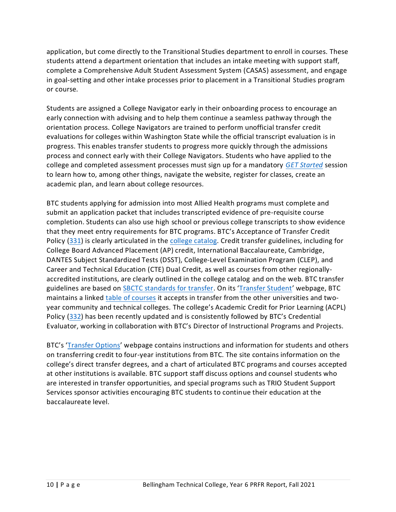application, but come directly to the Transitional Studies department to enroll in courses. These students attend a department orientation that includes an intake meeting with support staff, complete a Comprehensive Adult Student Assessment System (CASAS) assessment, and engage in goal-setting and other intake processes prior to placement in a Transitional Studies program or course.

Students are assigned a College Navigator early in their onboarding process to encourage an early connection with advising and to help them continue a seamless pathway through the orientation process. College Navigators are trained to perform unofficial transfer credit evaluations for colleges within Washington State while the official transcript evaluation is in progress. This enables transfer students to progress more quickly through the admissions process and connect early with their College Navigators. Students who have applied to the college and completed assessment processes must sign up for a mandatory *[GET Started](https://www.btc.edu/FutureStudents/FirstTimeStudent.html#3AdvisingRegistration)* session to learn how to, among other things, navigate the website, register for classes, create an academic plan, and learn about college resources.

BTC students applying for admission into most Allied Health programs must complete and submit an application packet that includes transcripted evidence of pre-requisite course completion. Students can also use high school or previous college transcripts to show evidence that they meet entry requirements for BTC programs. BTC's Acceptance of Transfer Credit Policy [\(331\)](https://nwccu.box.com/s/gbz1ud6izmxey7no9pxk883g8guryewp) is clearly articulated in th[e college catalog.](https://nwccu.box.com/s/c3zoglzvgpk0qzrky64eac34t3lwk9qf) Credit transfer guidelines, including for College Board Advanced Placement (AP) credit, International Baccalaureate, Cambridge, DANTES Subject Standardized Tests (DSST), College-Level Examination Program (CLEP), and Career and Technical Education (CTE) Dual Credit, as well as courses from other regionallyaccredited institutions, are clearly outlined in the college catalog and on the web. BTC transfer guidelines are based on [SBCTC standards for transfer.](https://nwccu.box.com/s/0auebg7v0w5n7fhph8krqfnhhdempbyt) On its '[Transfer Student](https://www.btc.edu/FutureStudents/TransferStudent.html)' webpage, BTC maintains a linked [table of courses](https://tes.collegesource.com/publicview/TES_publicview01.aspx?rid=d45f6ad8-8c59-464d-b914-e70154dc3ccc&aid=c771ab6d-c848-4247-b18d-708691c9346a) it accepts in transfer from the other universities and twoyear community and technical colleges. The college's Academic Credit for Prior Learning (ACPL) Policy [\(332\)](https://nwccu.box.com/s/nb439a9u1kslbri00zd8a433fn6mjod0) has been recently updated and is consistently followed by BTC's Credential Evaluator, working in collaboration with BTC's Director of Instructional Programs and Projects.

<span id="page-12-0"></span>BTC's '[Transfer Options](https://www.btc.edu/Academics/TransferOptions.html)' webpage contains instructions and information for students and others on transferring credit to four-year institutions from BTC. The site contains information on the college's direct transfer degrees, and a chart of articulated BTC programs and courses accepted at other institutions is available. BTC support staff discuss options and counsel students who are interested in transfer opportunities, and special programs such as TRIO Student Support Services sponsor activities encouraging BTC students to continue their education at the baccalaureate level.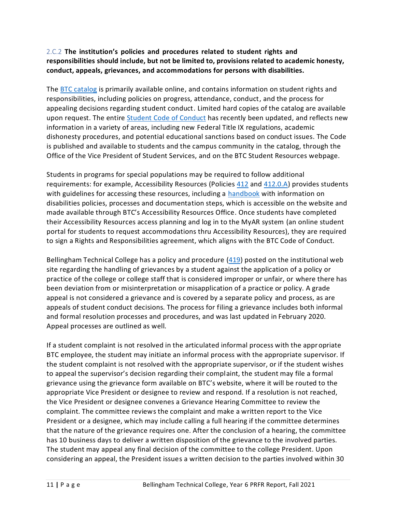# 2.C.2 **The institution's policies and procedures related to student rights and responsibilities should include, but not be limited to, provisions related to academic honesty, conduct, appeals, grievances, and accommodations for persons with disabilities.**

The BTC [catalog](https://nwccu.box.com/s/91kgi9wlahvvxsrta3tqvrgg3vihu518) is primarily available online, and contains information on student rights and responsibilities, including policies on progress, attendance, conduct, and the process for appealing decisions regarding student conduct. Limited hard copies of the catalog are available upon request. The entire [Student Code of Conduct](https://nwccu.box.com/s/5z1gmnp6gblfj5i7biwe1oy4rb1mdtvl) has recently been updated, and reflects new information in a variety of areas, including new Federal Title IX regulations, academic dishonesty procedures, and potential educational sanctions based on conduct issues. The Code is published and available to students and the campus community in the catalog, through the Office of the Vice President of Student Services, and on the BTC Student Resources webpage.

Students in programs for special populations may be required to follow additional requirements: for example, Accessibility Resources (Policie[s 412](https://nwccu.box.com/s/h1fwqtsszcbi9m8a55kkoe5obxtbdtmj) an[d 412.0.A\)](https://nwccu.box.com/s/jjh50rh6f88k442yx3nkv0fvb962411a) provides students with guidelines for accessing these resources, including a [handbook](https://nwccu.box.com/s/gpx8z7vxp9f2oygc4gzjmvr3ewfcs93n) with information on disabilities policies, processes and documentation steps, which is accessible on the website and made available through BTC's Accessibility Resources Office. Once students have completed their Accessibility Resources access planning and log in to the MyAR system (an online student portal for students to request accommodations thru Accessibility Resources), they are required to sign a Rights and Responsibilities agreement, which aligns with the BTC Code of Conduct.

Bellingham Technical College has a policy and procedure [\(419\)](https://nwccu.box.com/s/ihi25rlggl2yp87rmi8w356b6zh404wy) posted on the institutional web site regarding the handling of grievances by a student against the application of a policy or practice of the college or college staff that is considered improper or unfair, or where there has been deviation from or misinterpretation or misapplication of a practice or policy. A grade appeal is not considered a grievance and is covered by a separate policy and process, as are appeals of student conduct decisions. The process for filing a grievance includes both informal and formal resolution processes and procedures, and was last updated in February 2020. Appeal processes are outlined as well.

If a student complaint is not resolved in the articulated informal process with the appropriate BTC employee, the student may initiate an informal process with the appropriate supervisor. If the student complaint is not resolved with the appropriate supervisor, or if the student wishes to appeal the supervisor's decision regarding their complaint, the student may file a formal grievance using the grievance form available on BTC's website, where it will be routed to the appropriate Vice President or designee to review and respond. If a resolution is not reached, the Vice President or designee convenes a Grievance Hearing Committee to review the complaint. The committee reviews the complaint and make a written report to the Vice President or a designee, which may include calling a full hearing if the committee determines that the nature of the grievance requires one. After the conclusion of a hearing, the committee has 10 business days to deliver a written disposition of the grievance to the involved parties. The student may appeal any final decision of the committee to the college President. Upon considering an appeal, the President issues a written decision to the parties involved within 30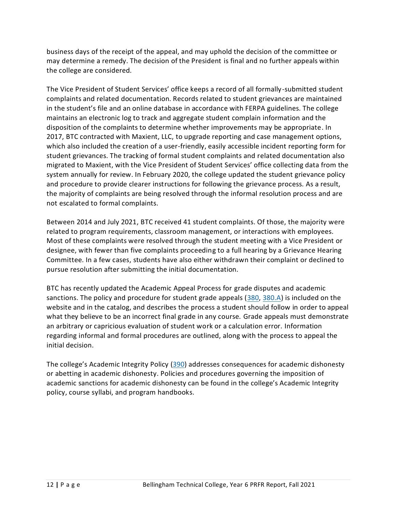business days of the receipt of the appeal, and may uphold the decision of the committee or may determine a remedy. The decision of the President is final and no further appeals within the college are considered.

The Vice President of Student Services' office keeps a record of all formally -submitted student complaints and related documentation. Records related to student grievances are maintained in the student's file and an online database in accordance with FERPA guidelines. The college maintains an electronic log to track and aggregate student complain information and the disposition of the complaints to determine whether improvements may be appropriate. In 2017, BTC contracted with Maxient, LLC, to upgrade reporting and case management options, which also included the creation of a user-friendly, easily accessible incident reporting form for student grievances. The tracking of formal student complaints and related documentation also migrated to Maxient, with the Vice President of Student Services' office collecting data from the system annually for review. In February 2020, the college updated the student grievance policy and procedure to provide clearer instructions for following the grievance process. As a result, the majority of complaints are being resolved through the informal resolution process and are not escalated to formal complaints.

Between 2014 and July 2021, BTC received 41 student complaints. Of those, the majority were related to program requirements, classroom management, or interactions with employees. Most of these complaints were resolved through the student meeting with a Vice President or designee, with fewer than five complaints proceeding to a full hearing by a Grievance Hearing Committee. In a few cases, students have also either withdrawn their complaint or declined to pursue resolution after submitting the initial documentation.

BTC has recently updated the Academic Appeal Process for grade disputes and academic sanctions. The policy and procedure for student grade appeals [\(380,](https://nwccu.box.com/s/51u1pejipbqrn99vn8x2qqdul1rcdelt) [380.A\)](https://nwccu.box.com/s/m5hyi3n2uqgqlwf23w0ku1mi7ppf8llm) is included on the website and in the catalog, and describes the process a student should follow in order to appeal what they believe to be an incorrect final grade in any course. Grade appeals must demonstrate an arbitrary or capricious evaluation of student work or a calculation error. Information regarding informal and formal procedures are outlined, along with the process to appeal the initial decision.

<span id="page-14-0"></span>The college's Academic Integrity Policy [\(390\)](https://nwccu.box.com/s/vc2snrmnsc2qkdlj4odtqllil37aykd0) addresses consequences for academic dishonesty or abetting in academic dishonesty. Policies and procedures governing the imposition of academic sanctions for academic dishonesty can be found in the college's Academic Integrity policy, course syllabi, and program handbooks.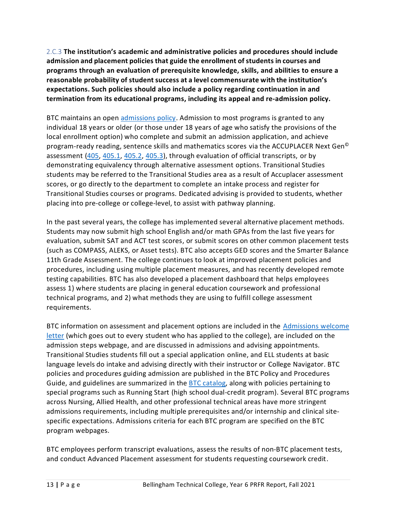2.C.3 **The institution's academic and administrative policies and procedures should include admission and placement policies that guide the enrollment ofstudents in courses and programs through an evaluation of prerequisite knowledge, skills, and abilities to ensure a reasonable probability of student success at a level commensurate with the institution's expectations. Such policies should also include a policy regarding continuation in and termination from its educational programs, including its appeal and re-admission policy.**

BTC maintains an open [admissions policy.](https://nwccu.box.com/s/bxc2sx9g2ndh4fk5k0q6pe5idmqdm21h) Admission to most programs is granted to any individual 18 years or older (or those under 18 years of age who satisfy the provisions of the local enrollment option) who complete and submit an admission application, and achieve program-ready reading, sentence skills and mathematics scores via the ACCUPLACER Next Gen<sup>®</sup> assessment [\(405,](https://nwccu.box.com/s/bxc2sx9g2ndh4fk5k0q6pe5idmqdm21h) [405.1,](https://nwccu.box.com/s/he7nvr73q0u7t9p7uel6ujrv8l1ufz47) [405.2,](https://nwccu.box.com/s/9hovdqhderi7udwwj20wwb9cs51qk3dv) [405.3\)](https://nwccu.box.com/s/krab2ryuffxulfzcd60j282yd8g8ae4e), through evaluation of official transcripts, or by demonstrating equivalency through alternative assessment options. Transitional Studies students may be referred to the Transitional Studies area as a result of Accuplacer assessment scores, or go directly to the department to complete an intake process and register for Transitional Studies courses or programs. Dedicated advising is provided to students, whether placing into pre-college or college-level, to assist with pathway planning.

In the past several years, the college has implemented several alternative placement methods. Students may now submit high school English and/or math GPAs from the last five years for evaluation, submit SAT and ACT test scores, or submit scores on other common placement tests (such as COMPASS, ALEKS, or Asset tests). BTC also accepts GED scores and the Smarter Balance 11th Grade Assessment. The college continues to look at improved placement policies and procedures, including using multiple placement measures, and has recently developed remote testing capabilities. BTC has also developed a placement dashboard that helps employees assess 1) where students are placing in general education coursework and professional technical programs, and 2) what methods they are using to fulfill college assessment requirements.

BTC information on assessment and placement options are included in the [Admissions welcome](https://nwccu.box.com/s/2jac05igt2hy9twjfcbyzcmgt36wbb91)  [letter](https://nwccu.box.com/s/2jac05igt2hy9twjfcbyzcmgt36wbb91) (which goes out to every student who has applied to the college), are included on the admission steps webpage, and are discussed in admissions and advising appointments. Transitional Studies students fill out a special application online, and ELL students at basic language levels do intake and advising directly with their instructor or College Navigator. BTC policies and procedures guiding admission are published in the BTC Policy and Procedures Guide, and guidelines are summarized in the [BTC catalog,](https://nwccu.box.com/s/4ls9xfy97l6swlo1amq8und480qbjcpx) along with policies pertaining to special programs such as Running Start (high school dual-credit program). Several BTC programs across Nursing, Allied Health, and other professional technical areas have more stringent admissions requirements, including multiple prerequisites and/or internship and clinical sitespecific expectations. Admissions criteria for each BTC program are specified on the BTC program webpages.

BTC employees perform transcript evaluations, assess the results of non-BTC placement tests, and conduct Advanced Placement assessment for students requesting coursework credit.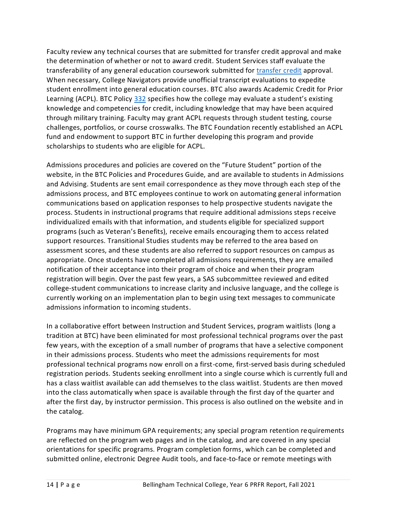Faculty review any technical courses that are submitted for transfer credit approval and make the determination of whether or not to award credit. Student Services staff evaluate the transferability of any general education coursework submitted for [transfer credit](https://nwccu.box.com/s/mko6x7l0vzg0kqap8uz27a4l38o3awmx) approval. When necessary, College Navigators provide unofficial transcript evaluations to expedite student enrollment into general education courses. BTC also awards Academic Credit for Prior Learning (ACPL). BTC Policy [332](https://nwccu.box.com/s/h0iwszrd8qippcxv1pwg9aptfpv5sevz) specifies how the college may evaluate a student's existing knowledge and competencies for credit, including knowledge that may have been acquired through military training. Faculty may grant ACPL requests through student testing, course challenges, portfolios, or course crosswalks. The BTC Foundation recently established an ACPL fund and endowment to support BTC in further developing this program and provide scholarships to students who are eligible for ACPL.

Admissions procedures and policies are covered on the "Future Student" portion of the website, in the BTC Policies and Procedures Guide, and are available to students in Admissions and Advising. Students are sent email correspondence as they move through each step of the admissions process, and BTC employees continue to work on automating general information communications based on application responses to help prospective students navigate the process. Students in instructional programs that require additional admissions steps receive individualized emails with that information, and students eligible for specialized support programs (such as Veteran's Benefits), receive emails encouraging them to access related support resources. Transitional Studies students may be referred to the area based on assessment scores, and these students are also referred to support resources on campus as appropriate. Once students have completed all admissions requirements, they are emailed notification of their acceptance into their program of choice and when their program registration will begin. Over the past few years, a SAS subcommittee reviewed and edited college-student communications to increase clarity and inclusive language, and the college is currently working on an implementation plan to begin using text messages to communicate admissions information to incoming students.

In a collaborative effort between Instruction and Student Services, program waitlists (long a tradition at BTC) have been eliminated for most professional technical programs over the past few years, with the exception of a small number of programs that have a selective component in their admissions process. Students who meet the admissions requirements for most professional technical programs now enroll on a first-come, first-served basis during scheduled registration periods. Students seeking enrollment into a single course which is currently full and has a class waitlist available can add themselves to the class waitlist. Students are then moved into the class automatically when space is available through the first day of the quarter and after the first day, by instructor permission. This process is also outlined on the website and in the catalog.

Programs may have minimum GPA requirements; any special program retention requirements are reflected on the program web pages and in the catalog, and are covered in any special orientations for specific programs. Program completion forms, which can be completed and submitted online, electronic Degree Audit tools, and face-to-face or remote meetings with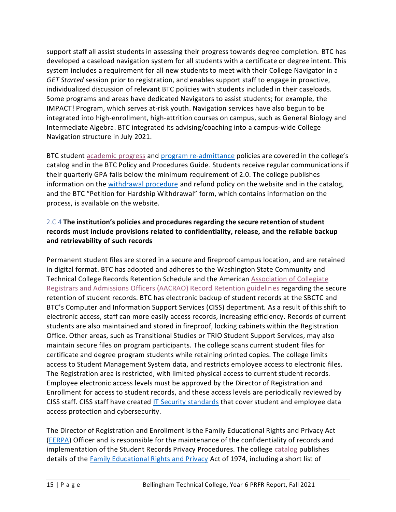support staff all assist students in assessing their progress towards degree completion. BTC has developed a caseload navigation system for all students with a certificate or degree intent. This system includes a requirement for all new students to meet with their College Navigator in a *GET Started* session prior to registration, and enables support staff to engage in proactive, individualized discussion of relevant BTC policies with students included in their caseloads. Some programs and areas have dedicated Navigators to assist students; for example, the IMPACT! Program, which serves at-risk youth. Navigation services have also begun to be integrated into high-enrollment, high-attrition courses on campus, such as General Biology and Intermediate Algebra. BTC integrated its advising/coaching into a campus-wide College Navigation structure in July 2021.

BTC student [academic](https://nwccu.box.com/s/d4bt4yb3cja7c7263jz5fzfobar6rx8a) progress and [program re-admittance](https://nwccu.box.com/s/9nizpl8yaz5irv2adijv9x4nvnj8dwzi) policies are covered in the college's catalog and in the BTC Policy and Procedures Guide. Students receive regular communications if their quarterly GPA falls below the minimum requirement of 2.0. The college publishes information on the [withdrawal procedure](https://nwccu.box.com/s/gdpie1qvdves9jcq4pfcwdn7uy1zb8v0) and refund policy on the website and in the catalog, and the BTC "Petition for Hardship Withdrawal" form, which contains information on the process, is available on the website.

# <span id="page-17-0"></span>2.C.4 **The institution's policies and procedures regarding the secure retention ofstudent records must include provisions related to confidentiality, release, and the reliable backup and retrievability of such records**

Permanent student files are stored in a secure and fireproof campus location, and are retained in digital format. BTC has adopted and adheres to the Washington State Community and Technical College Records Retention Schedule and the American [Association of Collegiate](https://nwccu.box.com/s/mq1eiimoe941hltljhlkghh0ys5y1yzw)  [Registrars and Admissions Officers \(AACRAO\) Record Retention guidelines](https://nwccu.box.com/s/mq1eiimoe941hltljhlkghh0ys5y1yzw) regarding the secure retention of student records. BTC has electronic backup of student records at the SBCTC and BTC's Computer and Information Support Services (CISS) department. As a result of this shift to electronic access, staff can more easily access records, increasing efficiency. Records of current students are also maintained and stored in fireproof, locking cabinets within the Registration Office. Other areas, such as Transitional Studies or TRIO Student Support Services, may also maintain secure files on program participants. The college scans current student files for certificate and degree program students while retaining printed copies. The college limits access to Student Management System data, and restricts employee access to electronic files. The Registration area is restricted, with limited physical access to current student records. Employee electronic access levels must be approved by the Director of Registration and Enrollment for access to student records, and these access levels are periodically reviewed by CISS staff. CISS staff have created [IT Security standards](https://nwccu.box.com/s/ln5yfxeh1r5x4ct1807of8nwcr3lujm5) that cover student and employee data access protection and cybersecurity.

The Director of Registration and Enrollment is the Family Educational Rights and Privacy Act [\(FERPA\)](https://nwccu.box.com/s/25v62urbdnsarnrd36ax1jn9tmyr1ya4) Officer and is responsible for the maintenance of the confidentiality of records and implementation of the Student Records Privacy Procedures. The college [catalog](https://nwccu.box.com/s/5n66ijdozvdkqnxogof7i223nvumzf2o) publishes details of the [Family Educational Rights and Privacy](https://nwccu.box.com/s/qqq3u8njywraynjnvhpoo83hsnbhmrnb) Act of 1974, including a short list of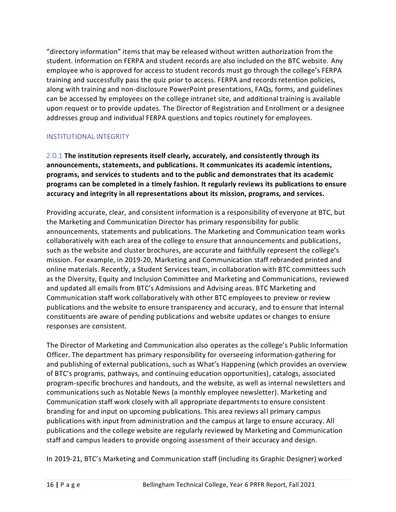"directory information" items that may be released without written authorization from the student. Information on FERPA and student records are also included on the BTC website. Any employee who is approved for access to student records must go through the college's FERPA training and successfully pass the quiz prior to access. FERPA and records retention policies, along with training and non-disclosure PowerPoint presentations, FAQs, forms, and guidelines can be accessed by employees on the college intranet site, and additional training is available upon request or to provide updates. The Director of Registration and Enrollment or a designee addresses group and individual FERPA questions and topics routinely for employees.

# <span id="page-18-0"></span>INSTITUTIONAL INTEGRITY

<span id="page-18-1"></span>2.D.1 **The institution represents itself clearly, accurately, and consistently through its announcements, statements, and publications. It communicates its academic intentions, programs, and services to students and to the public and demonstrates that its academic programs can be completed in a timely fashion. It regularly reviews its publications to ensure accuracy and integrity in all representations about its mission, programs, and services.**

Providing accurate, clear, and consistent information is a responsibility of everyone at BTC, but the Marketing and Communication Director has primary responsibility for public announcements, statements and publications. The Marketing and Communication team works collaboratively with each area of the college to ensure that announcements and publications, such as the website and cluster brochures, are accurate and faithfully represent the college's mission. For example, in 2019-20, Marketing and Communication staff rebranded printed and online materials. Recently, a Student Services team, in collaboration with BTC committees such as the Diversity, Equity and Inclusion Committee and Marketing and Communications, reviewed and updated all emails from BTC's Admissions and Advising areas. BTC Marketing and Communication staff work collaboratively with other BTC employees to preview or review publications and the website to ensure transparency and accuracy, and to ensure that internal constituents are aware of pending publications and website updates or changes to ensure responses are consistent.

The Director of Marketing and Communication also operates as the college's Public Information Officer. The department has primary responsibility for overseeing information-gathering for and publishing of external publications, such as What's Happening (which provides an overview of BTC's programs, pathways, and continuing education opportunities), catalogs, associated program-specific brochures and handouts, and the website, as well as internal newsletters and communications such as Notable News (a monthly employee newsletter). Marketing and Communication staff work closely with all appropriate departments to ensure consistent branding for and input on upcoming publications. This area reviews all primary campus publications with input from administration and the campus at large to ensure accuracy. All publications and the college website are regularly reviewed by Marketing and Communication staff and campus leaders to provide ongoing assessment of their accuracy and design.

In 2019-21, BTC's Marketing and Communication staff (including its Graphic Designer) worked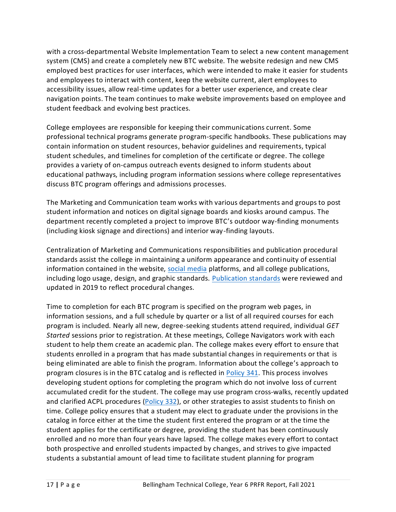with a cross-departmental Website Implementation Team to select a new content management system (CMS) and create a completely new BTC website. The website redesign and new CMS employed best practices for user interfaces, which were intended to make it easier for students and employees to interact with content, keep the website current, alert employees to accessibility issues, allow real-time updates for a better user experience, and create clear navigation points. The team continues to make website improvements based on employee and student feedback and evolving best practices.

College employees are responsible for keeping their communications current. Some professional technical programs generate program-specific handbooks. These publications may contain information on student resources, behavior guidelines and requirements, typical student schedules, and timelines for completion of the certificate or degree. The college provides a variety of on-campus outreach events designed to inform students about educational pathways, including program information sessions where college representatives discuss BTC program offerings and admissions processes.

The Marketing and Communication team works with various departments and groups to post student information and notices on digital signage boards and kiosks around campus. The department recently completed a project to improve BTC's outdoor way-finding monuments (including kiosk signage and directions) and interior way-finding layouts.

Centralization of Marketing and Communications responsibilities and publication procedural standards assist the college in maintaining a uniform appearance and continuity of essential information contained in the website, [social media](https://nwccu.box.com/s/b1in9i50vi1tz3y9rapz7pwvqu5tsr4t) platforms, and all college publications, including logo usage, design, and graphic standards. [Publication standards](https://nwccu.box.com/s/i8uj8uwcb26r4bik9dtaz2a798kv2sjg) were reviewed and updated in 2019 to reflect procedural changes.

Time to completion for each BTC program is specified on the program web pages, in information sessions, and a full schedule by quarter or a list of all required courses for each program is included. Nearly all new, degree-seeking students attend required, individual *GET Started* sessions prior to registration. At these meetings, College Navigators work with each student to help them create an academic plan. The college makes every effort to ensure that students enrolled in a program that has made substantial changes in requirements or that is being eliminated are able to finish the program. Information about the college's approach to program closures is in the BTC catalog and is reflected in [Policy 341.](https://nwccu.box.com/s/6dsuegdfuln06un6bm0dbk8jtvomv4q3) This process involves developing student options for completing the program which do not involve loss of current accumulated credit for the student. The college may use program cross-walks, recently updated and clarified ACPL procedures [\(Policy 332\)](https://nwccu.box.com/s/hnbem75p2xte4xtcqwm2tp5lfoht7bnf), or other strategies to assist students to finish on time. College policy ensures that a student may elect to graduate under the provisions in the catalog in force either at the time the student first entered the program or at the time the student applies for the certificate or degree, providing the student has been continuously enrolled and no more than four years have lapsed. The college makes every effort to contact both prospective and enrolled students impacted by changes, and strives to give impacted students a substantial amount of lead time to facilitate student planning for program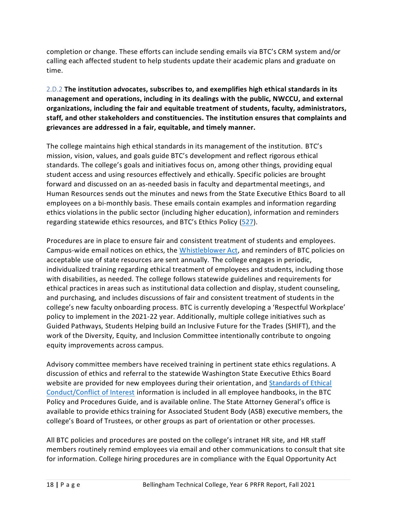completion or change. These efforts can include sending emails via BTC's CRM system and/or calling each affected student to help students update their academic plans and graduate on time.

<span id="page-20-0"></span>2.D.2 **The institution advocates, subscribes to, and exemplifies high ethical standards in its management and operations, including in its dealings with the public, NWCCU, and external organizations, including the fair and equitable treatment of students, faculty, administrators, staff, and other stakeholders and constituencies. The institution ensures that complaints and grievances are addressed in a fair, equitable, and timely manner.**

The college maintains high ethical standards in its management of the institution. BTC's mission, vision, values, and goals guide BTC's development and reflect rigorous ethical standards. The college's goals and initiatives focus on, among other things, providing equal student access and using resources effectively and ethically. Specific policies are brought forward and discussed on an as-needed basis in faculty and departmental meetings, and Human Resources sends out the minutes and news from the State Executive Ethics Board to all employees on a bi-monthly basis. These emails contain examples and information regarding ethics violations in the public sector (including higher education), information and reminders regarding statewide ethics resources, and BTC's Ethics Policy [\(527\)](https://nwccu.box.com/s/jx2asyfb5thn3xwzycb2wonhgzxy7ei6).

Procedures are in place to ensure fair and consistent treatment of students and employees. Campus-wide email notices on ethics, the [Whistleblower Act,](https://nwccu.box.com/s/ahrix6tvdsy4tlzndq0d2vmzga9yfvym) and reminders of BTC policies on acceptable use of state resources are sent annually. The college engages in periodic, individualized training regarding ethical treatment of employees and students, including those with disabilities, as needed. The college follows statewide guidelines and requirements for ethical practices in areas such as institutional data collection and display, student counseling, and purchasing, and includes discussions of fair and consistent treatment of students in the college's new faculty onboarding process. BTC is currently developing a 'Respectful Workplace' policy to implement in the 2021-22 year. Additionally, multiple college initiatives such as Guided Pathways, Students Helping build an Inclusive Future for the Trades (SHIFT), and the work of the Diversity, Equity, and Inclusion Committee intentionally contribute to ongoing equity improvements across campus.

Advisory committee members have received training in pertinent state ethics regulations. A discussion of ethics and referral to the statewide Washington State Executive Ethics Board website are provided for new employees during their orientation, an[d Standards of Ethical](https://nwccu.box.com/s/jx2asyfb5thn3xwzycb2wonhgzxy7ei6)  [Conduct/Conflict of Interest](https://nwccu.box.com/s/jx2asyfb5thn3xwzycb2wonhgzxy7ei6) information is included in all employee handbooks, in the BTC Policy and Procedures Guide, and is available online. The State Attorney General's office is available to provide ethics training for Associated Student Body (ASB) executive members, the college's Board of Trustees, or other groups as part of orientation or other processes.

All BTC policies and procedures are posted on the college's intranet HR site, and HR staff members routinely remind employees via email and other communications to consult that site for information. College hiring procedures are in compliance with the Equal Opportunity Act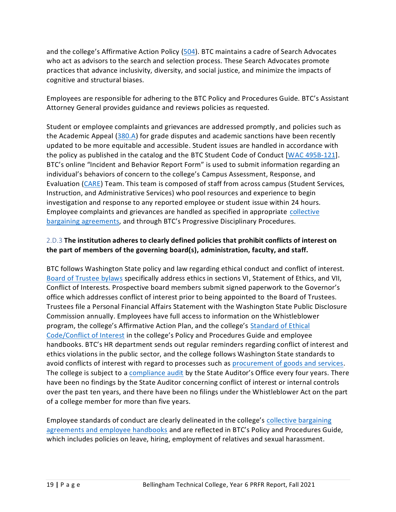and the college's Affirmative Action Policy [\(504\)](https://nwccu.box.com/s/zvfsbfgt6xde4trbru8yrh7ldjwgmmu0). BTC maintains a cadre of Search Advocates who act as advisors to the search and selection process. These Search Advocates promote practices that advance inclusivity, diversity, and social justice, and minimize the impacts of cognitive and structural biases.

Employees are responsible for adhering to the BTC Policy and Procedures Guide. BTC's Assistant Attorney General provides guidance and reviews policies as requested.

Student or employee complaints and grievances are addressed promptly, and policies such as the Academic Appeal [\(380.A\)](https://nwccu.box.com/s/90d628vrolby65qb8ikb1xrhixlic074) for grade disputes and academic sanctions have been recently updated to be more equitable and accessible. Student issues are handled in accordance with the policy as published in the catalog and the BTC Student Code of Conduct [\[WAC 495B-121\]](https://apps.leg.wa.gov/WAC/default.aspx?cite=495B-121). BTC's online "Incident and Behavior Report Form" is used to submit information regarding an individual's behaviors of concern to the college's Campus Assessment, Response, and Evaluation [\(CARE\)](https://nwccu.box.com/s/qdolio2a8w2087n8c5mowk9bjgdzfxen) Team. This team is composed of staff from across campus (Student Services, Instruction, and Administrative Services) who pool resources and experience to begin investigation and response to any reported employee or student issue within 24 hours. Employee complaints and grievances are handled as specified in appropriate [collective](https://nwccu.box.com/s/v46u5cj1wt1obey5ftjs6p4hujjk692d)  [bargaining agreements,](https://nwccu.box.com/s/v46u5cj1wt1obey5ftjs6p4hujjk692d) and through BTC's Progressive Disciplinary Procedures.

# <span id="page-21-0"></span>2.D.3 **The institution adheres to clearly defined policies that prohibit conflicts of interest on the part of members of the governing board(s), administration, faculty, and staff.**

BTC follows Washington State policy and law regarding ethical conduct and conflict of interest. [Board of Trustee bylaws](https://nwccu.box.com/s/18116xtksegf4tnmybqazg02512aqg81) specifically address ethics in sections VI, Statement of Ethics, and VII, Conflict of Interests. Prospective board members submit signed paperwork to the Governor's office which addresses conflict of interest prior to being appointed to the Board of Trustees. Trustees file a Personal Financial Affairs Statement with the Washington State Public Disclosure Commission annually. Employees have full access to information on the Whistleblower program, the college's Affirmative Action Plan, and the college's [Standard of Ethical](https://nwccu.box.com/s/7hudlbd6boplzhepymtnq6j4kpo366w3)  [Code/Conflict of Interest](https://nwccu.box.com/s/7hudlbd6boplzhepymtnq6j4kpo366w3) in the college's Policy and Procedures Guide and employee handbooks. BTC's HR department sends out regular reminders regarding conflict of interest and ethics violations in the public sector, and the college follows Washington State standards to avoid conflicts of interest with regard to processes such as [procurement of goods and services.](https://nwccu.box.com/s/dh6xqsw85ufqldju0sphm7j25tws1kc7) The college is subject to [a compliance audit](https://nwccu.box.com/s/0vrvqjxpzf8xsfldsghfk76pf8o6ynfp) by the State Auditor's Office every four years. There have been no findings by the State Auditor concerning conflict of interest or internal controls over the past ten years, and there have been no filings under the Whistleblower Act on the part of a college member for more than five years.

Employee standards of conduct are clearly delineated in the college's [collective bargaining](https://nwccu.box.com/s/v46u5cj1wt1obey5ftjs6p4hujjk692d)  [agreements and employee handbooks](https://nwccu.box.com/s/v46u5cj1wt1obey5ftjs6p4hujjk692d) and are reflected in BTC's Policy and Procedures Guide, which includes policies on leave, hiring, employment of relatives and sexual harassment.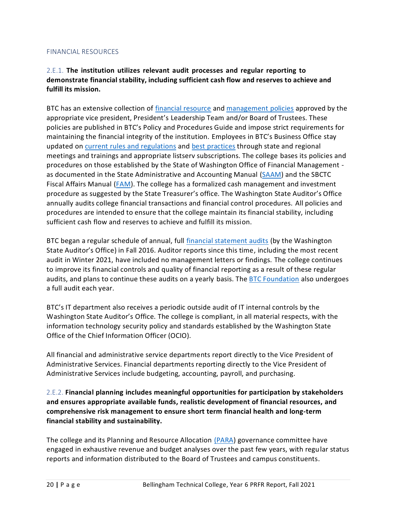### <span id="page-22-0"></span>FINANCIAL RESOURCES

# <span id="page-22-1"></span>2.E.1. **The institution utilizes relevant audit processes and regular reporting to demonstrate financial stability, including sufficient cash flow and reserves to achieve and fulfill its mission.**

BTC has an extensive collection of [financial resource](https://nwccu.box.com/s/v1jpiwoj0lzv99uftn59rjmcotmlapv9) and [management policies](https://nwccu.box.com/s/ld8txm5r7lmx9ohyp07n3sze49l0ua8z) approved by the appropriate vice president, President's Leadership Team and/or Board of Trustees. These policies are published in BTC's Policy and Procedures Guide and impose strict requirements for maintaining the financial integrity of the institution. Employees in BTC's Business Office stay updated on [current rules and](https://www.gasb.org/home) regulations and [best practices](https://www.investopedia.com/terms/g/gaap.asp) through state and regional meetings and trainings and appropriate listserv subscriptions. The college bases its policies and procedures on those established by the State of Washington Office of Financial Management as documented in the [State Administrative and Accounting Manual](http://www.ofm.wa.gov/policy/) [\(SAAM\)](https://ofm.wa.gov/accounting/saam) and the SBCTC [Fiscal Affairs Manual](http://apps.sbctc.edu/FAM/)  $(FAM)$ . The college has a formalized cash management and investment procedure as suggested by the State Treasurer's office. The Washington State Auditor's Office annually audits college financial transactions and financial control procedures. All policies and procedures are intended to ensure that the college maintain its financial stability, including sufficient cash flow and reserves to achieve and fulfill its mission.

BTC began a regular schedule of annual, full [financial statement audits](https://nwccu.box.com/s/sbj5xhf715l6cn7olhzl7z5vfbh5la8c) (by the Washington State Auditor's Office) in Fall 2016. Auditor reports since this time, including the most recent audit in Winter 2021, have included no management letters or findings. The college continues to improve its financial controls and quality of financial reporting as a result of these regular audits, and plans to continue these audits on a yearly basis. The [BTC Foundation](https://nwccu.box.com/s/buyhcm1jd8qxasuap1mkb7qidk6loufg) also undergoes a full audit each year.

BTC's IT department also receives a periodic outside audit of IT internal controls by the Washington State Auditor's Office. The college is compliant, in all material respects, with the information technology security policy and standards established by the Washington State Office of the Chief Information Officer (OCIO).

All financial and administrative service departments report directly to the Vice President of Administrative Services. Financial departments reporting directly to the Vice President of Administrative Services include budgeting, accounting, payroll, and purchasing.

<span id="page-22-2"></span>2.E.2. **Financial planning includes meaningful opportunities for participation by stakeholders and ensures appropriate available funds, realistic development of financial resources, and comprehensive risk management to ensure short term financial health and long-term financial stability and sustainability.**

The college and its Planning and Resource Allocation [\(PARA\)](https://nwccu.box.com/s/vpvetvpt1y3zhtme5v4svvxgi0uhst85) governance committee have engaged in exhaustive revenue and budget analyses over the past few years, with regular status reports and information distributed to the Board of Trustees and campus constituents.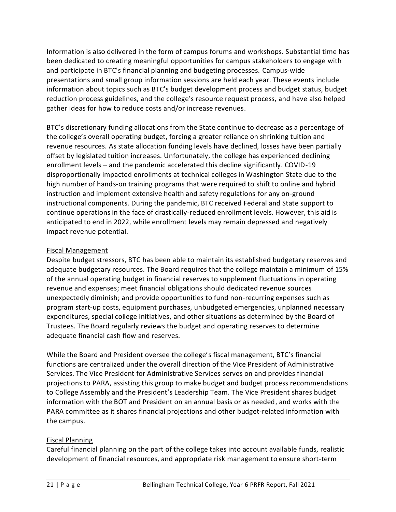Information is also delivered in the form of campus forums and workshops. Substantial time has been dedicated to creating meaningful opportunities for campus stakeholders to engage with and participate in BTC's financial planning and budgeting processes. Campus-wide presentations and small group information sessions are held each year. These events include information about topics such as BTC's budget development process and budget status, budget reduction process guidelines, and the college's resource request process, and have also helped gather ideas for how to reduce costs and/or increase revenues.

BTC's discretionary funding allocations from the State continue to decrease as a percentage of the college's overall operating budget, forcing a greater reliance on shrinking tuition and revenue resources. As state allocation funding levels have declined, losses have been partially offset by legislated tuition increases. Unfortunately, the college has experienced declining enrollment levels – and the pandemic accelerated this decline significantly. COVID-19 disproportionally impacted enrollments at technical colleges in Washington State due to the high number of hands-on training programs that were required to shift to online and hybrid instruction and implement extensive health and safety regulations for any on-ground instructional components. During the pandemic, BTC received Federal and State support to continue operations in the face of drastically-reduced enrollment levels. However, this aid is anticipated to end in 2022, while enrollment levels may remain depressed and negatively impact revenue potential.

### Fiscal Management

Despite budget stressors, BTC has been able to maintain its established budgetary [reserves](https://sharepoint2013.btc.ctc.edu/sites/accreditation/Shared%20Documents/Administrative-Services/Budget-Financial/Operating%20Reserve%20History.pdf) and adequate budgetary resources. The Board requires that the college maintain a minimum of 15% of the annual operating budget in financial [reserves](https://sharepoint2013.btc.ctc.edu/sites/accreditation/Shared%20Documents/Administrative-Services/Budget-Financial/Operating%20Reserve%20History.pdf) to supplement fluctuations in operating revenue and expenses; meet financial obligations should dedicated revenue sources unexpectedly diminish; and provide opportunities to fund non-recurring expenses such as program start-up costs, equipment purchases, unbudgeted emergencies, unplanned necessary expenditures, special college initiatives, and other situations as determined by the Board of Trustees. The Board regularly reviews the budget and [operating reserves](https://sharepoint2013.btc.ctc.edu/sites/accreditation/Shared%20Documents/Administrative-Services/Budget-Financial/Operating%20Reserve%20History.pdf) to determine adequate financial cash flow and reserves.

While the Board and President oversee the college's fiscal management, BTC's financial functions are centralized under the overall direction of the Vice President of Administrative Services. The Vice President for Administrative Services serves on and provides financial projections to PARA, assisting this group to make budget and budget process recommendations to College Assembly and the President's Leadership Team. The Vice President shares budget information with the BOT and President on an annual basis or as needed, and works with the PARA committee as it shares financial projections and other budget-related information with the campus.

### Fiscal Planning

Careful financial planning on the part of the college takes into account available funds, realistic development of financial resources, and appropriate risk management to ensure short-term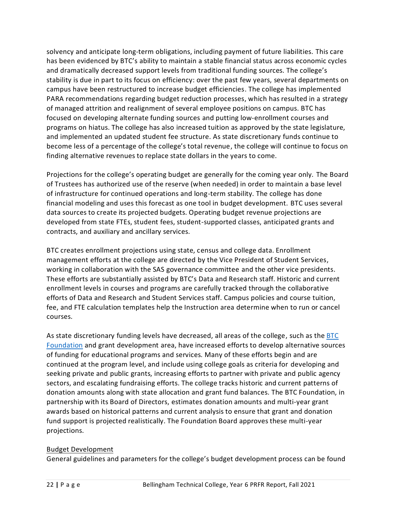solvency and anticipate long-term obligations, including payment of future liabilities. This care has been evidenced by BTC's ability to maintain a stable financial status across economic cycles and dramatically decreased support levels from traditional funding sources. The college's stability is due in part to its focus on efficiency: over the past few years, several departments on campus have been restructured to increase budget efficiencies. The college has implemented PARA recommendations regarding budget reduction processes, which has resulted in a strategy of managed attrition and realignment of several employee positions on campus. BTC has focused on developing alternate funding sources and putting low-enrollment courses and programs on hiatus. The college has also increased tuition as approved by the state legislature, and implemented an updated student fee structure. As state discretionary funds continue to become less of a percentage of the college's total revenue, the college will continue to focus on finding alternative revenues to replace state dollars in the years to come.

Projections for the college's operating budget are generally for the coming year only. The Board of Trustees has authorized use of the reserve (when needed) in order to maintain a base level of infrastructure for continued operations and long-term stability. The college has done financial modeling and uses this forecast as one tool in budget development. BTC uses several data sources to create its projected budgets. Operating budget revenue projections are developed from state FTEs, student fees, student-supported classes, anticipated grants and contracts, and auxiliary and ancillary services.

BTC creates enrollment projections using state, census and college data. Enrollment management efforts at the college are directed by the Vice President of Student Services, working in collaboration with the SAS governance committee and the other vice presidents. These efforts are substantially assisted by BTC's Data and Research staff. Historic and current enrollment levels in courses and programs are carefully tracked through the collaborative efforts of Data and Research and Student Services staff. Campus policies and course tuition, fee, and FTE calculation templates help the Instruction area determine when to run or cancel courses.

As state discretionary funding levels have decreased, all areas of the college, such as th[e BTC](https://nwccu.box.com/s/c7rcv91ts97y4blbc7a0a64iq3uwgdt1) [Foundation](https://nwccu.box.com/s/c7rcv91ts97y4blbc7a0a64iq3uwgdt1) and grant development area, have increased efforts to develop alternative sources of funding for educational programs and services. Many of these efforts begin and are continued at the program level, and include using college goals as criteria for developing and seeking private and public grants, increasing efforts to partner with private and public agency sectors, and escalating fundraising efforts. The college tracks historic and current patterns of donation amounts along with state allocation and grant fund balances. The BTC Foundation, in partnership with its Board of Directors, estimates donation amounts and multi-year grant awards based on historical patterns and current analysis to ensure that grant and donation fund support is projected realistically. The Foundation Board approves these multi-year projections.

# Budget Development

General guidelines and parameters for the college's budget development process can be found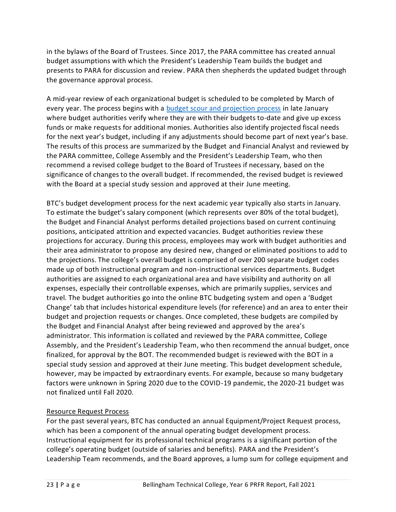in the [bylaws](https://sharepoint2013.btc.ctc.edu/sites/accreditation/Shared%20Documents/Board-of-Trustees/Bylaws/Board%20of%20Trustees%20-%20Bylaws.pdf) of the Board of Trustees. Since 2017, the PARA committee has created annual budget assumptions with which the President's Leadership Team builds the budget and presents to PARA for discussion and review. PARA then shepherds the updated budget through the governance approval process.

A mid-year review of each organizational budget is scheduled to be completed by March of every year. The process begins with a [budget scour and projection process](https://nwccu.box.com/s/2ufwfe5sz4t7pn69kxo94ib2e7v65q4n) in late January wher[e budget authorities](https://sharepoint2013.btc.ctc.edu/sites/accreditation/Shared%20Documents/Administrative-Services/Budget-Financial/Budget%20Authorities.xlsx?Web=1) verify where they are with their budgets to-date and give up excess funds or make requests for additional monies. Authorities also identify projected fiscal needs for the next year's budget, including if any adjustments should become part of next year's base. The results of this process are summarized by the Budget and Financial Analyst and reviewed by the PARA committee, College Assembly and the President's Leadership Team, who then recommend a revised college budget to the Board of Trustees if necessary, based on the significance of changes to the overall budget. If recommended, the revised budget is reviewed with the Board at a special study session and approved at their June meeting.

BTC's [budget development process](https://sharepoint2013.btc.ctc.edu/sites/accreditation/Shared%20Documents/Administrative-Services/Budget-Financial/Annual%20Budget%20Development%20Process.pdf) for the next academic year typically also starts in January. To estimate the budget's salary component (which represents over 80% of the total budget), the Budget and Financial Analyst performs detailed projections based on current continuing positions, anticipated attrition and expected vacancies. Budget authorities review these projections for accuracy. During this process, employees may work with budget authorities and their area administrator to propose any desired new, changed or eliminated positions to add to the projections. The college's overall budget is comprised of over 200 separate budget codes made up of both instructional program and non-instructional services departments. [Budget](https://sharepoint2013.btc.ctc.edu/sites/accreditation/Shared%20Documents/Administrative-Services/Budget-Financial/Budget%20Authorities.xlsx?Web=1)  [authorities](https://sharepoint2013.btc.ctc.edu/sites/accreditation/Shared%20Documents/Administrative-Services/Budget-Financial/Budget%20Authorities.xlsx?Web=1) are assigned to each organizational area and have visibility and authority on all expenses, especially their controllable expenses, which are primarily supplies, services and travel. The [budget authorities](https://sharepoint2013.btc.ctc.edu/sites/accreditation/Shared%20Documents/Administrative-Services/Budget-Financial/Budget%20Authorities.xlsx?Web=1) go into the online BTC budgeting system and open a 'Budget Change' tab that includes historical expenditure levels (for reference) and an area to enter their budget and projection requests or changes. Once completed, these budgets are compiled by the Budget and Financial Analyst after being reviewed and approved by the area's administrator. This information is collated and reviewed by the PARA committee, College Assembly, and the President's Leadership Team, who then recommend the annual budget, once finalized, for approval by the BOT. The recommended budget is reviewed with the BOT in a special study session and approved at their June meeting. This budget development schedule, however, may be impacted by extraordinary events. For example, because so many budgetary factors were unknown in Spring 2020 due to the COVID-19 pandemic, the 2020-21 budget was not finalized until Fall 2020.

# Resource Request Process

For the past several years, BTC has conducted an annua[l Equipment/Project Request](https://sharepoint2013.btc.ctc.edu/sites/accreditation/Shared%20Documents/Administrative-Services/Budget-Financial/Equipment%20and%20Project%20Budget%20Request%20Form.xlsx?Web=1) process, which has been a component of the annual operating budget development process. Instructional equipment for its professional technical programs is a significant portion of the college's operating budget (outside of salaries and benefits). PARA and the President's Leadership Team recommends, and the Board approves, a lump sum for college equipment and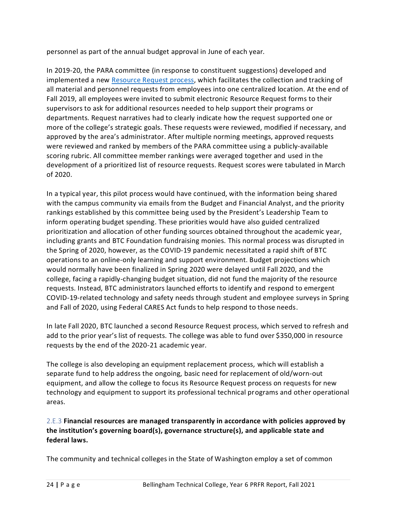personnel as part of the annual budget approval in June of each year.

In 2019-20, the PARA committee (in response to constituent suggestions) developed and implemented a new [Resource Request process,](https://nwccu.box.com/s/24tu4maw9d6i5yco3bn87bzapv83bvd1) which facilitates the collection and tracking of all material and personnel requests from employees into one centralized location. At the end of Fall 2019, all employees were invited to submit electronic Resource Request forms to their supervisors to ask for additional resources needed to help support their programs or departments. Request narratives had to clearly indicate how the request supported one or more of the college's strategic goals. These requests were reviewed, modified if necessary, and approved by the area's administrator. After multiple norming meetings, approved requests were reviewed and ranked by members of the PARA committee using a publicly-available scoring rubric. All committee member rankings were averaged together and used in the development of a prioritized list of resource requests. Request scores were tabulated in March of 2020.

In a typical year, this pilot process would have continued, with the information being shared with the campus community via emails from the Budget and Financial Analyst, and the priority rankings established by this committee being used by the President's Leadership Team to inform operating budget spending. These priorities would have also guided centralized prioritization and allocation of other funding sources obtained throughout the academic year, including grants and BTC Foundation fundraising monies. This normal process was disrupted in the Spring of 2020, however, as the COVID-19 pandemic necessitated a rapid shift of BTC operations to an online-only learning and support environment. Budget projections which would normally have been finalized in Spring 2020 were delayed until Fall 2020, and the college, facing a rapidly-changing budget situation, did not fund the majority of the resource requests. Instead, BTC administrators launched efforts to identify and respond to emergent COVID-19-related technology and safety needs through student and employee surveys in Spring and Fall of 2020, using Federal CARES Act funds to help respond to those needs.

In late Fall 2020, BTC launched a second Resource Request process, which served to refresh and add to the prior year's list of requests. The college was able to fund over \$350,000 in resource requests by the end of the 2020-21 academic year.

The college is also developing an equipment replacement process, which will establish a separate fund to help address the ongoing, basic need for replacement of old/worn-out equipment, and allow the college to focus its Resource Request process on requests for new technology and equipment to support its professional technical programs and other operational areas.

<span id="page-26-0"></span>2.E.3 **Financial resources are managed transparently in accordance with policies approved by the institution's governing board(s), governance structure(s), and applicable state and federal laws.**

The community and technical colleges in the State of Washington employ a set of common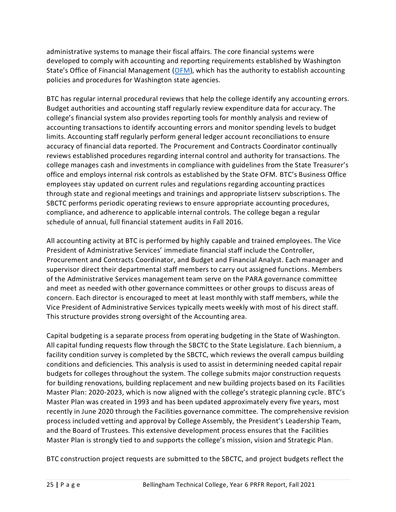administrative systems to manage their fiscal affairs. The core financial systems were developed to comply with accounting and reporting requirements established by Washington State's Office of Financial Management [\(OFM\)](https://ofm.wa.gov/), which has the authority to establish accounting policies and procedures for Washington state agencies.

BTC has regular internal procedural reviews that help the college identify any accounting errors. [Budget authorities](https://sharepoint2013.btc.ctc.edu/sites/accreditation/Shared%20Documents/Administrative-Services/Budget-Financial/Budget%20Authorities.xlsx?Web=1) and accounting staff regularly review expenditure data for accuracy. The college's financial system also provides reporting tools for monthly analysis and review of accounting transactions to identify accounting errors and monitor spending levels to budget limits. Accounting staff regularly perform general ledger account reconciliations to ensure accuracy of financial data reported. The Procurement and Contracts Coordinator continually reviews established procedures regarding internal control and authority for transactions. The college manages cash and investments in compliance with guidelines from the State Treasurer's office and employs internal risk controls as established by the State OFM. BTC's Business Office employees stay updated on current rules and regulations regarding accounting practices through state and regional meetings and trainings and appropriate listserv subscriptions. The SBCTC performs periodic operating reviews to ensure appropriate accounting procedures, compliance, and adherence to applicable internal controls. The college began a regular schedule of annual, full financial statement audits in Fall 2016.

All accounting activity at BTC is performed by highly capable and trained employees. The Vice President of Administrative Services' immediate financial staff include the Controller, Procurement and Contracts Coordinator, and Budget and Financial Analyst. Each manager and supervisor direct their departmental staff members to carry out assigned functions. Members of the Administrative Services management team serve on the PARA governance committee and meet as needed with other governance committees or other groups to discuss areas of concern. Each director is encouraged to meet at least monthly with staff members, while the Vice President of Administrative Services typically meets weekly with most of his direct staff. This structure provides strong oversight of the Accounting area.

Capital budgeting is a separate process from operating budgeting in the State of Washington. All capital funding requests flow through the SBCTC to the State Legislature. Each biennium, a facility condition survey is completed by the SBCTC, which reviews the overall campus building conditions and deficiencies. This analysis is used to assist in determining needed capital repair budgets for colleges throughout the system. The college submits major construction requests for building renovations, building replacement and new building projects based on its [Facilities](https://sharepoint2013.btc.ctc.edu/sites/accreditation/Shared%20Documents/Administrative-Services/Facilities/Campus%20Master%20Plan.pdf) [Master Plan:](https://sharepoint2013.btc.ctc.edu/sites/accreditation/Shared%20Documents/Administrative-Services/Facilities/Campus%20Master%20Plan.pdf) 2020-2023, which is now aligned with the college's strategic planning cycle. BTC's [Master Plan](https://sharepoint2013.btc.ctc.edu/sites/accreditation/Shared%20Documents/Administrative-Services/Facilities/Campus%20Master%20Plan.pdf) was created in 1993 and has been updated approximately every five years, most recently in June 2020 through the Facilities governance committee. The comprehensive revision process included vetting and approval by College Assembly, the President's Leadership Team, and the Board of Trustees. This extensive development process ensures that the [Facilities](https://sharepoint2013.btc.ctc.edu/sites/accreditation/Shared%20Documents/Administrative-Services/Facilities/Campus%20Master%20Plan.pdf) [Master Plan](https://sharepoint2013.btc.ctc.edu/sites/accreditation/Shared%20Documents/Administrative-Services/Facilities/Campus%20Master%20Plan.pdf) is strongly tied to and supports the college's mission, vision and Strategic Plan.

BTC construction project requests are submitted to the SBCTC, and project budgets reflect the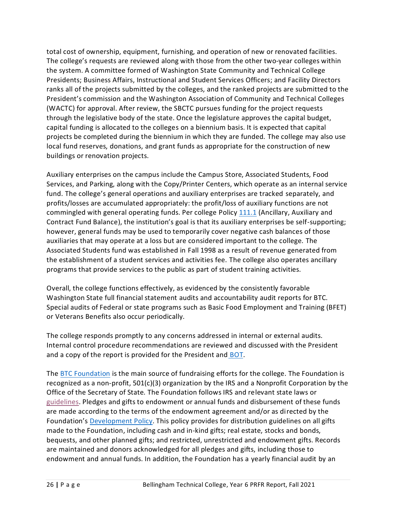total cost of ownership, equipment, furnishing, and operation of new or renovated facilities. The college's requests are reviewed along with those from the other two-year colleges within the system. A committee formed of Washington State Community and Technical College Presidents; Business Affairs, Instructional and Student Services Officers; and Facility Directors ranks all of the projects submitted by the colleges, and the ranked projects are submitted to the President's commission and the Washington Association of Community and Technical Colleges (WACTC) for approval. After review, the SBCTC pursues funding for the project requests through the legislative body of the state. Once the legislature approves the capital budget, capital funding is allocated to the colleges on a biennium basis. It is expected that capital projects be completed during the biennium in which they are funded. The college may also use local fund reserves, donations, and grant funds as appropriate for the construction of new buildings or renovation projects.

Auxiliary enterprises on the campus include the Campus Store, Associated Students, Food Services, and Parking, along with the Copy/Printer Centers, which operate as an internal service fund. The college's general operations and auxiliary enterprises are tracked separately, and profits/losses are accumulated appropriately: the profit/loss of auxiliary functions are not commingled with general operating funds. Per college Policy [111.1](https://nwccu.box.com/s/7koar7e26bzbo8xacl7503so7ab1iphx) (Ancillary, Auxiliary and Contract Fund Balance), the institution's goal is that its auxiliary enterprises be self-supporting; however, general funds may be used to temporarily cover negative cash balances of those auxiliaries that may operate at a loss but are considered important to the college. The Associated Students fund was established in Fall 1998 as a result of revenue generated from the establishment of a student services and activities fee. The college also operates ancillary programs that provide services to the public as part of student training activities.

Overall, the college functions effectively, as evidenced by the consistently favorable Washington State full financial statement audits and accountability audit reports for BTC. Special audits of Federal or state programs such as Basic Food Employment and Training (BFET) or Veterans Benefits also occur periodically.

The college responds promptly to any concerns addressed in internal or external audits. Internal control procedure recommendations are reviewed and discussed with the President and a copy of the report is provided for the President and [BOT.](https://nwccu.box.com/s/kyw76dz1y2e8e8jlr8yq2wzqmpr93bio)

The [BTC Foundation](https://nwccu.box.com/s/rtwohmljfr6fbywxha92y0vqckxhmytp) is the main source of fundraising efforts for the college. The Foundation is recognized as a non-profit, 501(c)(3) organization by the IRS and a Nonprofit Corporation by the Office of the Secretary of State. The Foundation follows IRS and relevant state laws or [guidelines.](https://nwccu.box.com/s/ji3euzcj69xr0thzjz5yfh5xvv9u0ckc) Pledges and gifts to endowment or annual funds and disbursement of these funds are made according to the terms of the endowment agreement and/or as directed by the Foundation's [Development Policy.](https://nwccu.box.com/s/vx6ejj1n6ou567e8ns1x4ecayu3xu7lr) This policy provides for distribution guidelines on all gifts made to the Foundation, including cash and in-kind gifts; real estate, stocks and bonds, bequests, and other planned gifts; and restricted, unrestricted and endowment gifts. Records are maintained and donors acknowledged for all pledges and gifts, including those to endowment and annual funds. In addition, the Foundation has a yearly financial audit by an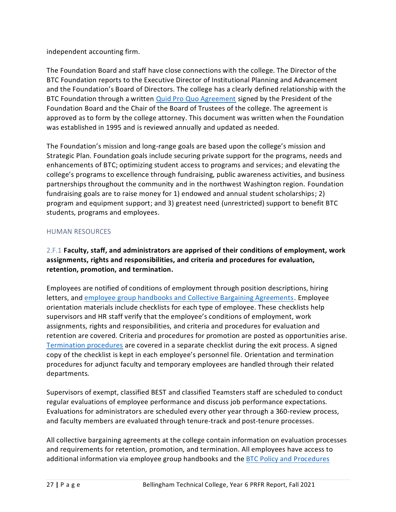independent accounting firm.

The [Foundation Board and staff](http://www.btc.ctc.edu/OurCommunity/Foundation/about.aspx?tab=tab4) have close connections with the college. The Director of the BTC Foundation reports to the Executive Director of Institutional Planning and Advancement and the Foundation's Board of Directors. The college has a clearly defined relationship with the BTC Foundation through a written [Quid Pro Quo Agreement](https://nwccu.box.com/s/joav8e1n41xf56i0b30em07d718qeuly) signed by the President of the Foundation Board and the Chair of the Board of Trustees of the college. The agreement is approved as to form by the college attorney. This document was written when the Foundation was established in 1995 and is reviewed annually and updated as needed.

The Foundation's mission and long-range goals are based upon the college's mission and Strategic Plan. Foundation goals include securing private support for the programs, needs and enhancements of BTC; optimizing student access to programs and services; and elevating the college's programs to excellence through fundraising, public awareness activities, and business partnerships throughout the community and in the northwest Washington region. [Foundation](https://sharepoint2013.btc.ctc.edu/sites/accreditation/Shared%20Documents/Foundation/Fundraising-Revenue%20History%20and%20Goals.pdf)  [fundraising goals](https://sharepoint2013.btc.ctc.edu/sites/accreditation/Shared%20Documents/Foundation/Fundraising-Revenue%20History%20and%20Goals.pdf) are to raise money for 1) endowed and annual student scholarships; 2) program and equipment support; and 3) greatest need (unrestricted) support to benefit BTC students, programs and employees.

# <span id="page-29-0"></span>HUMAN RESOURCES

<span id="page-29-1"></span>2.F.1 **Faculty, staff, and administrators are apprised of their conditions of employment, work assignments, rights and responsibilities, and criteria and procedures for evaluation, retention, promotion, and termination.**

Employees are notified of conditions of employment through position descriptions, hiring letters, and [employee group handbooks and Collective Bargaining Agreements.](https://nwccu.box.com/s/v46u5cj1wt1obey5ftjs6p4hujjk692d) Employee orientation materials include checklists for each type of employee. These [checklists](https://sharepoint2013.btc.ctc.edu/sites/accreditation/Shared%20Documents/Human-Resources/Employee%20Orientation%20Checklists.pdf) help supervisors and HR staff verify that the employee's conditions of employment, work assignments, rights and responsibilities, and criteria and procedures for evaluation and retention are covered. Criteria and procedures for promotion are posted as opportunities arise. [Termination procedures](https://nwccu.box.com/s/uad7v2euq3s7g601met5r5qmamabf6hi) are covered in a separate [checklist](https://sharepoint2013.btc.ctc.edu/sites/accreditation/Shared%20Documents/Human-Resources/Employee%20Exit%20Checklists.pdf) during the exit process. A signed copy of the [checklist](https://sharepoint2013.btc.ctc.edu/sites/accreditation/Shared%20Documents/Human-Resources/Employee%20Exit%20Checklists.pdf) is kept in each employee's personnel file. Orientation and termination procedures for adjunct faculty and temporary employees are handled through their related departments.

Supervisors of exempt, classified BEST and classified Teamsters staff are scheduled to conduct regular evaluations of employee performance and discuss job performance expectations. Evaluations for administrators are scheduled every other year through a 360-review process, and faculty members are evaluated through tenure-track and post-tenure processes.

All collective bargaining agreements at the college contain information on evaluation processes and requirements for retention, promotion, and termination. All employees have access to additional information via employee group handbooks and the [BTC Policy and Procedures](https://nwccu.box.com/s/hfwyat4881aw925wj18ewwtribfesyh6)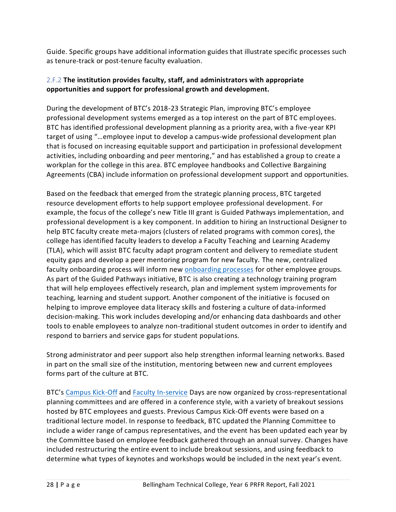Guide. Specific groups have additional information guides that illustrate specific processes such as tenure-track or post-tenur[e faculty evaluation.](https://sharepoint2013.btc.ctc.edu/sites/accreditation/Shared%20Documents/Instruction/Evaluation/Faculty%20Evaluation%20Procedures.doc)

# <span id="page-30-0"></span>2.F.2 **The institution provides faculty, staff, and administrators with appropriate opportunities and support for professional growth and development.**

During the development of BTC's 2018-23 Strategic Plan, improving BTC's employee professional development systems emerged as a top interest on the part of BTC employees. BTC has identified professional development planning as a priority area, with a five-year KPI target of using "…employee input to develop a campus-wide professional development plan that is focused on increasing equitable support and participation in professional development activities, including onboarding and peer mentoring," and has established a group to create a workplan for the college in this area. BTC employee handbooks and Collective Bargaining Agreements (CBA) include information on professional development support and opportunities.

Based on the feedback that emerged from the strategic planning process, BTC targeted resource development efforts to help support employee professional development. For example, the focus of the college's new Title III grant is Guided Pathways implementation, and professional development is a key component. In addition to hiring an Instructional Designer to help BTC faculty create meta-majors (clusters of related programs with common cores), the college has identified faculty leaders to develop a Faculty Teaching and Learning Academy (TLA), which will assist BTC faculty adapt program content and delivery to remediate student equity gaps and develop a peer mentoring program for new faculty. The new, centralized faculty onboarding process will inform new [onboarding processes](https://nwccu.box.com/s/von4livww9fx65fonrf7yi8o10dskhta) for other employee groups. As part of the Guided Pathways initiative, BTC is also creating a technology training program that will help employees effectively research, plan and implement system improvements for teaching, learning and student support. Another component of the initiative is focused on helping to improve employee data literacy skills and fostering a culture of data-informed decision-making. This work includes developing and/or enhancing data dashboards and other tools to enable employees to analyze non-traditional student outcomes in order to identify and respond to barriers and service gaps for student populations.

Strong administrator and peer support also help strengthen informal learning networks. Based in part on the small size of the institution, mentoring between new and current employees forms part of the culture at BTC.

BTC's [Campus Kick-Off](https://nwccu.box.com/s/7g9kw37c0qcozpcwbzrbnfuzak0ic1d6) and [Faculty In-service](https://nwccu.box.com/s/qahb6y46zyl83m5qqec64nzf3xt854bp) Days are now organized by cross-representational planning committees and are offered in a conference style, with a variety of breakout sessions hosted by BTC employees and guests. Previous Campus Kick-Off events were based on a traditional lecture model. In response to feedback, BTC updated the Planning Committee to include a wider range of campus representatives, and the event has been updated each year by the Committee based on employee feedback gathered through an annual survey. Changes have included restructuring the entire event to include breakout sessions, and using feedback to determine what types of keynotes and workshops would be included in the next year's event.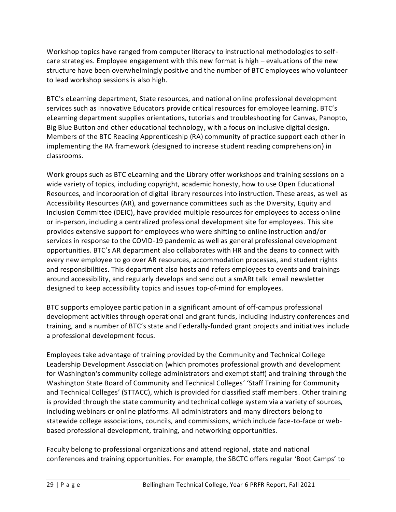Workshop topics have ranged from computer literacy to instructional methodologies to selfcare strategies. Employee engagement with this new format is high – evaluations of the new structure have been overwhelmingly positive and the number of BTC employees who volunteer to lead workshop sessions is also high.

BTC's eLearning department, State resources, and national online professional development services such as Innovative Educators provide critical resources for employee learning. BTC's eLearning department supplies orientations, tutorials and troubleshooting for Canvas, Panopto, Big Blue Button and other educational technology, with a focus on inclusive digital design. Members of the BTC Reading Apprenticeship (RA) community of practice support each other in implementing the RA framework (designed to increase student reading comprehension) in classrooms.

Work groups such as BTC eLearning and the Library offer workshops and training sessions on a wide variety of topics, including copyright, academic honesty, how to use Open Educational Resources, and incorporation of digital library resources into instruction. These areas, as well as Accessibility Resources (AR), and governance committees such as the Diversity, Equity and Inclusion Committee (DEIC), have provided multiple resources for employees to access online or in-person, including a centralized professional development site for employees. This site provides extensive support for employees who were shifting to online instruction and/or services in response to the COVID-19 pandemic as well as general professional development opportunities. BTC's AR department also collaborates with HR and the deans to connect with every new employee to go over AR resources, accommodation processes, and student rights and responsibilities. This department also hosts and refers employees to events and trainings around accessibility, and regularly develops and send out a smARt talk! email newsletter designed to keep accessibility topics and issues top-of-mind for employees.

BTC supports employee participation in a significant amount of off-campus professional development activities through operational and grant funds, including industry conferences and training, and a number of BTC's state and Federally-funded grant projects and initiatives include a professional development focus.

Employees take advantage of training provided by the Community and Technical College Leadership Development Association (which promotes professional growth and development for Washington's community college administrators and exempt staff) and training through the Washington State Board of Community and Technical Colleges' 'Staff Training for Community and Technical Colleges' (STTACC), which is provided for classified staff members. Other training is provided through the state community and technical college system via a variety of sources, including webinars or online platforms. All administrators and many directors belong to statewide college associations, councils, and commissions, which include face-to-face or webbased professional development, training, and networking opportunities.

Faculty belong to professional organizations and attend regional, state and national conferences and training opportunities. For example, the SBCTC offers regular 'Boot Camps' to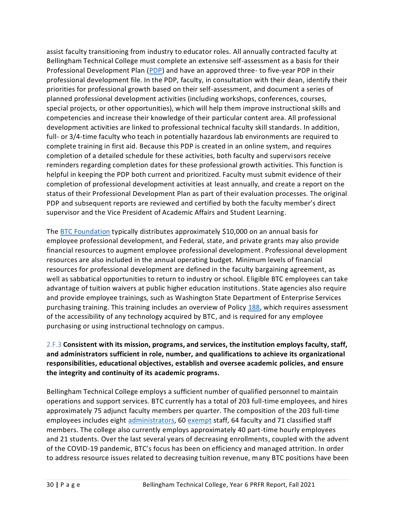assist faculty transitioning from industry to educator roles. All annually contracted faculty at Bellingham Technical College must complete an extensive self-assessment as a basis for their Professional Development Plan [\(PDP\)](https://nwccu.box.com/s/l9qlh1t1tzszpnn148vua6p1lzlrfhgy) and have an approved three- to five-year PDP in their professional development file. In the PDP, faculty, in consultation with their dean, identify their priorities for professional growth based on their self-assessment, and document a series of planned professional development activities (including workshops, conferences, courses, special projects, or other opportunities), which will help them improve instructional skills and competencies and increase their knowledge of their particular content area. All professional development activities are linked to professional technical faculty skill standards. In addition, full- or 3/4-time faculty who teach in potentially hazardous lab environments are required to complete training in first aid. Because this PDP is created in an online system, and requires completion of a detailed schedule for these activities, both faculty and supervisors receive reminders regarding completion dates for these professional growth activities. This function is helpful in keeping the PDP both current and prioritized. Faculty must submit evidence of their completion of professional development activities at least annually, and create a report on the status of their Professional Development Plan as part of their evaluation processes. The original PDP and subsequent reports are reviewed and certified by both the faculty member's direct supervisor and the Vice President of Academic Affairs and Student Learning.

The [BTC Foundation](https://www.btc.edu/OurCommunity/Foundation/Forms/PDGrantRequest.pdf) typically distributes approximately \$10,000 on an annual basis for employee professional development, and Federal, state, and private grants may also provide financial resources to augment employee professional development. Professional development resources are also included in the annual operating budget. Minimum levels of financial resources for professional development are defined in the faculty bargaining agreement, as well as sabbatical opportunities to return to industry or school. Eligible BTC employees can take advantage of tuition waivers at public higher education institutions. State agencies also require and provide employee trainings, such as Washington State Department of Enterprise Services purchasing training. This training includes an overview of Policy [188,](https://nwccu.box.com/s/lhu7n7iqip7db0i5x54v3g8fow7alhnz) which requires assessment of the accessibility of any technology acquired by BTC, and is required for any employee purchasing or using instructional technology on campus.

# <span id="page-32-0"></span>2.F.3 **Consistent with its mission, programs, and services, the institution employs faculty, staff, and administrators sufficient in role, number, and qualifications to achieve its organizational responsibilities, educational objectives, establish and oversee academic policies, and ensure the integrity and continuity of its academic programs.**

Bellingham Technical College employs a sufficient number of qualified personnel to maintain operations and support services. BTC currently has a total of 203 full-time employees, and hires approximately 75 adjunct faculty members per quarter. The composition of the 203 full-time employees includes eight [administrators,](https://nwccu.box.com/s/vy0bx9cr0yn9d4sq0vssyw6rvbg9dene) 60 [exempt](https://nwccu.box.com/s/hj2fpnxtsdc3rziaf6rd5ckemc36vqd3) staff, 64 faculty and 71 classified staff members. The college also currently employs approximately 40 part-time hourly employees and 21 students. Over the last several years of decreasing enrollments, coupled with the advent of the COVID-19 pandemic, BTC's focus has been on efficiency and managed attrition. In order to address resource issues related to decreasing tuition revenue, many BTC positions have been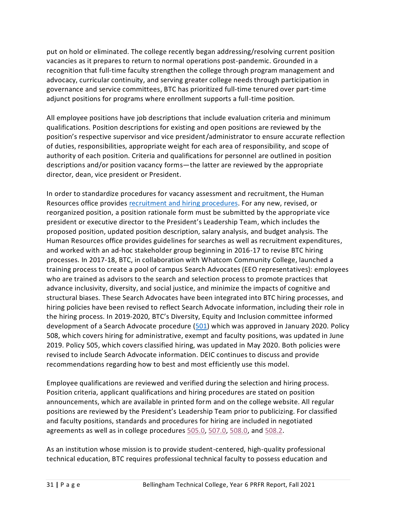put on hold or eliminated. The college recently began addressing/resolving current position vacancies as it prepares to return to normal operations post-pandemic. Grounded in a recognition that full-time faculty strengthen the college through program management and advocacy, curricular continuity, and serving greater college needs through participation in governance and service committees, BTC has prioritized full-time tenured over part-time adjunct positions for programs where enrollment supports a full-time position.

All employee positions have job descriptions that include evaluation criteria and minimum qualifications. Position descriptions for existing and open positions are reviewed by the position's respective supervisor and vice president/administrator to ensure accurate reflection of duties, responsibilities, appropriate weight for each area of responsibility, and scope of authority of each position. Criteria and qualifications for personnel are outlined in position descriptions and/or position vacancy forms—the latter are reviewed by the appropriate director, dean, vice president or President.

In order to standardize procedures for vacancy assessment and recruitment, the Human Resources office provides [recruitment and hiring procedures.](https://nwccu.box.com/s/pikanmyhksn7vhwj0tp0vl3thc22yllw) For any new, revised, or reorganized position, a position rationale form must be submitted by the appropriate vice president or executive director to the President's Leadership Team, which includes the proposed position, updated position description, salary analysis, and budget analysis. The Human Resources office provides guidelines for searches as well as recruitment expenditures, and worked with an ad-hoc stakeholder group beginning in 2016-17 to revise BTC hiring processes. In 2017-18, BTC, in collaboration with Whatcom Community College, launched a training process to create a pool of campus Search Advocates (EEO representatives): employees who are trained as advisors to the search and selection process to promote practices that advance inclusivity, diversity, and social justice, and minimize the impacts of cognitive and structural biases. These Search Advocates have been integrated into BTC hiring processes, and hiring policies have been revised to reflect Search Advocate information, including their role in the hiring process. In 2019-2020, BTC's Diversity, Equity and Inclusion committee informed development of a Search Advocate procedure [\(501\)](https://nwccu.box.com/s/67s55k5jnipziu8ci20yts15ndh4togz) which was approved in January 2020. Policy 508, which covers hiring for administrative, exempt and faculty positions, was updated in June 2019. Policy 505, which covers classified hiring, was updated in May 2020. Both policies were revised to include Search Advocate information. DEIC continues to discuss and provide recommendations regarding how to best and most efficiently use this model.

Employee qualifications are reviewed and verified during the selection and hiring process. Position criteria, applicant qualifications and hiring procedures are stated on position announcements, which are available in printed form and on the college website. All regular positions are reviewed by the President's Leadership Team prior to publicizing. For classified and faculty positions, standards and procedures for hiring are included in negotiated agreements as well as in college procedures [505.0,](https://nwccu.box.com/s/g4soop9a69fvidgvctj6f9iwgdt3yn0m) [507.0,](https://nwccu.box.com/s/fqejxtagwkzyjnf7n7m67zhgr9nj6a3d) [508.0,](https://nwccu.box.com/s/luddlnmsdzjzq61wssnv0edftgjjnvlx) and [508.2.](https://nwccu.box.com/s/luddlnmsdzjzq61wssnv0edftgjjnvlx)

As an institution whose mission is to provide student-centered, high-quality professional technical education, BTC requires professional technical faculty to possess education and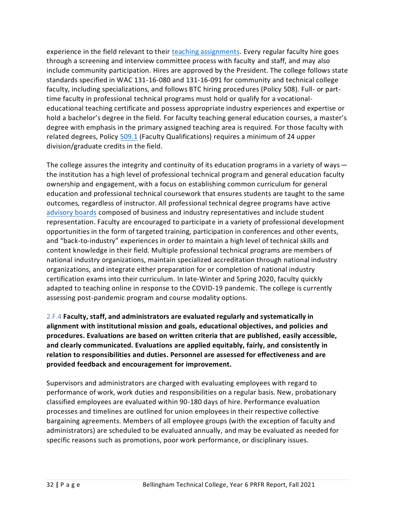experience in the field relevant to their [teaching assignments.](https://nwccu.box.com/s/nwd18iyv66aktioeyw9pis3dtvq1k2ae) Every regular faculty hire goes through a screening and interview committee process with faculty and staff, and may also include community participation. Hires are approved by the President. The college follows state standards specified in WAC 131-16-080 and 131-16-091 for community and technical college faculty, including specializations, and follows BTC hiring procedures (Policy 508). Full- or parttime faculty in professional technical programs must hold or qualify for a vocationaleducational teaching certificate and possess appropriate industry experiences and expertise or hold a bachelor's degree in the field. For faculty teaching general education courses, a master's degree with emphasis in the primary assigned teaching area is required. For those faculty with related degrees, Policy [509.1](https://nwccu.box.com/s/zbtpmtx8sbqqu32j1jh30aj8ynb370r4) (Faculty Qualifications) requires a minimum of 24 upper division/graduate credits in the field.

The college assures the integrity and continuity of its education programs in a variety of ways the institution has a high level of professional technical program and general education faculty ownership and engagement, with a focus on establishing common curriculum for general education and professional technical coursework that ensures students are taught to the same outcomes, regardless of instructor. All professional technical degree programs have active [advisory boards](https://nwccu.box.com/s/kqdvnlg7pp6n77h3vgjy7k6og9kmbqq9) composed of business and industry representatives and include student representation. Faculty are encouraged to participate in a variety of professional development opportunities in the form of targeted training, participation in conferences and other events, and "back-to-industry" experiences in order to maintain a high level of technical skills and content knowledge in their field. Multiple professional technical programs are members of national industry organizations, maintain specialized accreditation through national industry organizations, and integrate either preparation for or completion of national industry certification exams into their curriculum. In late-Winter and Spring 2020, faculty quickly adapted to teaching online in response to the COVID-19 pandemic. The college is currently assessing post-pandemic program and course modality options.

<span id="page-34-0"></span>2.F.4 **Faculty, staff, and administrators are evaluated regularly and systematically in alignment with institutional mission and goals, educational objectives, and policies and procedures. Evaluations are based on written criteria that are published, easily accessible, and clearly communicated. Evaluations are applied equitably, fairly, and consistently in relation to responsibilities and duties. Personnel are assessed for effectiveness and are provided feedback and encouragement for improvement.**

Supervisors and administrators are charged with evaluating employees with regard to performance of work, work duties and responsibilities on a regular basis. New, probationary classified employees are evaluated within 90-180 days of hire. Performance evaluation processes and timelines are outlined for union employees in their respective collective bargaining agreements. Members of all employee groups (with the exception of faculty and administrators) are scheduled to be evaluated annually, and may be evaluated as needed for specific reasons such as promotions, poor work performance, or disciplinary issues.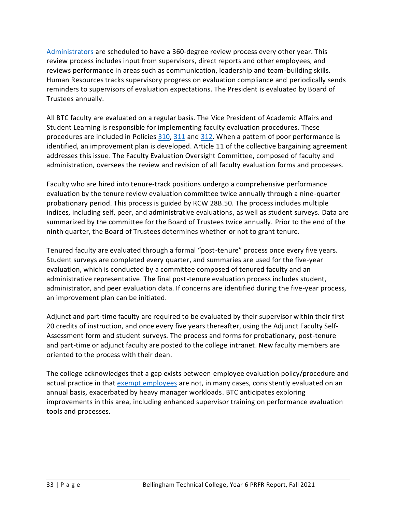[Administrators](https://nwccu.box.com/s/ee9siv6k8g4c2o77z5csv9ih5esslc9r) are scheduled to have a 360-degree review process every other year. This review process includes input from supervisors, direct reports and other employees, and reviews performance in areas such as communication, leadership and team-building skills. Human Resources tracks supervisory progress on evaluation compliance and periodically sends reminders to supervisors of evaluation expectations. The President is evaluated by Board of Trustees annually.

All BTC faculty are evaluated on a regular basis. The Vice President of Academic Affairs and Student Learning is responsible for implementing [faculty evaluation](https://sharepoint2013.btc.ctc.edu/sites/accreditation/Shared%20Documents/Instruction/Evaluation/Faculty%20Evaluation%20Procedures.doc) procedures. These procedures are included in Policies [310,](https://nwccu.box.com/s/szci14wcke55cs6uupgn7uqqju3m66t7) [311](https://nwccu.box.com/s/zxsr18ns56upjnez3vswl3yqflhvbhbr) and [312.](https://nwccu.box.com/s/p9eeg20omjtn81jgbraop4dlw95b5txo) When a pattern of poor performance is identified, an improvement plan is developed. Article 11 of the collective bargaining agreement addresses this issue. Th[e Faculty Evaluation Oversight Committee,](https://sharepoint2013.btc.ctc.edu/sites/accreditation/Shared%20Documents/Committees-and-Councils/Councils,%20Committees,%20and%20Taskforces%20-%202014-2015.docx) composed of faculty and administration, oversees the review and revision of all [faculty evaluation](https://sharepoint2013.btc.ctc.edu/sites/accreditation/Shared%20Documents/Instruction/Evaluation/Faculty%20Evaluation%20Procedures.doc) forms and processes.

Faculty who are hired into tenure-track positions undergo a comprehensive performance evaluation by the tenure review evaluation committee twice annually through a nine-quarter probationary period. This process is guided by RCW 28B.50. The process includes multiple indices, including self, peer, and administrative evaluations, as well as student surveys. Data are summarized by the committee for the Board of Trustees twice annually. Prior to the end of the ninth quarter, the Board of Trustees determines whether or not to grant tenure.

Tenured faculty are evaluated through a formal "post-tenure" process once every five years. Student surveys are completed every quarter, and summaries are used for the five-year evaluation, which is conducted by a committee composed of tenured faculty and an administrative representative. The final post-tenure evaluation process includes student, administrator, and peer evaluation data. If concerns are identified during the five-year process, an improvement plan can be initiated.

Adjunct and part-time faculty are required to be evaluated by their supervisor within their first 20 credits of instruction, and once every five years thereafter, using the Adjunct Faculty Self-Assessment form and student surveys. The process and forms for probationary, post-tenure and part-time or adjunct faculty are posted to the college [intranet.](https://sharepoint2013.btc.ctc.edu/sites/intranet/instruction/) New faculty members are oriented to the process with their dean.

<span id="page-35-0"></span>The college acknowledges that a gap exists between employee evaluation policy/procedure and actual practice in that [exempt employees](https://nwccu.box.com/s/hj2fpnxtsdc3rziaf6rd5ckemc36vqd3) are not, in many cases, consistently evaluated on an annual basis, exacerbated by heavy manager workloads. BTC anticipates exploring improvements in this area, including enhanced supervisor training on performance evaluation tools and processes.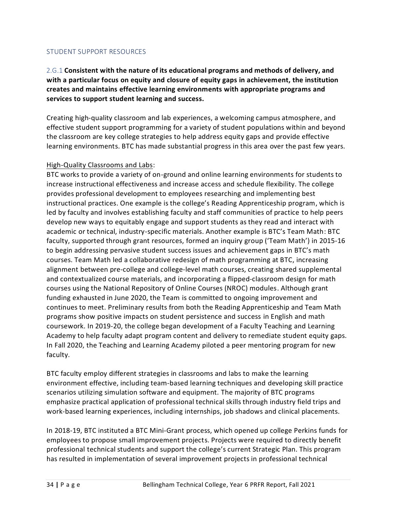### STUDENT SUPPORT RESOURCES

<span id="page-36-0"></span>2.G.1 **Consistent with the nature of its educational programs and methods of delivery, and with a particular focus on equity and closure of equity gaps in achievement, the institution creates and maintains effective learning environments with appropriate programs and services to support student learning and success.**

Creating high-quality classroom and lab experiences, a welcoming campus atmosphere, and effective student support programming for a variety of student populations within and beyond the classroom are key college strategies to help address equity gaps and provide effective learning environments. BTC has made substantial progress in this area over the past few years.

### High-Quality Classrooms and Labs:

BTC works to provide a variety of on-ground and online learning environments for students to increase instructional effectiveness and increase access and schedule flexibility. The college provides professional development to employees researching and implementing best instructional practices. One example is the college's Reading Apprenticeship program, which is led by faculty and involves establishing faculty and staff communities of practice to help peers develop new ways to equitably engage and support students as they read and interact with academic or technical, industry-specific materials. Another example is BTC's Team Math: BTC faculty, supported through grant resources, formed an inquiry group ('Team Math') in 2015-16 to begin addressing pervasive student success issues and achievement gaps in BTC's math courses. Team Math led a collaborative redesign of math programming at BTC, increasing alignment between pre-college and college-level math courses, creating shared supplemental and contextualized course materials, and incorporating a flipped-classroom design for math courses using the National Repository of Online Courses (NROC) modules. Although grant funding exhausted in June 2020, the Team is committed to ongoing improvement and continues to meet. Preliminary results from both the Reading Apprenticeship and Team Math programs show positive impacts on student persistence and success in English and math coursework. In 2019-20, the college began development of a Faculty Teaching and Learning Academy to help faculty adapt program content and delivery to remediate student equity gaps. In Fall 2020, the Teaching and Learning Academy piloted a peer mentoring program for new faculty.

BTC faculty employ different strategies in classrooms and labs to make the learning environment effective, including team-based learning techniques and developing skill practice scenarios utilizing simulation software and equipment. The majority of BTC programs emphasize practical application of professional technical skills through industry field trips and work-based learning experiences, including [internships,](https://sharepoint2013.btc.ctc.edu/sites/accreditation/Shared%20Documents/Instruction/Internships/Instructional%20Programs%20Reporting%20Internships.docx) job shadows and clinical placements.

In 2018-19, BTC instituted a BTC Mini-Grant process, which opened up college Perkins funds for employees to propose small improvement projects. Projects were required to directly benefit professional technical students and support the college's current Strategic Plan. This program has resulted in implementation of several improvement projects in professional technical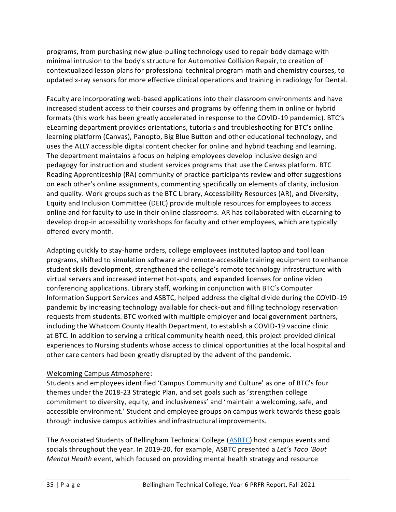programs, from purchasing new glue-pulling technology used to repair body damage with minimal intrusion to the body's structure for Automotive Collision Repair, to creation of contextualized lesson plans for professional technical program math and chemistry courses, to updated x-ray sensors for more effective clinical operations and training in radiology for Dental.

Faculty are incorporating web-based applications into their classroom environments and have increased student access to their courses and programs by offering them in online or hybrid formats (this work has been greatly accelerated in response to the COVID-19 pandemic). BTC's eLearning department provides orientations, tutorials and troubleshooting for BTC's online learning platform (Canvas), Panopto, Big Blue Button and other educational technology, and uses the ALLY accessible digital content checker for online and hybrid teaching and learning. The department maintains a focus on helping employees develop inclusive design and pedagogy for instruction and student services programs that use the Canvas platform. BTC Reading Apprenticeship (RA) community of practice participants review and offer suggestions on each other's online assignments, commenting specifically on elements of clarity, inclusion and quality. Work groups such as the BTC Library, Accessibility Resources (AR), and Diversity, Equity and Inclusion Committee (DEIC) provide multiple resources for employees to access online and for faculty to use in their online classrooms. AR has collaborated with eLearning to develop drop-in accessibility workshops for faculty and other employees, which are typically offered every month.

Adapting quickly to stay-home orders, college employees instituted laptop and tool loan programs, shifted to simulation software and remote-accessible training equipment to enhance student skills development, strengthened the college's remote technology infrastructure with virtual servers and increased internet hot-spots, and expanded licenses for online video conferencing applications. Library staff, working in conjunction with BTC's Computer Information Support Services and ASBTC, helped address the digital divide during the COVID-19 pandemic by increasing technology available for check-out and filling technology reservation requests from students. BTC worked with multiple employer and local government partners, including the Whatcom County Health Department, to establish a COVID-19 vaccine clinic at BTC. In addition to serving a critical community health need, this project provided clinical experiences to Nursing students whose access to clinical opportunities at the local hospital and other care centers had been greatly disrupted by the advent of the pandemic.

# Welcoming Campus Atmosphere:

Students and employees identified 'Campus Community and Culture' as one of BTC's four themes under the 2018-23 Strategic Plan, and set goals such as 'strengthen college commitment to diversity, equity, and inclusiveness' and 'maintain a welcoming, safe, and accessible environment.' Student and employee groups on campus work towards these goals through inclusive campus activities and infrastructural improvements.

The Associated Students of Bellingham Technical College [\(ASBTC\)](https://nwccu.box.com/s/ulj7bzjlyrovnsj0srhxn1poa1di8cey) host campus events and socials throughout the year. In 2019-20, for example, ASBTC presented a *Let's Taco 'Bout Mental Health* event, which focused on providing mental health strategy and resource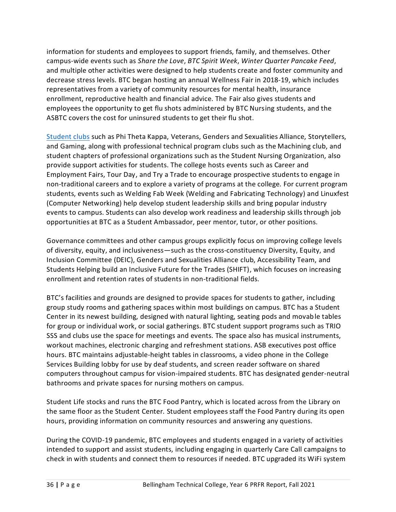information for students and employees to support friends, family, and themselves. Other campus-wide events such as *Share the Love*, *BTC Spirit Week*, *Winter Quarter Pancake Feed*, and multiple other activities were designed to help students create and foster community and decrease stress levels. BTC began hosting an annual Wellness Fair in 2018-19, which includes representatives from a variety of community resources for mental health, insurance enrollment, reproductive health and financial advice. The Fair also gives students and employees the opportunity to get flu shots administered by BTC Nursing students, and the ASBTC covers the cost for uninsured students to get their flu shot.

[Student clubs](https://nwccu.box.com/s/4gpqidmef1y9zi262fee9tgi6m06o8n7) such as Phi Theta Kappa, Veterans, Genders and Sexualities Alliance, Storytellers, and Gaming, along with professional technical program clubs such as the Machining club, and student chapters of professional organizations such as the Student Nursing Organization, also provide support activities for students. The college hosts events such as Career and Employment Fairs, Tour Day, and Try a Trade to encourage prospective students to engage in non-traditional careers and to explore a variety of programs at the college. For current program students, events such as Welding Fab Week (Welding and Fabricating Technology) and Linuxfest (Computer Networking) help develop student leadership skills and bring popular industry events to campus. Students can also develop work readiness and leadership skills through job opportunities at BTC as a Student Ambassador, peer mentor, tutor, or other positions.

Governance committees and other campus groups explicitly focus on improving college levels of diversity, equity, and inclusiveness—such as the cross-constituency Diversity, Equity, and Inclusion Committee (DEIC), Genders and Sexualities Alliance club, Accessibility Team, and Students Helping build an Inclusive Future for the Trades (SHIFT), which focuses on increasing enrollment and retention rates of students in non-traditional fields.

BTC's facilities and grounds are designed to provide spaces for students to gather, including group study rooms and gathering spaces within most buildings on campus. BTC has a Student Center in its newest building, designed with natural lighting, seating pods and movable tables for group or individual work, or social gatherings. BTC student support programs such as TRIO SSS and clubs use the space for meetings and events. The space also has musical instruments, workout machines, electronic charging and refreshment stations. ASB executives post office hours. BTC maintains adjustable-height tables in classrooms, a video phone in the College Services Building lobby for use by deaf students, and screen reader software on shared computers throughout campus for vision-impaired students. BTC has designated gender-neutral bathrooms and private spaces for nursing mothers on campus.

Student Life stocks and runs the BTC Food Pantry, which is located across from the Library on the same floor as the Student Center. Student employees staff the Food Pantry during its open hours, providing information on community resources and answering any questions.

During the COVID-19 pandemic, BTC employees and students engaged in a variety of activities intended to support and assist students, including engaging in quarterly Care Call campaigns to check in with students and connect them to resources if needed. BTC upgraded its WiFi system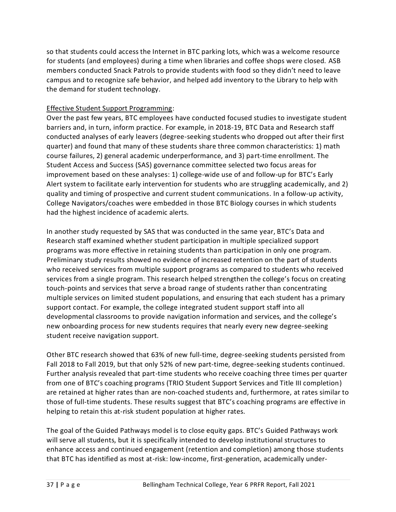so that students could access the Internet in BTC parking lots, which was a welcome resource for students (and employees) during a time when libraries and coffee shops were closed. ASB members conducted Snack Patrols to provide students with food so they didn't need to leave campus and to recognize safe behavior, and helped add inventory to the Library to help with the demand for student technology.

# Effective Student Support Programming:

Over the past few years, BTC employees have conducted focused studies to investigate student barriers and, in turn, inform practice. For example, in 2018-19, BTC Data and Research staff conducted analyses of early leavers (degree-seeking students who dropped out after their first quarter) and found that many of these students share three common characteristics: 1) math course failures, 2) general academic underperformance, and 3) part-time enrollment. The Student Access and Success (SAS) governance committee selected two focus areas for improvement based on these analyses: 1) college-wide use of and follow-up for BTC's Early Alert system to facilitate early intervention for students who are struggling academically, and 2) quality and timing of prospective and current student communications. In a follow-up activity, College Navigators/coaches were embedded in those BTC Biology courses in which students had the highest incidence of academic alerts.

In another study requested by SAS that was conducted in the same year, BTC's Data and Research staff examined whether student participation in multiple specialized support programs was more effective in retaining students than participation in only one program. Preliminary study results showed no evidence of increased retention on the part of students who received services from multiple support programs as compared to students who received services from a single program. This research helped strengthen the college's focus on creating touch-points and services that serve a broad range of students rather than concentrating multiple services on limited student populations, and ensuring that each student has a primary support contact. For example, the college integrated student support staff into all developmental classrooms to provide navigation information and services, and the college's new onboarding process for new students requires that nearly every new degree-seeking student receive navigation support.

Other BTC research showed that 63% of new full-time, degree-seeking students persisted from Fall 2018 to Fall 2019, but that only 52% of new part-time, degree-seeking students continued. Further analysis revealed that part-time students who receive coaching three times per quarter from one of BTC's coaching programs (TRIO Student Support Services and Title III completion) are retained at higher rates than are non-coached students and, furthermore, at rates similar to those of full-time students. These results suggest that BTC's coaching programs are effective in helping to retain this at-risk student population at higher rates.

The goal of the Guided Pathways model is to close equity gaps. BTC's Guided Pathways work will serve all students, but it is specifically intended to develop institutional structures to enhance access and continued engagement (retention and completion) among those students that BTC has identified as most at-risk: low-income, first-generation, academically under-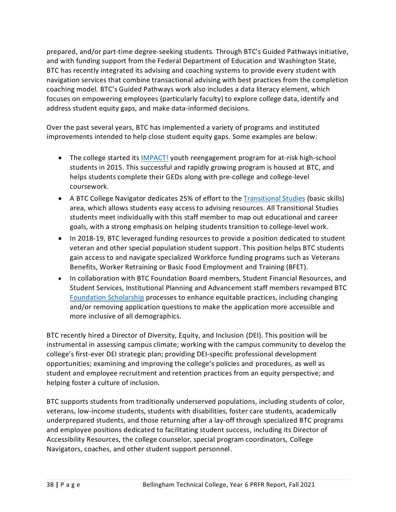prepared, and/or part-time degree-seeking students. Through BTC's Guided Pathways initiative, and with funding support from the Federal Department of Education and Washington State, BTC has recently integrated its advising and coaching systems to provide every student with navigation services that combine transactional advising with best practices from the completion coaching model. BTC's Guided Pathways work also includes a data literacy element, which focuses on empowering employees (particularly faculty) to explore college data, identify and address student equity gaps, and make data-informed decisions.

Over the past several years, BTC has implemented a variety of programs and instituted improvements intended to help close student equity gaps. Some examples are below:

- The college started its [IMPACT!](https://www.btc.edu/FutureStudents/HighSchoolPrograms/IMPACT.html) youth reengagement program for at-risk high-school students in 2015. This successful and rapidly growing program is housed at BTC, and helps students complete their GEDs along with pre-college and college-level coursework.
- A BTC College Navigator dedicates 25% of effort to th[e Transitional Studies](https://www.btc.edu/Academics/TransitionalStudies.html) (basic skills) area, which allows students easy access to advising resources. All Transitional Studies students meet individually with this staff member to map out educational and career goals, with a strong emphasis on helping students transition to college-level work.
- In 2018-19, BTC leveraged funding resources to provide a position dedicated to student veteran and other special population student support. This position helps BTC students gain access to and navigate specialized Workforce funding programs such as Veterans Benefits, Worker Retraining or Basic Food Employment and Training (BFET).
- In collaboration with BTC Foundation Board members, Student Financial Resources, and Student Services, Institutional Planning and Advancement staff members revamped BTC [Foundation Scholarship](https://www.btc.edu/AboutBTC/BTCFoundation/Scholarships.html) processes to enhance equitable practices, including changing and/or removing application questions to make the application more accessible and more inclusive of all demographics.

BTC recently hired a Director of Diversity, Equity, and Inclusion (DEI). This position will be instrumental in assessing campus climate; working with the campus community to develop the college's first-ever DEI strategic plan; providing DEI-specific professional development opportunities; examining and improving the college's policies and procedures, as well as student and employee recruitment and retention practices from an equity perspective; and helping foster a culture of inclusion.

BTC supports students from traditionally underserved populations, including students of color, veterans, low-income students, students with disabilities, foster care students, academically underprepared students, and those returning after a lay-off through specialized BTC programs and employee positions dedicated to facilitating student success, including its Director of Accessibility Resources, the college counselor, special program coordinators, College Navigators, coaches, and other student support personnel.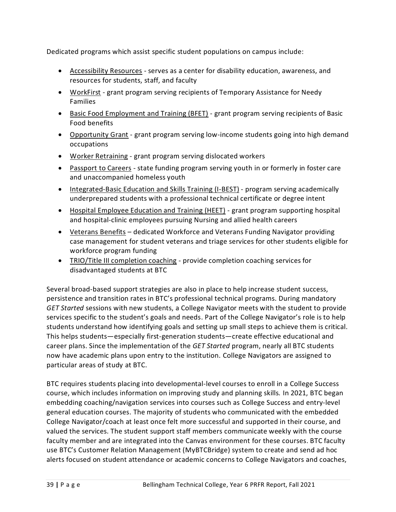Dedicated programs which assist specific student populations on campus include:

- Accessibility Resources serves as a center for disability education, awareness, and resources for students, staff, and faculty
- WorkFirst grant program serving recipients of Temporary Assistance for Needy Families
- Basic Food Employment and Training (BFET) grant program serving recipients of Basic Food benefits
- Opportunity Grant grant program serving low-income students going into high demand occupations
- Worker Retraining grant program serving dislocated workers
- Passport to Careers state funding program serving youth in or formerly in foster care and unaccompanied homeless youth
- Integrated-Basic Education and Skills Training (I-BEST) program serving academically underprepared students with a professional technical certificate or degree intent
- Hospital Employee Education and Training (HEET) grant program supporting hospital and hospital-clinic employees pursuing Nursing and allied health careers
- Veterans Benefits dedicated Workforce and Veterans Funding Navigator providing case management for student veterans and triage services for other students eligible for workforce program funding
- TRIO/Title III completion coaching provide completion coaching services for disadvantaged students at BTC

Several broad-based support strategies are also in place to help increase student success, persistence and transition rates in BTC's professional technical programs. During mandatory *GET Started* sessions with new students, a College Navigator meets with the student to provide services specific to the student's goals and needs. Part of the College Navigator's role is to help students understand how identifying goals and setting up small steps to achieve them is critical. This helps students—especially first-generation students—create effective educational and career plans. Since the implementation of the *GET Started* program, nearly all BTC students now have academic plans upon entry to the institution. College Navigators are assigned to particular areas of study at BTC.

BTC requires students placing into developmental-level courses to enroll in a College Success course, which includes information on improving study and planning skills. In 2021, BTC began embedding coaching/navigation services into courses such as College Success and entry-level general education courses. The majority of students who communicated with the embedded College Navigator/coach at least once felt more successful and supported in their course, and valued the services. The student support staff members communicate weekly with the course faculty member and are integrated into the Canvas environment for these courses. BTC faculty use BTC's Customer Relation Management (MyBTCBridge) system to create and send ad hoc alerts focused on student attendance or academic concerns to College Navigators and coaches,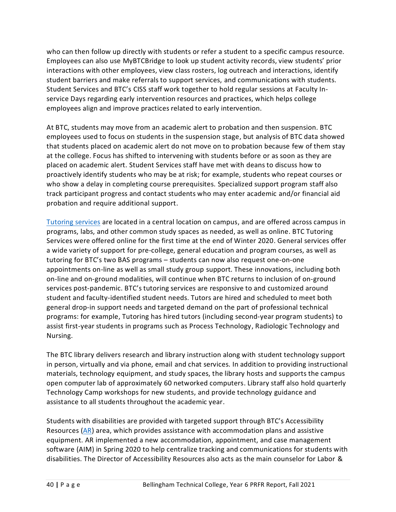who can then follow up directly with students or refer a student to a specific campus resource. Employees can also use MyBTCBridge to look up student activity records, view students' prior interactions with other employees, view class rosters, log outreach and interactions, identify student barriers and make referrals to support services, and communications with students. Student Services and BTC's CISS staff work together to hold regular sessions at Faculty Inservice Days regarding early intervention resources and practices, which helps college employees align and improve practices related to early intervention.

At BTC, students may move from an academic alert to probation and then suspension. BTC employees used to focus on students in the suspension stage, but analysis of BTC data showed that students placed on academic alert do not move on to probation because few of them stay at the college. Focus has shifted to intervening with students before or as soon as they are placed on academic alert. Student Services staff have met with deans to discuss how to proactively identify students who may be at risk; for example, students who repeat courses or who show a delay in completing course prerequisites. Specialized support program staff also track participant progress and contact students who may enter academic and/or financial aid probation and require additional support.

[Tutoring services](https://www.btc.edu/CurrentStudents/StudentResources/TutoringCenter.html) are located in a central location on campus, and are offered across campus in programs, labs, and other common study spaces as needed, as well as online. BTC Tutoring Services were offered online for the first time at the end of Winter 2020. General services offer a wide variety of support for pre-college, general education and program courses, as well as tutoring for BTC's two BAS programs – students can now also request one-on-one appointments on-line as well as small study group support. These innovations, including both on-line and on-ground modalities, will continue when BTC returns to inclusion of on-ground services post-pandemic. BTC's tutoring services are responsive to and customized around student and faculty-identified student needs. Tutors are hired and scheduled to meet both general drop-in support needs and targeted demand on the part of professional technical programs: for example, Tutoring has hired tutors (including second-year program students) to assist first-year students in programs such as Process Technology, Radiologic Technology and Nursing.

The BTC library delivers research and library instruction along with student technology support in person, virtually and via phone, email and chat services. In addition to providing instructional materials, technology equipment, and study spaces, the library hosts and supports the campus open computer lab of approximately 60 networked computers. Library staff also hold quarterly Technology Camp workshops for new students, and provide technology guidance and assistance to all students throughout the academic year.

Students with disabilities are provided with targeted support through BTC's Accessibility Resources [\(AR\)](https://www.btc.edu/CurrentStudents/AccessibilityResources/Index.html) area, which provides assistance with accommodation plans and assistive equipment. AR implemented a new accommodation, appointment, and case management software (AIM) in Spring 2020 to help centralize tracking and communications for students with disabilities. The Director of Accessibility Resources also acts as the main counselor for Labor &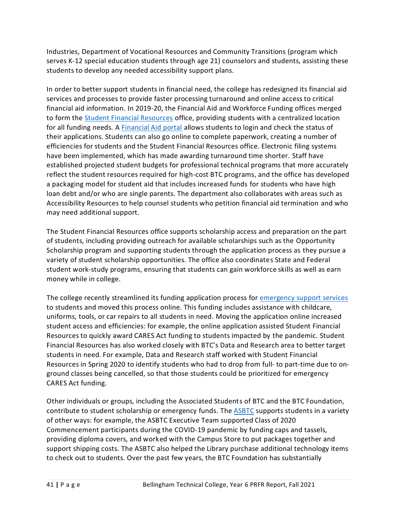Industries, Department of Vocational Resources and Community Transitions (program which serves K-12 special education students through age 21) counselors and students, assisting these students to develop any needed accessibility support plans.

In order to better support students in financial need, the college has redesigned its financial aid services and processes to provide faster processing turnaround and online access to critical financial aid information. In 2019-20, the Financial Aid and Workforce Funding offices merged to form the [Student Financial Resources](https://www.btc.edu/CurrentStudents/FinancialResources/index.html) office, providing students with a centralized location for all funding needs. [A Financial Aid portal](https://www.fas.ctc.edu/portal3/?col=250) allows students to login and check the status of their applications. Students can also go online to complete paperwork, creating a number of efficiencies for students and the Student Financial Resources office. Electronic filing systems have been implemented, which has made awarding turnaround time shorter. Staff have established projected student budgets for professional technical programs that more accurately reflect the student resources required for high-cost BTC programs, and the office has developed a packaging model for student aid that includes increased funds for students who have high loan debt and/or who are single parents. The department also collaborates with areas such as Accessibility Resources to help counsel students who petition financial aid termination and who may need additional support.

The Student Financial Resources office supports scholarship access and preparation on the part of students, including providing outreach for available scholarships such as the Opportunity Scholarship program and supporting students through the application process as they pursue a variety of student scholarship opportunities. The office also coordinates State and Federal student work-study programs, ensuring that students can gain workforce skills as well as earn money while in college.

The college recently streamlined its funding application process for [emergency support services](https://www.btc.edu/CurrentStudents/FinancialResources/EmergencyFunding.html) to students and moved this process online. This funding includes assistance with childcare, uniforms, tools, or car repairs to all students in need. Moving the application online increased student access and efficiencies: for example, the online application assisted Student Financial Resources to quickly award CARES Act funding to students impacted by the pandemic. Student Financial Resources has also worked closely with BTC's Data and Research area to better target students in need. For example, Data and Research staff worked with Student Financial Resources in Spring 2020 to identify students who had to drop from full- to part-time due to onground classes being cancelled, so that those students could be prioritized for emergency CARES Act funding.

Other individuals or groups, including the Associated Students of BTC and the BTC Foundation, contribute to student scholarship or emergency funds. The [ASBTC](https://nwccu.box.com/s/lwi57dsmir7ezgknvbw17x792rifbd6n) supports students in a variety of other ways: for example, the ASBTC Executive Team supported Class of 2020 Commencement participants during the COVID-19 pandemic by funding caps and tassels, providing diploma covers, and worked with the Campus Store to put packages together and support shipping costs. The ASBTC also helped the Library purchase additional technology items to check out to students. Over the past few years, the BTC Foundation has substantially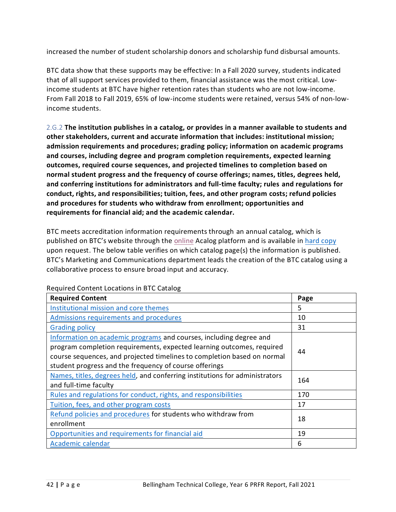increased the number of student scholarship donors and scholarship fund disbursal amounts.

BTC data show that these supports may be effective: In a Fall 2020 survey, students indicated that of all support services provided to them, financial assistance was the most critical. Lowincome students at BTC have higher retention rates than students who are not low-income. From Fall 2018 to Fall 2019, 65% of low-income students were retained, versus 54% of non-lowincome students.

<span id="page-44-0"></span>2.G.2 **The institution publishes in a catalog, or provides in a manner available to students and other stakeholders, current and accurate information that includes: institutional mission; admission requirements and procedures; grading policy; information on academic programs and courses, including degree and program completion requirements, expected learning outcomes, required course sequences, and projected timelines to completion based on normal student progress and the frequency of course offerings; names, titles, degrees held, and conferring institutions for administrators and full-time faculty; rules and regulations for conduct, rights, and responsibilities; tuition, fees, and other program costs; refund policies and procedures for students who withdraw from enrollment; opportunities and requirements for financial aid; and the academic calendar.**

BTC meets accreditation information requirements through an annual catalog, which is published on BTC's website through th[e online](https://catalog.btc.edu/) Acalog platform and is available in [hard copy](https://nwccu.box.com/s/91kgi9wlahvvxsrta3tqvrgg3vihu518) upon request. The below table verifies on which catalog page(s) the information is published. BTC's Marketing and Communications department leads the creation of the BTC catalog using a collaborative process to ensure broad input and accuracy.

| <b>Required Content</b>                                                     | Page |
|-----------------------------------------------------------------------------|------|
| Institutional mission and core themes                                       | 5    |
| Admissions requirements and procedures                                      | 10   |
| <b>Grading policy</b>                                                       | 31   |
| Information on academic programs and courses, including degree and          | 44   |
| program completion requirements, expected learning outcomes, required       |      |
| course sequences, and projected timelines to completion based on normal     |      |
| student progress and the frequency of course offerings                      |      |
| Names, titles, degrees held, and conferring institutions for administrators | 164  |
| and full-time faculty                                                       |      |
| Rules and regulations for conduct, rights, and responsibilities             | 170  |
| Tuition, fees, and other program costs                                      | 17   |
| Refund policies and procedures for students who withdraw from               | 18   |
| enrollment                                                                  |      |
| Opportunities and requirements for financial aid                            | 19   |
| Academic calendar                                                           | 6    |

Required Content Locations in BTC Catalog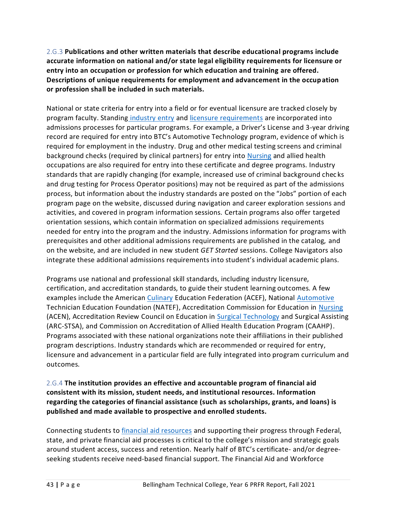<span id="page-45-0"></span>2.G.3 **Publications and other written materials that describe educational programs include accurate information on national and/or state legal eligibility requirements for licensure or entry into an occupation or profession for which education and training are offered. Descriptions of unique requirements for employment and advancement in the occupation or profession shall be included in such materials.**

National or state criteria for entry into a field or for eventual licensure are tracked closely by program faculty. Standing [industry entry](https://nwccu.box.com/s/brjawm8dhwt7pbki4llz46h1x2och8p2) and [licensure requirements](https://nwccu.box.com/s/pqgpt8hv0jccko0yy0ezbwbq7kvn4rcn) are incorporated into admissions processes for particular programs. For example, a Driver's License and 3-year driving record are required for entry into BTC's Automotive Technology program, evidence of which is required for employment in the industry. Drug and other medical testing screens and criminal background checks (required by clinical partners) for entry into [Nursing](https://nwccu.box.com/s/ftw74888rj11gd7q48q6h1zhd5sg546k) and allied health occupations are also required for entry into these certificate and degree programs. Industry standards that are rapidly changing (for example, increased use of criminal background chec ks and drug testing for Process Operator positions) may not be required as part of the admissions process, but information about the industry standards are posted on the "Jobs" portion of each program page on the website, discussed during navigation and career exploration sessions and activities, and covered in program information sessions. Certain programs also offer targeted orientation sessions, which contain information on specialized admissions requirements needed for entry into the program and the industry. Admissions information for programs with prerequisites and other additional admissions requirements are published in the catalog, and on the website, and are included in new student *GET Started* sessions. College Navigators also integrate these additional admissions requirements into student's individual academic plans.

Programs use national and professional skill standards, including industry licensure, certification, and accreditation standards, to guide their student learning outcomes. A few examples include the American [Culinary](https://www.btc.edu/Academics/DegreesAndCertificates/CulinaryArts/index.html) Education Federation (ACEF), National [Automotive](https://www.btc.edu/Academics/DegreesAndCertificates/AutomotiveTechnology/index.html) Technician Education Foundation (NATEF), Accreditation Commission for Education in [Nursing](https://www.btc.edu/Academics/DegreesAndCertificates/Nursing/Nursing-DTA-MRP-AssociateDegree.html) (ACEN), Accreditation Review Council on Education in [Surgical Technology](https://www.btc.edu/Academics/DegreesAndCertificates/SurgeryTechnology/index.html) and Surgical Assisting (ARC-STSA), and Commission on Accreditation of Allied Health Education Program (CAAHP). Programs associated with these national organizations note their affiliations in their published program descriptions. Industry standards which are recommended or required for entry, licensure and advancement in a particular field are fully integrated into program curriculum and outcomes.

# <span id="page-45-1"></span>2.G.4 **The institution provides an effective and accountable program of financial aid consistent with its mission, student needs, and institutional resources. Information regarding the categories of financial assistance (such as scholarships, grants, and loans) is published and made available to prospective and enrolled students.**

Connecting students to [financial aid resources](https://nwccu.box.com/s/q43rw13a526ng697ngui2too1vp6mc5o) and supporting their progress through Federal, state, and private financial aid processes is critical to the college's mission and strategic goals around student access, success and retention. Nearly half of BTC's certificate- and/or degreeseeking students receive need-based financial support. The Financial Aid and Workforce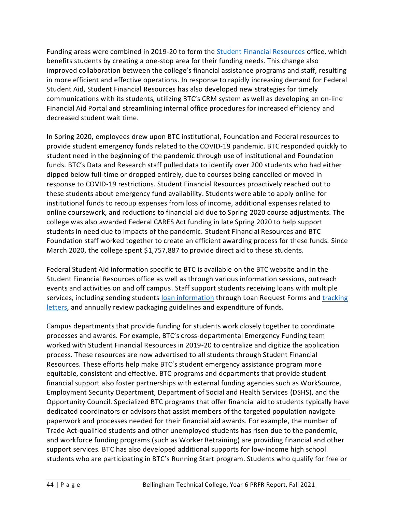Funding areas were combined in 2019-20 to form the [Student Financial Resources](https://www.btc.edu/CurrentStudents/FinancialResources/index.html) office, which benefits students by creating a one-stop area for their funding needs. This change also improved collaboration between the college's financial assistance programs and staff, resulting in more efficient and effective operations. In response to rapidly increasing demand for Federal Student Aid, Student Financial Resources has also developed new strategies for timely communications with its students, utilizing BTC's CRM system as well as developing an on-line Financial Aid Portal and streamlining internal office procedures for increased efficiency and decreased student wait time.

In Spring 2020, employees drew upon BTC institutional, Foundation and Federal resources to provide student emergency funds related to the COVID-19 pandemic. BTC responded quickly to student need in the beginning of the pandemic through use of institutional and Foundation funds. BTC's Data and Research staff pulled data to identify over 200 students who had either dipped below full-time or dropped entirely, due to courses being cancelled or moved in response to COVID-19 restrictions. Student Financial Resources proactively reached out to these students about emergency fund availability. Students were able to apply online for institutional funds to recoup expenses from loss of income, additional expenses related to online coursework, and reductions to financial aid due to Spring 2020 course adjustments. The college was also awarded Federal CARES Act funding in late Spring 2020 to help support students in need due to impacts of the pandemic. Student Financial Resources and BTC Foundation staff worked together to create an efficient awarding process for these funds. Since March 2020, the college spent \$1,757,887 to provide direct aid to these students.

Federal Student Aid information specific to BTC is available on the BTC website and in the Student Financial Resources office as well as through various information sessions, outreach events and activities on and off campus. Staff support students receiving loans with multiple services, including sending students [loan information](https://nwccu.box.com/s/4tphy8m0fbhgx5kt25j4ialdbzl1bqln) through Loan Request Forms and [tracking](https://nwccu.box.com/s/23nh9ej0pgln1x3tvr2ds5q4kojqjtl0) [letters,](https://nwccu.box.com/s/23nh9ej0pgln1x3tvr2ds5q4kojqjtl0) and annually review packaging guidelines and expenditure of funds.

Campus departments that provide funding for students work closely together to coordinate processes and awards. For example, BTC's cross-departmental Emergency Funding team worked with Student Financial Resources in 2019-20 to centralize and digitize the application process. These resources are now advertised to all students through Student Financial Resources. These efforts help make BTC's student emergency assistance program more equitable, consistent and effective. BTC programs and departments that provide student financial support also foster partnerships with external funding agencies such as WorkSource, Employment Security Department, Department of Social and Health Services (DSHS), and the Opportunity Council. Specialized BTC programs that offer financial aid to students typically have dedicated coordinators or advisors that assist members of the targeted population navigate paperwork and processes needed for their financial aid awards. For example, the number of Trade Act-qualified students and other unemployed students has risen due to the pandemic, and workforce funding programs (such as Worker Retraining) are providing financial and other support services. BTC has also developed additional supports for low-income high school students who are participating in BTC's Running Start program. Students who qualify for free or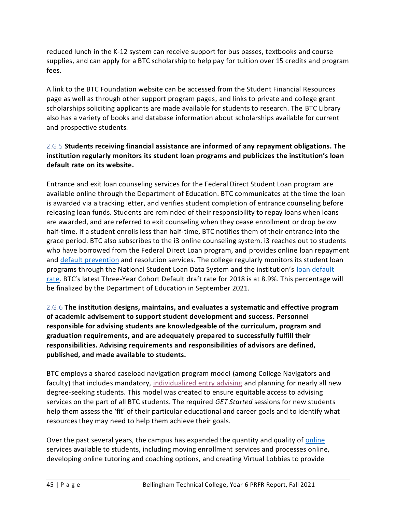reduced lunch in the K-12 system can receive support for bus passes, textbooks and course supplies, and can apply for a BTC scholarship to help pay for tuition over 15 credits and program fees.

A link to the BTC [Foundation website](http://www.btc.ctc.edu/OurCommunity/Foundation/indexFoundation.aspx) can be accessed from the Student Financial Resources page as well as through other support program pages, and links to private and college grant scholarships soliciting applicants are made available for students to research. The BTC Library also has a variety of books and database information about scholarships available for current and prospective students.

# <span id="page-47-0"></span>2.G.5 **Students receiving financial assistance are informed of any repayment obligations. The institution regularly monitors its student loan programs and publicizes the institution's loan default rate on its website.**

Entrance and exit loan counseling services for the Federal Direct Student Loan program are available online through the Department of Education. BTC communicates at the time the loan is awarded via a tracking letter, and verifies student completion of entrance counseling before releasing loan funds. Students are reminded of their responsibility to repay loans when loans are awarded, and are referred to exit counseling when they cease enrollment or drop below half-time. If a student enrolls less than half-time, BTC notifies them of their entrance into the grace period. BTC also subscribes to the i3 online counseling system. i3 reaches out to students who have borrowed from the Federal Direct Loan program, and provides online loan repayment and [default prevention](https://nwccu.box.com/s/4tphy8m0fbhgx5kt25j4ialdbzl1bqln) and resolution services. The college regularly monitors its student loan programs through the National Student Loan Data System and the institution's [loan default](https://www.btc.edu/CurrentStudents/FinancialResources/FinancialAid.html#ConsumerInformation)  [rate.](https://www.btc.edu/CurrentStudents/FinancialResources/FinancialAid.html#ConsumerInformation) BTC's latest Three-Year Cohort Default draft rate for 2018 is at 8.9%. This percentage will be finalized by the Department of Education in September 2021.

<span id="page-47-1"></span>2.G.6 **The institution designs, maintains, and evaluates a systematic and effective program of academic advisement to support student development and success. Personnel responsible for advising students are knowledgeable of the curriculum, program and graduation requirements, and are adequately prepared to successfully fulfill their responsibilities. Advising requirements and responsibilities of advisors are defined, published, and made available to students.**

BTC employs a shared caseload navigation program model (among College Navigators and faculty) that includes mandatory, [individualized entry advising](https://bellinghamtechnical.emsicc.com/?radius=®ion=Whatcom%2C%20Skagit%2C%20and%20Island%20counties) and planning for nearly all new degree-seeking students. This model was created to ensure equitable access to advising services on the part of all BTC students. The required *GET Started* sessions for new students help them assess the 'fit' of their particular educational and career goals and to identify what resources they may need to help them achieve their goals.

Over the past several years, the campus has expanded the quantity and quality of [online](https://www.btc.edu/CurrentStudents/AdmissionsAndAdvising/AdvisingAndCareerServices.html) services available to students, including moving enrollment services and processes online, developing online tutoring and coaching options, and creating Virtual Lobbies to provide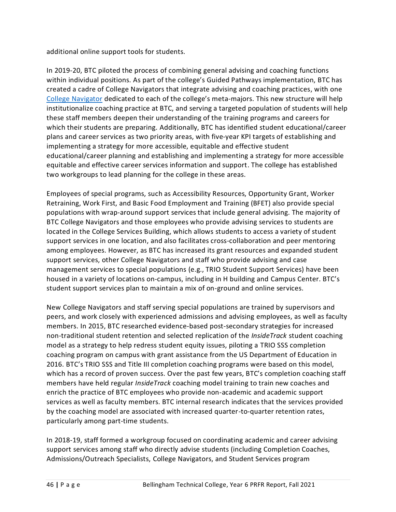additional online support tools for students.

In 2019-20, BTC piloted the process of combining general advising and coaching functions within individual positions. As part of the college's Guided Pathways implementation, BTC has created a cadre of College Navigators that integrate advising and coaching practices, with one [College Navigator](https://nwccu.box.com/s/2ppne6kuyklh4rz2b9srevotd1bokaqe) dedicated to each of the college's meta-majors. This new structure will help institutionalize coaching practice at BTC, and serving a targeted population of students will help these staff members deepen their understanding of the training programs and careers for which their students are preparing. Additionally, BTC has identified student educational/career plans and career services as two priority areas, with five-year KPI targets of establishing and implementing a strategy for more accessible, equitable and effective student educational/career planning and establishing and implementing a strategy for more accessible equitable and effective career services information and support. The college has established two workgroups to lead planning for the college in these areas.

Employees of special programs, such as Accessibility Resources, Opportunity Grant, Worker Retraining, Work First, and Basic Food Employment and Training (BFET) also provide special populations with wrap-around support services that include general advising. The majority of BTC College Navigators and those employees who provide advising services to students are located in the College Services Building, which allows students to access a variety of student support services in one location, and also facilitates cross-collaboration and peer mentoring among employees. However, as BTC has increased its grant resources and expanded student support services, other College Navigators and staff who provide advising and case management services to special populations (e.g., TRIO Student Support Services) have been housed in a variety of locations on-campus, including in H building and Campus Center. BTC's student support services plan to maintain a mix of on-ground and online services.

New College Navigators and staff serving special populations are trained by supervisors and peers, and work closely with experienced admissions and advising employees, as well as faculty members. In 2015, BTC researched evidence-based post-secondary strategies for increased non-traditional student retention and selected replication of the *InsideTrack* student coaching model as a strategy to help redress student equity issues, piloting a TRIO SSS completion coaching program on campus with grant assistance from the US Department of Education in 2016. BTC's TRIO SSS and Title III completion coaching programs were based on this model, which has a record of proven success. Over the past few years, BTC's completion coaching staff members have held regular *InsideTrack* coaching model training to train new coaches and enrich the practice of BTC employees who provide non-academic and academic support services as well as faculty members. BTC internal research indicates that the services provided by the coaching model are associated with increased quarter-to-quarter retention rates, particularly among part-time students.

In 2018-19, staff formed a workgroup focused on coordinating academic and career advising support services among staff who directly advise students (including Completion Coaches, Admissions/Outreach Specialists, College Navigators, and Student Services program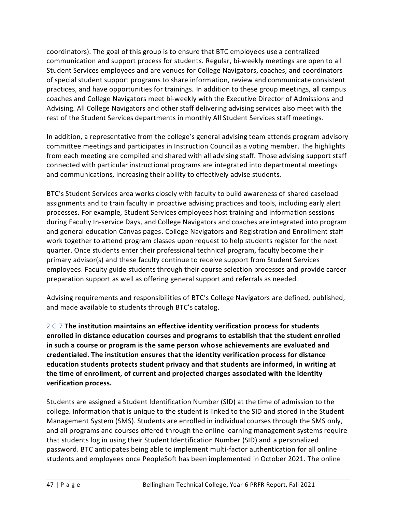coordinators). The goal of this group is to ensure that BTC employees use a centralized communication and support process for students. Regular, bi-weekly meetings are open to all Student Services employees and are venues for College Navigators, coaches, and coordinators of special student support programs to share information, review and communicate consistent practices, and have opportunities for trainings. In addition to these group meetings, all campus coaches and College Navigators meet bi-weekly with the Executive Director of Admissions and Advising. All College Navigators and other staff delivering advising services also meet with the rest of the Student Services departments in monthly All Student Services staff meetings.

In addition, a representative from the college's general advising team attends program [advisory](https://sharepoint2013.btc.ctc.edu/sites/accreditation/Shared%20Documents/Instruction/Faculty/rptActiveMembers-ByProgram.pdf)  [committee](https://sharepoint2013.btc.ctc.edu/sites/accreditation/Shared%20Documents/Instruction/Faculty/rptActiveMembers-ByProgram.pdf) meetings and participates in Instruction Council as a voting member. The highlights from each meeting are compiled and shared with all advising staff. Those advising support staff connected with particular instructional programs are integrated into departmental meetings and communications, increasing their ability to effectively advise students.

BTC's Student Services area works closely with faculty to build awareness of shared caseload assignments and to train faculty in proactive advising practices and tools, including early alert processes. For example, Student Services employees host training and information sessions during Faculty In-service Days, and College Navigators and coaches are integrated into program and general education Canvas pages. College Navigators and Registration and Enrollment staff work together to attend program classes upon request to help students register for the next quarter. Once students enter their professional technical program, faculty become their primary advisor(s) and these faculty continue to receive support from Student Services employees. Faculty guide students through their course selection processes and provide career preparation support as well as offering general support and referrals as needed.

Advising requirements and responsibilities of BTC's College Navigators are defined, published, and made available to students through BTC's catalog.

<span id="page-49-0"></span>2.G.7 **The institution maintains an effective identity verification process for students enrolled in distance education courses and programs to establish that the student enrolled in such a course or program is the same person whose achievements are evaluated and credentialed. The institution ensures that the identity verification process for distance education students protects student privacy and that students are informed, in writing at the time of enrollment, of current and projected charges associated with the identity verification process.**

Students are assigned a Student Identification Number (SID) at the time of admission to the college. Information that is unique to the student is linked to the SID and stored in the Student Management System (SMS). Students are enrolled in individual courses through the SMS only, and all programs and courses offered through the online learning management systems require that students log in using their Student Identification Number (SID) and a personalized password. BTC anticipates being able to implement multi-factor authentication for all online students and employees once PeopleSoft has been implemented in October 2021. The online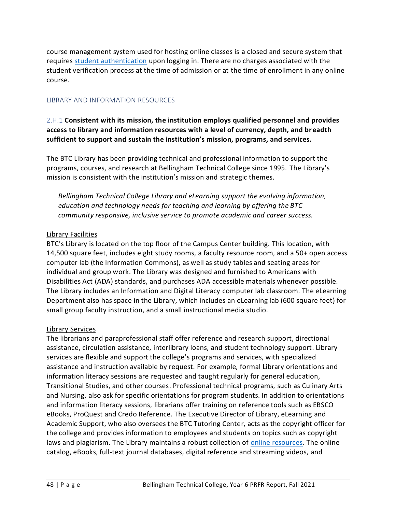course management system used for hosting online classes is a closed and secure system that requires [student authentication](https://nwccu.box.com/s/d0ek6ql507svwadcpyhblu10f6votsn2) upon logging in. There are no charges associated with the student verification process at the time of admission or at the time of enrollment in any online course.

### <span id="page-50-0"></span>LIBRARY AND INFORMATION RESOURCES

<span id="page-50-1"></span>2.H.1 **Consistent with its mission, the institution employs qualified personnel and provides access to library and information resources with a level of currency, depth, and breadth sufficient to support and sustain the institution's mission, programs, and services.**

The BTC Library has been providing technical and professional information to support the programs, courses, and research at Bellingham Technical College since 1995. The Library's mission is consistent with the institution's mission and strategic themes.

*Bellingham Technical College Library and eLearning support the evolving information, education and technology needs for teaching and learning by offering the BTC community responsive, inclusive service to promote academic and career success.*

### Library Facilities

BTC's Library is located on the top floor of the Campus Center building. This location, with 14,500 square feet, includes eight study rooms, a faculty resource room, and a 50+ open access computer lab (the Information Commons), as well as study tables and seating areas for individual and group work. The Library was designed and furnished to Americans with Disabilities Act (ADA) standards, and purchases ADA accessible materials whenever possible. The Library includes an Information and Digital Literacy computer lab classroom. The eLearning Department also has space in the Library, which includes an eLearning lab (600 square feet) for small group faculty instruction, and a small instructional media studio.

### Library Services

The librarians and paraprofessional staff offer reference and research support, directional assistance, circulation assistance, interlibrary loans, and student technology support. Library services are flexible and support the college's programs and services, with specialized assistance and instruction available by request. For example, formal Library orientations and information literacy sessions are requested and taught regularly for general education, Transitional Studies, and other courses. Professional technical programs, such as Culinary Arts and Nursing, also ask for specific orientations for program students. In addition to orientations and information literacy sessions, librarians offer training on reference tools such as EBSCO eBooks, ProQuest and Credo Reference. The Executive Director of Library, eLearning and Academic Support, who also oversees the BTC Tutoring Center, acts as the copyright officer for the college and provides information to employees and students on topics such as copyright laws and plagiarism. The Library maintains a robust collection of [online resources.](https://nwccu.box.com/s/e7q3esh4m5ha4wlmutmzm522neam9dfq) The online catalog, eBooks, full-text journal databases, digital reference and streaming videos, and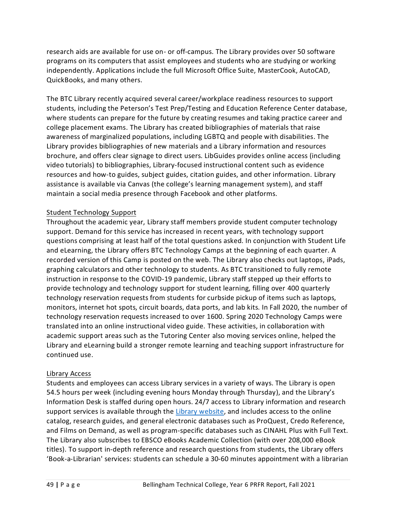research aids are available for use on- or off-campus. The Library provides over 50 software programs on its computers that assist employees and students who are studying or working independently. Applications include the full Microsoft Office Suite, MasterCook, AutoCAD, QuickBooks, and many others.

The BTC Library recently acquired several career/workplace readiness resources to support students, including the Peterson's Test Prep/Testing and Education Reference Center database, where students can prepare for the future by creating resumes and taking practice career and college placement exams. The Library has created bibliographies of materials that raise awareness of marginalized populations, including LGBTQ and people with disabilities. The Library provides bibliographies of new materials and a Library information and resources brochure, and offers clear signage to direct users. LibGuides provides online access (including video tutorials) to bibliographies, Library-focused instructional content such as evidence resources and how-to guides, subject guides, citation guides, and other information. Library assistance is available via Canvas (the college's learning management system), and staff maintain a social media presence through Facebook and other platforms.

### Student Technology Support

Throughout the academic year, Library staff members provide student computer technology support. Demand for this service has increased in recent years, with technology support questions comprising at least half of the total questions asked. In conjunction with Student Life and eLearning, the Library offers BTC Technology Camps at the beginning of each quarter. A recorded version of this Camp is posted on the web. The Library also checks out laptops, iPads, graphing calculators and other technology to students. As BTC transitioned to fully remote instruction in response to the COVID-19 pandemic, Library staff stepped up their efforts to provide technology and technology support for student learning, filling over 400 quarterly technology reservation requests from students for curbside pickup of items such as laptops, monitors, internet hot spots, circuit boards, data ports, and lab kits. In Fall 2020, the number of technology reservation requests increased to over 1600. Spring 2020 Technology Camps were translated into an online instructional video guide. These activities, in collaboration with academic support areas such as the Tutoring Center also moving services online, helped the Library and eLearning build a stronger remote learning and teaching support infrastructure for continued use.

### Library Access

Students and employees can access Library services in a variety of ways. The Library is open 54.5 hours per week (including evening hours Monday through Thursday), and the Library's Information Desk is staffed during open hours. 24/7 access to Library information and research support services is available through the [Library website,](https://www.btc.edu/Academics/Library/Index.html) and includes access to the online catalog, research guides, and general electronic databases such as ProQuest, Credo Reference, and Films on Demand, as well as program-specific databases such as CINAHL Plus with Full Text. The Library also subscribes to EBSCO eBooks Academic Collection (with over 208,000 eBook titles). To support in-depth reference and research questions from students, the Library offers 'Book-a-Librarian' services: students can schedule a 30-60 minutes appointment with a librarian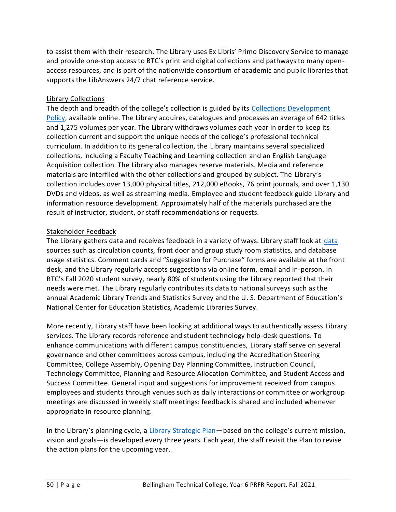to assist them with their research. The Library uses Ex Libris' Primo Discovery Service to manage and provide one-stop access to BTC's print and digital collections and pathways to many openaccess resources, and is part of the nationwide consortium of academic and public libraries that supports the LibAnswers 24/7 chat reference service.

### Library Collections

The depth and breadth of the college's collection is guided by its [Collections Development](https://btc.ctc.libguides.com/btclibrarypolicies/collectiondevelopment)  [Policy,](https://btc.ctc.libguides.com/btclibrarypolicies/collectiondevelopment) available online. The Library acquires, catalogues and processes an average of 642 titles and 1,275 volumes per year. The Library withdraws volumes each year in order to keep its collection current and support the unique needs of the college's professional technical curriculum. In addition to its general collection, the Library maintains several specialized collections, including a Faculty Teaching and Learning collection and an English Language Acquisition collection. The Library also manages reserve materials. Media and reference materials are interfiled with the other collections and grouped by subject. The Library's collection includes over 13,000 physical titles, 212,000 eBooks, 76 print journals, and over 1,130 DVDs and videos, as well as streaming media. Employee and student feedback guide Library and information resource development. Approximately half of the materials purchased are the result of instructor, student, or staff recommendations or requests.

### Stakeholder Feedback

The Library gathers [data](https://drive.google.com/file/d/1P6b727p3P1qgIDk7a-jAMcKV7OvYav9D/view) and receives feedback in a variety of ways. Library staff look at data sources such as circulation counts, front door and group study room statistics, and database usage statistics. Comment cards and "Suggestion for Purchase" forms are available at the front desk, and the Library regularly accepts suggestions via online form, email and in-person. In BTC's Fall 2020 student survey, nearly 80% of students using the Library reported that their needs were met. The Library regularly contributes its data to national surveys such as the annual Academic Library Trends and Statistics Survey and the U. S. Department of Education's National Center for Education Statistics, Academic Libraries Survey.

More recently, Library staff have been looking at additional ways to authentically assess Library services. The Library records reference and student technology help-desk questions. To enhance communications with different campus constituencies, Library staff serve on several governance and other [committees](https://sharepoint2013.btc.ctc.edu/sites/accreditation/Shared%20Documents/Committees-and-Councils/Councils,%20Committees,%20and%20Taskforces%20-%202014-2015.docx) across campus, including the Accreditation Steering Committee, College Assembly, Opening Day Planning Committee, Instruction Council, Technology Committee, Planning and Resource Allocation Committee, and Student Access and Success Committee. General input and suggestions for improvement received from campus employees and students through venues such as daily interactions or committee or workgroup meetings are discussed in weekly staff meetings: feedback is shared and included whenever appropriate in resource planning.

In the Library's planning cycle, a [Library Strategic Plan](https://btc.ctc.libguides.com/c.php?g=473768&p=7578488)—based on the college's current mission, vision and goals—is developed every three years. Each year, the staff revisit the Plan to revise the action plans for the upcoming year.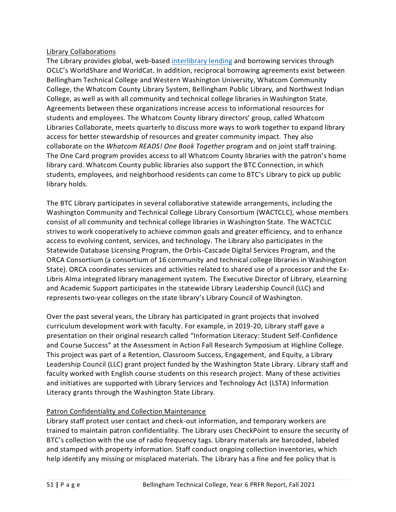### Library Collaborations

The Library provides global, web-based [interlibrary lending](https://btc.ctc.libguides.com/InterlibraryLoan) and borrowing services through OCLC's WorldShare and WorldCat. In addition, reciprocal borrowing agreements exist between Bellingham Technical College and Western Washington University, Whatcom Community College, the Whatcom County Library System, Bellingham Public Library, and Northwest Indian College, as well as with all community and technical college libraries in Washington State. Agreements between these organizations increase access to informational resources for students and employees. The Whatcom County library directors' group, called Whatcom Libraries Collaborate, meets quarterly to discuss more ways to work together to expand library access for better stewardship of resources and greater community impact. They also collaborate on the *Whatcom READS! One Book Together* program and on joint staff training. The One Card program provides access to all Whatcom County libraries with the patron's home library card. Whatcom County public libraries also support the BTC Connection, in which students, employees, and neighborhood residents can come to BTC's Library to pick up public library holds.

The BTC Library participates in several collaborative statewide arrangements, including the Washington Community and Technical College Library Consortium (WACTCLC), whose members consist of all community and technical college libraries in Washington State. The WACTCLC strives to work cooperatively to achieve common goals and greater efficiency, and to enhance access to evolving content, services, and technology. The Library also participates in the Statewide Database Licensing Program, the Orbis-Cascade Digital Services Program, and the ORCA Consortium (a consortium of 16 community and technical college libraries in Washington State). ORCA coordinates services and activities related to shared use of a processor and the Ex-Libris Alma integrated library management system. The Executive Director of Library, eLearning and Academic Support participates in the statewide Library Leadership Council (LLC) and represents two-year colleges on the state library's Library Council of Washington.

Over the past several years, the Library has participated in grant projects that involved curriculum development work with faculty. For example, in 2019-20, Library staff gave a presentation on their original research called "Information Literacy: Student Self-Confidence and Course Success" at the Assessment in Action Fall Research Symposium at Highline College. This project was part of a Retention, Classroom Success, Engagement, and Equity, a Library Leadership Council (LLC) grant project funded by the Washington State Library. Library staff and faculty worked with English course students on this research project. Many of these activities and initiatives are supported with Library Services and Technology Act (LSTA) Information Literacy grants through the Washington State Library.

# Patron Confidentiality and Collection Maintenance

Library staff protect user contact and check-out information, and temporary workers are trained to maintain patron confidentiality. The Library uses CheckPoint to ensure the security of BTC's collection with the use of radio frequency tags. Library materials are barcoded, labeled and stamped with property information. Staff conduct ongoing collection inventories, which help identify any missing or misplaced materials. The Library has a fine and fee policy that is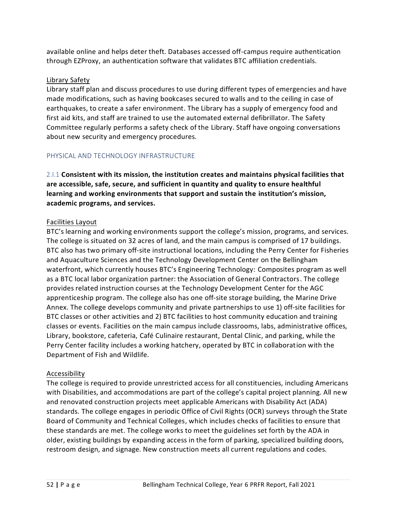available online and helps deter theft. Databases accessed off-campus require authentication through EZProxy, an authentication software that validates BTC affiliation credentials.

### Library Safety

Library staff plan and discuss procedures to use during different types of emergencies and have made modifications, such as having bookcases secured to walls and to the ceiling in case of earthquakes, to create a safer environment. The Library has a supply of emergency food and first aid kits, and staff are trained to use the automated external defibrillator. The [Safety](https://sharepoint2013.btc.ctc.edu/sites/accreditation/Shared%20Documents/Committees-and-Councils/Councils,%20Committees,%20and%20Taskforces%20-%202014-2015.docx)  [Committee](https://sharepoint2013.btc.ctc.edu/sites/accreditation/Shared%20Documents/Committees-and-Councils/Councils,%20Committees,%20and%20Taskforces%20-%202014-2015.docx) regularly performs a safety check of the Library. Staff have ongoing conversations about new security and emergency procedures.

### <span id="page-54-0"></span>PHYSICAL AND TECHNOLOGY INFRASTRUCTURE

<span id="page-54-1"></span>2.I.1 **Consistent with its mission, the institution creates and maintains physical facilities that are accessible, safe, secure, and sufficient in quantity and quality to ensure healthful learning and working environments that support and sustain the institution's mission, academic programs, and services.**

### Facilities Layout

BTC's learning and working environments support the college's mission, programs, and services. The college is situated on 32 acres of land, and the main campus is comprised of 17 buildings. BTC also has two primary off-site instructional locations, including the Perry Center for Fisheries and Aquaculture Sciences and the Technology Development Center on the Bellingham waterfront, which currently houses BTC's Engineering Technology: Composites program as well as a BTC local labor organization partner: the Association of General Contractors. The college provides related instruction courses at the Technology Development Center for the AGC apprenticeship program. The college also has one off-site storage building, the Marine Drive Annex. The college develops community and private partnerships to use 1) off-site facilities for BTC classes or other activities and 2) BTC facilities to host community education and training classes or events. Facilities on the main campus include classrooms, labs, administrative offices, Library, bookstore, cafeteria, Café Culinaire restaurant, Dental Clinic, and parking, while the Perry Center facility includes a working hatchery, operated by BTC in collaboration with the Department of Fish and Wildlife.

### Accessibility

The college is required to provide unrestricted access for all constituencies, including Americans with Disabilities, and accommodations are part of the college's capital project planning. All new and renovated construction projects meet applicable Americans with Disability Act (ADA) standards. The college engages in periodic Office of Civil Rights (OCR) surveys through the State Board of Community and Technical Colleges, which includes checks of facilities to ensure that these standards are met. The college works to meet the guidelines set forth by the ADA in older, existing buildings by expanding access in the form of parking, specialized building doors, restroom design, and signage. New construction meets all current regulations and codes.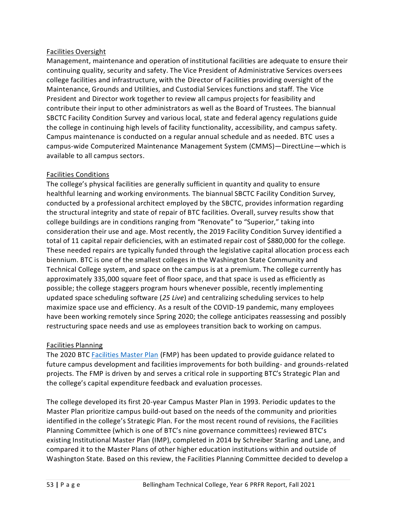### Facilities Oversight

Management, maintenance and operation of institutional facilities are adequate to ensure their continuing quality, security and safety. The Vice President of Administrative Services oversees college facilities and infrastructure, with the Director of Facilities providing oversight of the Maintenance, Grounds and Utilities, and Custodial Services functions and staff. The Vice President and Director work together to review all campus projects for feasibility and contribute their input to other administrators as well as the Board of Trustees. The biannual SBCTC Facility Condition Survey and various local, state and federal agency regulations guide the college in continuing high levels of facility functionality, accessibility, and campus safety. Campus maintenance is conducted on a regular annual schedule and as needed. BTC uses a campus-wide Computerized Maintenance Management System (CMMS)—DirectLine—which is available to all campus sectors.

### Facilities Conditions

The college's physical facilities are generally sufficient in quantity and quality to ensure healthful learning and working environments. The biannual SBCTC Facility Condition Survey, conducted by a professional architect employed by the SBCTC, provides information regarding the structural integrity and state of repair of BTC facilities. Overall, survey results show that college buildings are in conditions ranging from "Renovate" to "Superior," taking into consideration their use and age. Most recently, the 2019 Facility Condition Survey identified a total of 11 capital repair deficiencies, with an estimated repair cost of \$880,000 for the college. These needed repairs are typically funded through the legislative capital allocation proc ess each biennium. BTC is one of the smallest colleges in the Washington State Community and Technical College system, and space on the campus is at a premium. The college currently has approximately 335,000 square feet of floor space, and that space is used as efficiently as possible; the college staggers program hours whenever possible, recently implementing updated space scheduling software (*25 Live*) and centralizing scheduling services to help maximize space use and efficiency. As a result of the COVID-19 pandemic, many employees have been working remotely since Spring 2020; the college anticipates reassessing and possibly restructuring space needs and use as employees transition back to working on campus.

# Facilities Planning

The 2020 BTC [Facilities Master Plan](https://nwccu.box.com/s/pd1d5uox3f2xa93lovrkgwacpfhrjf0x) (FMP) has been updated to provide guidance related to future campus development and facilities improvements for both building- and grounds-related projects. The FMP is driven by and serves a critical role in supporting BTC's Strategic Plan and the college's capital expenditure feedback and evaluation processes.

The college developed its first 20-year [Campus Master Plan](https://sharepoint2013.btc.ctc.edu/sites/accreditation/Shared%20Documents/Administrative-Services/Facilities/Campus%20Master%20Plan.pdf) in 1993. Periodic updates to the [Master Plan](https://sharepoint2013.btc.ctc.edu/sites/accreditation/Shared%20Documents/Administrative-Services/Facilities/Campus%20Master%20Plan.pdf) prioritize campus build-out based on the needs of the community and priorities identified in the college's Strategic Plan. For the most recent round of revisions, the Facilities Planning Committee (which is one of BTC's nine governance committees) reviewed BTC's existing Institutional Master Plan (IMP), completed in 2014 by Schreiber Starling and Lane, and compared it to the Master Plans of other higher education institutions within and outside of Washington State. Based on this review, the Facilities Planning Committee decided to develop a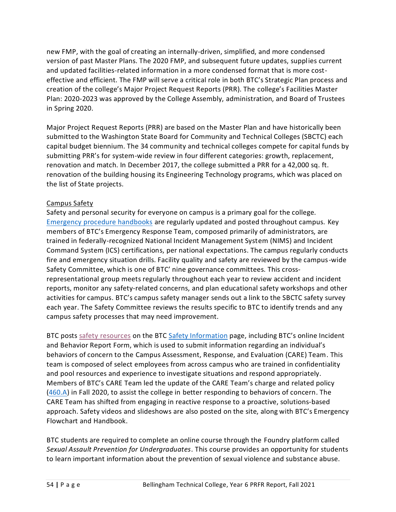new FMP, with the goal of creating an internally-driven, simplified, and more condensed version of past Master Plans. The 2020 FMP, and subsequent future updates, supplies current and updated facilities-related information in a more condensed format that is more costeffective and efficient. The FMP will serve a critical role in both BTC's Strategic Plan process and creation of the college's Major Project Request Reports (PRR). The college's Facilities Master Plan: 2020-2023 was approved by the College Assembly, administration, and Board of Trustees in Spring 2020.

Major Project Request Reports (PRR) are based on th[e Master Plan](https://sharepoint2013.btc.ctc.edu/sites/accreditation/Shared%20Documents/Administrative-Services/Facilities/Campus%20Master%20Plan.pdf) and have historically been submitted to the Washington State Board for Community and Technical Colleges (SBCTC) each capital budget biennium. The 34 community and technical colleges compete for capital funds by submitting PRR's for system-wide review in four different categories: growth, replacement, renovation and match. In December 2017, the college submitted a PRR for a 42,000 sq. ft. renovation of the building housing its Engineering Technology programs, which was placed on the list of State projects.

# Campus Safety

Safety and personal security for everyone on campus is a primary goal for the college. [Emergency procedure handbooks](https://nwccu.box.com/s/ihqqje5abs9soeyj2ese0k496ffez02z) are regularly updated and posted throughout campus. Key members of BTC's Emergency Response Team, composed primarily of administrators, are trained in federally-recognized National Incident Management System (NIMS) and Incident Command System (ICS) certifications, per national expectations. The campus regularly conducts fire and emergency situation drills. Facility quality and safety are reviewed by the campus-wide [Safety Committee,](https://sharepoint2013.btc.ctc.edu/sites/accreditation/Shared%20Documents/Committees-and-Councils/Councils,%20Committees,%20and%20Taskforces%20-%202014-2015.docx) which is one of BTC' nine governance committees. This crossrepresentational group meets regularly throughout each year to review accident and incident reports, monitor any safety-related concerns, and plan educational safety workshops and other activities for campus. BTC's campus safety manager sends out a link to the SBCTC safety survey each year. The Safety Committee reviews the results specific to BTC to identify trends and any campus safety processes that may need improvement.

BTC posts [safety resources](https://nwccu.box.com/s/soyju9nenk39d142i11snf30bv0zwi46) on the BTC [Safety Information](https://www.btc.edu/AboutBTC/ReportsandPolicies/SafetyInformation.html) page, including BTC's online Incident and Behavior Report Form, which is used to submit information regarding an individual's behaviors of concern to the Campus Assessment, Response, and Evaluation (CARE) Team. This team is composed of select employees from across campus who are trained in confidentiality and pool resources and experience to investigate situations and respond appropriately. Members of BTC's CARE Team led the update of the CARE Team's charge and related policy [\(460.A\)](https://nwccu.box.com/s/qdolio2a8w2087n8c5mowk9bjgdzfxen) in Fall 2020, to assist the college in better responding to behaviors of concern. The CARE Team has shifted from engaging in reactive response to a proactive, solutions-based approach. Safety videos and slideshows are also posted on the site, along with BTC's Emergency Flowchart and Handbook.

BTC students are required to complete an online course through the Foundry platform called *Sexual Assault Prevention for Undergraduates*. This course provides an opportunity for students to learn important information about the prevention of sexual violence and substance abuse.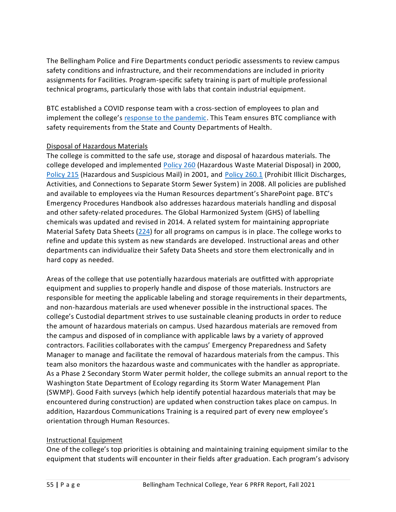The Bellingham Police and Fire Departments conduct periodic assessments to review campus safety conditions and infrastructure, and their recommendations are included in priority assignments for Facilities. Program-specific safety training is part of multiple professional technical programs, particularly those with labs that contain industrial equipment.

BTC established a COVID response team with a cross-section of employees to plan and implement the college's [response to the pandemic.](https://nwccu.box.com/s/vovefr7lmdblluuyypg1jq7vn16h1e6n) This Team ensures BTC compliance with safety requirements from the State and County Departments of Health.

### Disposal of Hazardous Materials

The college is committed to the safe use, storage and disposal of hazardous materials. The college developed and implemented [Policy 260](https://nwccu.box.com/s/5nc9qow824ijcu2052da4ilmu97rem8r) (Hazardous Waste Material Disposal) in 2000, [Policy 215](https://nwccu.box.com/s/zbj1eg2rxgk6opaz8ojb75fhy1balqdy) (Hazardous and Suspicious Mail) in 2001, and [Policy 260.1](https://nwccu.box.com/s/zbj1eg2rxgk6opaz8ojb75fhy1balqdy) (Prohibit Illicit Discharges, Activities, and Connections to Separate Storm Sewer System) in 2008. All policies are published and available to employees via the Human Resources department's SharePoint page. BTC's Emergency Procedures Handbook also addresses hazardous materials handling and disposal and other safety-related procedures. Th[e Global Harmonized System](https://sharepoint2013.btc.ctc.edu/sites/accreditation/Shared%20Documents/Administrative-Services/Facilities/Global%20Harmonized%20System%20(GHS)%20Implementation.pdf) (GHS) of labelling chemicals was updated and revised in 2014. A related system for maintaining appropriate Material Safety Data Sheets [\(224\)](https://nwccu.box.com/s/1w1tcpf6c86c2fk9qn1gpd56rzldzl1m) for all programs on campus is in place. The college works to refine and update this system as new standards are developed. Instructional areas and other departments can individualize their Safety Data Sheets and store them electronically and in hard copy as needed.

Areas of the college that use potentially hazardous materials are outfitted with appropriate equipment and supplies to properly handle and dispose of those materials. Instructors are responsible for meeting the applicable labeling and storage requirements in their departments, and non-hazardous materials are used whenever possible in the instructional spaces. The college's Custodial department strives to use sustainable cleaning products in order to reduce the amount of hazardous materials on campus. Used hazardous materials are removed from the campus and disposed of in compliance with applicable laws by a variety of approved contractors. Facilities collaborates with the campus' Emergency Preparedness and Safety Manager to manage and facilitate the removal of hazardous materials from the campus. This team also monitors the hazardous waste and communicates with the handler as appropriate. As a Phase 2 Secondary Storm Water permit holder, the college submits an annual report to the Washington State Department of Ecology regarding its [Storm Water Management Plan](https://sharepoint2013.btc.ctc.edu/sites/accreditation/Shared%20Documents/Administrative-Services/Facilities/Stormwater%20Management%20Plan.pdf) (SWMP). Good Faith surveys (which help identify potential hazardous materials that may be encountered during construction) are updated when construction takes place on campus. In addition, Hazardous Communications Training is a required part of every new employee's orientation through Human Resources.

### Instructional Equipment

One of the college's top priorities is obtaining and maintaining training equipment similar to the equipment that students will encounter in their fields after graduation. Each program's [advisory](https://sharepoint2013.btc.ctc.edu/sites/accreditation/Shared%20Documents/Instruction/Faculty/rptActiveMembers-ByProgram.pdf)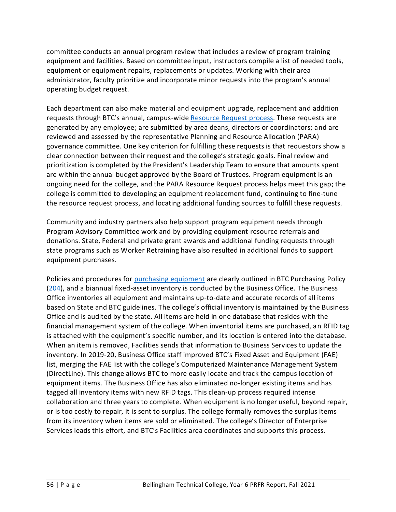[committee](https://sharepoint2013.btc.ctc.edu/sites/accreditation/Shared%20Documents/Instruction/Faculty/rptActiveMembers-ByProgram.pdf) conducts an [annual program review](https://sharepoint2013.btc.ctc.edu/sites/accreditation/Shared%20Documents/Instruction/2013-14%20Advisory%20Committee%20Annual%20Program%20Reviews-All.pdf) that includes a review of program training equipment and facilities. Based on committee input, instructors compile a list of needed tools, equipment or equipment repairs, replacements or updates. Working with their area administrator, faculty prioritize and incorporate minor requests into the program's annual operating budget request.

Each department can also make material and equipment upgrade, replacement and addition requests through BTC's annual, campus-wid[e Resource Request process.](https://nwccu.box.com/s/1lev4ny7vn4rb397klah04uxmmxbnx73) These requests are generated by any employee; are submitted by area deans, directors or coordinators; and are reviewed and assessed by the representative Planning and Resource Allocation (PARA) governance committee. One key criterion for fulfilling these requests is that requestors show a clear connection between their request and the college's strategic goals. Final review and prioritization is completed by the President's Leadership Team to ensure that amounts spent are within the annual budget approved by the Board of Trustees. Program equipment is an ongoing need for the college, and the PARA Resource Request process helps meet this gap; the college is committed to developing an equipment replacement fund, continuing to fine-tune the resource request process, and locating additional funding sources to fulfill these requests.

Community and industry partners also help support program equipment needs through Program Advisory Committee work and by providing equipment resource referrals and donations. State, Federal and private grant awards and additional funding requests through state programs such as Worker Retraining have also resulted in additional funds to support equipment purchases.

Policies and procedures for [purchasing equipment](https://nwccu.box.com/s/w46jutx0liqgw8satupxrv2weeuxd6no) are clearly outlined in BTC Purchasing Policy [\(204\)](https://nwccu.box.com/s/jckjgclj7wdgvd4e7oxliaogbsw6caxp), and a biannual fixed-asset [inventory](https://sharepoint2013.btc.ctc.edu/sites/accreditation/Shared%20Documents/Administrative-Services/Budget-Financial/Business%20Office%20Inventory%20Database.xlsx?Web=1) is conducted by the Business Office. The Business Office inventories all equipment and maintains up-to-date and accurate records of all items based on State and BTC guidelines. The college's official [inventory](https://sharepoint2013.btc.ctc.edu/sites/accreditation/Shared%20Documents/Administrative-Services/Budget-Financial/Business%20Office%20Inventory%20Database.xlsx?Web=1) is maintained by the Business Office and is audited by the state. All items are held in one database that resides with the financial management system of the college. When inventorial items are purchased, an RFID tag is attached with the equipment's specific number, and its location is entered into the database. When an item is removed, Facilities sends that information to Business Services to update the [inventory.](https://sharepoint2013.btc.ctc.edu/sites/accreditation/Shared%20Documents/Administrative-Services/Budget-Financial/Business%20Office%20Inventory%20Database.xlsx?Web=1) In 2019-20, Business Office staff improved BTC's Fixed Asset and Equipment (FAE) list, merging the FAE list with the college's Computerized Maintenance Management System (DirectLine). This change allows BTC to more easily locate and track the campus location of equipment items. The Business Office has also eliminated no-longer existing items and has tagged all inventory items with new RFID tags. This clean-up process required intense collaboration and three years to complete. When equipment is no longer useful, beyond repair, or is too costly to repair, it is sent to surplus. The college formally removes the surplus items from it[s inventory](https://sharepoint2013.btc.ctc.edu/sites/accreditation/Shared%20Documents/Administrative-Services/Budget-Financial/Business%20Office%20Inventory%20Database.xlsx?Web=1) when items are sold or eliminated. The college's Director of Enterprise Services leads this effort, and BTC's Facilities area coordinates and supports this process.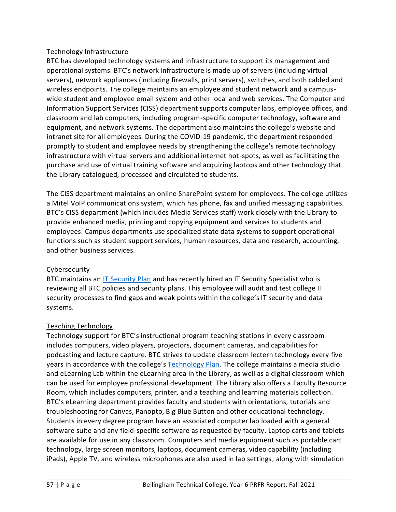# Technology Infrastructure

BTC has developed technology systems and infrastructure to support its management and operational systems. BTC's network infrastructure is made up of servers (including virtual servers), network appliances (including firewalls, print servers), switches, and both cabled and wireless endpoints. The college maintains an employee and student network and a campuswide student and employee email system and other local and web services. The Computer and Information Support Services (CISS) department supports computer labs, employee offices, and classroom and lab computers, including program-specific computer technology, software and equipment, and network systems. The department also maintains the college's website and intranet site for all employees. During the COVID-19 pandemic, the department responded promptly to student and employee needs by strengthening the college's remote technology infrastructure with virtual servers and additional internet hot-spots, as well as facilitating the purchase and use of virtual training software and acquiring laptops and other technology that the Library catalogued, processed and circulated to students.

The CISS department maintains an online SharePoint system for employees. The college utilizes a Mitel VoIP communications system, which has phone, fax and unified messaging capabilities. BTC's CISS department (which includes Media Services staff) work closely with the Library to provide enhanced media, printing and copying equipment and services to students and employees. Campus departments use specialized state data systems to support operational functions such as student support services, human resources, data and research, accounting, and other business services.

# **Cybersecurity**

BTC maintains an [IT Security Plan](https://nwccu.box.com/s/p29w1bsg2hd55nvfyx35shgi0ew1rjgl) and has recently hired an IT Security Specialist who is reviewing all BTC policies and security plans. This employee will audit and test college IT security processes to find gaps and weak points within the college's IT security and data systems.

# Teaching Technology

Technology support for BTC's instructional program teaching stations in every classroom includes computers, video players, projectors, document cameras, and capabilities for podcasting and lecture capture. BTC strives to update classroom lectern technology every five years in accordance with the college's [Technology Plan.](https://nwccu.box.com/s/96gbjpzbxycjk9i2296n6gfam8pq4xac) The college maintains a media studio and eLearning Lab within the eLearning area in the Library, as well as a digital classroom which can be used for employee professional development. The Library also offers a Faculty Resource Room, which includes computers, printer, and a teaching and learning materials collection. BTC's eLearning department provides faculty and students with orientations, tutorials and troubleshooting for Canvas, Panopto, Big Blue Button and other educational technology. Students in every degree program have an associated computer lab loaded with a general software suite and any field-specific software as requested by faculty. Laptop carts and tablets are available for use in any classroom. Computers and media equipment such as portable cart technology, large screen monitors, laptops, document cameras, video capability (including iPads), Apple TV, and wireless microphones are also used in lab settings, along with simulation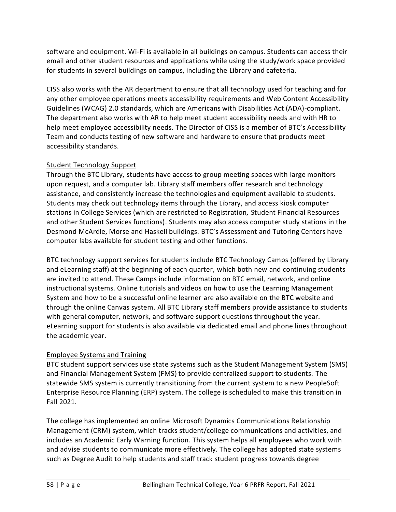software and equipment. Wi-Fi is available in all buildings on campus. Students can access their email and other student resources and applications while using the study/work space provided for students in several buildings on campus, including the Library and cafeteria.

CISS also works with the AR department to ensure that all technology used for teaching and for any other employee operations meets accessibility requirements and Web Content Accessibility Guidelines (WCAG) 2.0 standards, which are Americans with Disabilities Act (ADA)-compliant. The department also works with AR to help meet student accessibility needs and with HR to help meet employee accessibility needs. The Director of CISS is a member of BTC's Accessibility Team and conducts testing of new software and hardware to ensure that products meet accessibility standards.

# Student Technology Support

Through the BTC Library, students have access to group meeting spaces with large monitors upon request, and a computer lab. Library staff members offer research and technology assistance, and consistently increase the technologies and equipment available to students. Students may check out technology items through the Library, and access kiosk computer stations in College Services (which are restricted to Registration, Student Financial Resources and other Student Services functions). Students may also access computer study stations in the Desmond McArdle, Morse and Haskell buildings. BTC's Assessment and Tutoring Centers have computer labs available for student testing and other functions.

BTC technology support services for students include BTC Technology Camps (offered by Library and eLearning staff) at the beginning of each quarter, which both new and continuing students are invited to attend. These Camps include information on BTC email, network, and online instructional systems. Online tutorials and videos on how to use the Learning Management System and how to be a successful online learner are also available on the BTC website and through the online Canvas system. All BTC Library staff members provide assistance to students with general computer, network, and software support questions throughout the year. eLearning support for students is also available via dedicated email and phone lines throughout the academic year.

# Employee Systems and Training

BTC student support services use state systems such as the Student Management System (SMS) and Financial Management System (FMS) to provide centralized support to students. The statewide SMS system is currently transitioning from the current system to a new PeopleSoft Enterprise Resource Planning (ERP) system. The college is scheduled to make this transition in Fall 2021.

The college has implemented an online Microsoft Dynamics Communications Relationship Management (CRM) system, which tracks student/college communications and activities, and includes a[n Academic Early Warning function.](https://sharepoint2013.btc.ctc.edu/sites/accreditation/Shared%20Documents/Instruction/Faculty/Academic_Early_Warning_Instructor_Overview.doc) This system helps all employees who work with and advise students to communicate more effectively. The college has adopted state systems such as Degree Audit to help students and staff track student progress towards degree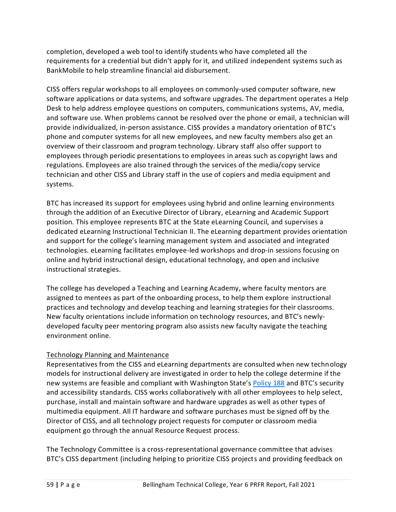completion, developed a web tool to identify students who have completed all the requirements for a credential but didn't apply for it, and utilized independent systems such as BankMobile to help streamline financial aid disbursement.

CISS offers regular workshops to all employees on commonly-used computer software, new software applications or data systems, and software upgrades. The department operates a Help Desk to help address employee questions on computers, communications systems, AV, media, and software use. When problems cannot be resolved over the phone or email, a technician will provide individualized, in-person assistance. CISS provides a mandatory orientation of BTC's phone and computer systems for all new employees, and new faculty members also get an overview of their classroom and program technology. Library staff also offer support to employees through periodic presentations to employees in areas such as copyright laws and regulations. Employees are also trained through the services of the media/copy service technician and other CISS and Library staff in the use of copiers and media equipment and systems.

BTC has increased its support for employees using hybrid and online learning environments through the addition of an Executive Director of Library, eLearning and Academic Support position. This employee represents BTC at the State eLearning Council, and supervises a dedicated eLearning Instructional Technician II. The eLearning department provides orientation and support for the college's learning management system and associated and integrated technologies. eLearning facilitates employee-led workshops and drop-in sessions focusing on online and hybrid instructional design, educational technology, and open and inclusive instructional strategies.

The college has developed a Teaching and Learning Academy, where faculty mentors are assigned to mentees as part of the onboarding process, to help them explore instructional practices and technology and develop teaching and learning strategies for their classrooms. New faculty orientations include information on technology resources, and BTC's newlydeveloped faculty peer mentoring program also assists new faculty navigate the teaching environment online.

# Technology Planning and Maintenance

Representatives from the CISS and eLearning departments are consulted when new technology models for instructional delivery are investigated in order to help the college determine if the new systems are feasible and compliant with Washington State's [Policy 188](https://nwccu.box.com/s/vzqktjmtmijp3lafborhk4w9zvfad6m4) and BTC's security and accessibility standards. CISS works collaboratively with all other employees to help select, purchase, install and maintain software and hardware upgrades as well as other types of multimedia equipment. All IT hardware and software purchases must be signed off by the Director of CISS, and all technology project requests for computer or classroom media equipment go through the annual Resource Request process.

The [Technology Committee](https://sharepoint2013.btc.ctc.edu/sites/accreditation/Shared%20Documents/Committees-and-Councils/Councils,%20Committees,%20and%20Taskforces%20-%202014-2015.docx) is a cross-representational governance committee that advises BTC's CISS department (including helping to prioritize CISS projects and providing feedback on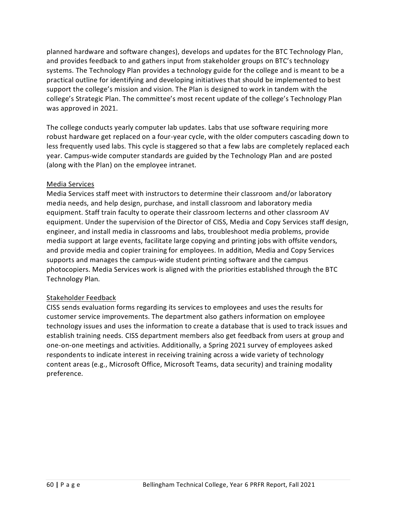planned hardware and software changes), develops and updates for the BTC Technology Plan, and provides feedback to and gathers input from stakeholder groups on BTC's technology systems. The Technology Plan provides a technology guide for the college and is meant to be a practical outline for identifying and developing initiatives that should be implemented to best support the college's mission and vision. The Plan is designed to work in tandem with the college's Strategic Plan. The committee's most recent update of the college's Technology Plan was approved in 2021.

The college conducts yearly computer lab updates. Labs that use software requiring more robust hardware get replaced on a four-year cycle, with the older computers cascading down to less frequently used labs. This cycle is staggered so that a few labs are completely replaced each year. Campus-wide computer standards are guided by the Technology Plan and are posted (along with the Plan) on the employee intranet.

### Media Services

Media Services staff meet with instructors to determine their classroom and/or laboratory media needs, and help design, purchase, and install classroom and laboratory media equipment. Staff train faculty to operate their classroom lecterns and other classroom AV equipment. Under the supervision of the Director of CISS, Media and Copy Services staff design, engineer, and install media in classrooms and labs, troubleshoot media problems, provide media support at large events, facilitate large copying and printing jobs with offsite vendors, and provide media and copier training for employees. In addition, Media and Copy Services supports and manages the campus-wide student printing software and the campus photocopiers. Media Services work is aligned with the priorities established through the BTC Technology Plan.

# Stakeholder Feedback

CISS sends evaluation forms regarding its services to employees and uses the results for customer service improvements. The department also gathers information on employee technology issues and uses the information to create a database that is used to track issues and establish training needs. CISS department members also get feedback from users at group and one-on-one meetings and activities. Additionally, a Spring 2021 survey of employees asked respondents to indicate interest in receiving training across a wide variety of technology content areas (e.g., Microsoft Office, Microsoft Teams, data security) and training modality preference.